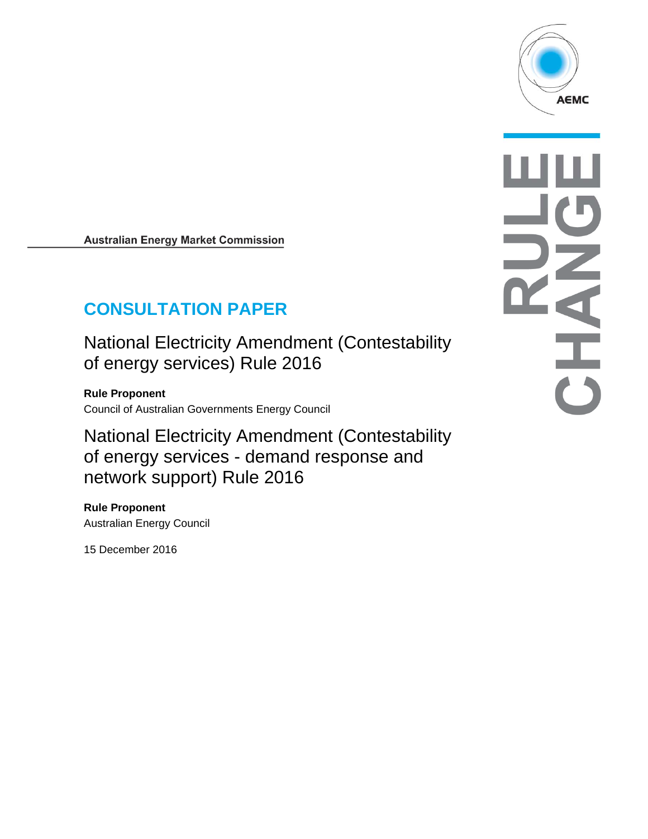

**Australian Energy Market Commission** 

# **CONSULTATION PAPER**

National Electricity Amendment (Contestability of energy services) Rule 2016

**Rule Proponent**  Council of Australian Governments Energy Council

National Electricity Amendment (Contestability of energy services - demand response and network support) Rule 2016

**Rule Proponent**  Australian Energy Council

15 December 2016

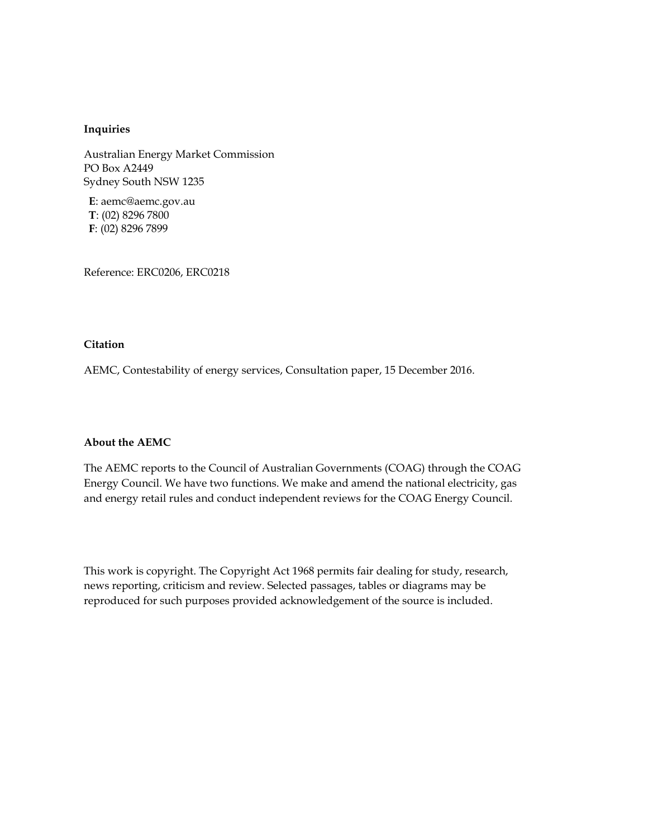#### **Inquiries**

Australian Energy Market Commission PO Box A2449 Sydney South NSW 1235

**E**: aemc@aemc.gov.au **T**: (02) 8296 7800 **F**: (02) 8296 7899

Reference: ERC0206, ERC0218

#### **Citation**

AEMC, Contestability of energy services, Consultation paper, 15 December 2016.

#### **About the AEMC**

The AEMC reports to the Council of Australian Governments (COAG) through the COAG Energy Council. We have two functions. We make and amend the national electricity, gas and energy retail rules and conduct independent reviews for the COAG Energy Council.

This work is copyright. The Copyright Act 1968 permits fair dealing for study, research, news reporting, criticism and review. Selected passages, tables or diagrams may be reproduced for such purposes provided acknowledgement of the source is included.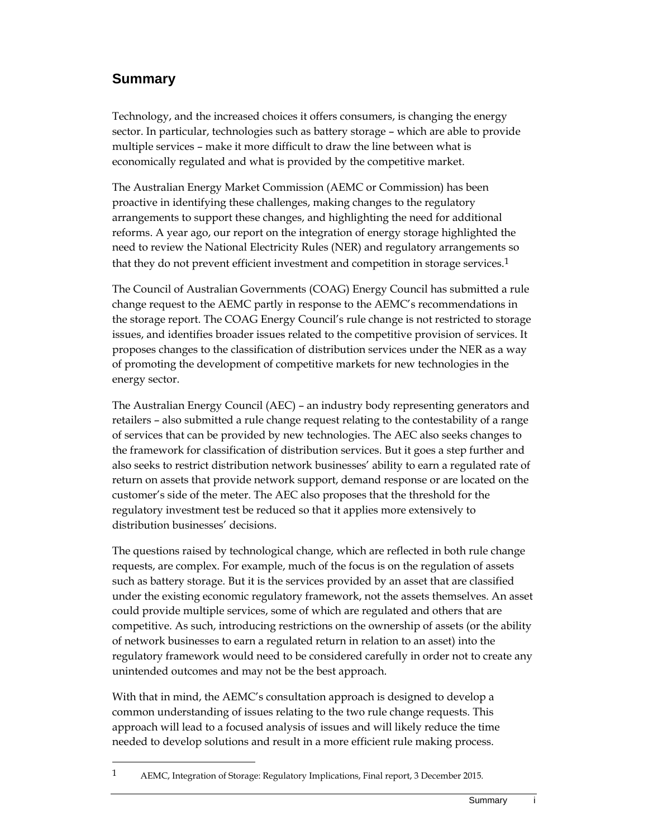## **Summary**

 $\overline{a}$ 

Technology, and the increased choices it offers consumers, is changing the energy sector. In particular, technologies such as battery storage – which are able to provide multiple services – make it more difficult to draw the line between what is economically regulated and what is provided by the competitive market.

The Australian Energy Market Commission (AEMC or Commission) has been proactive in identifying these challenges, making changes to the regulatory arrangements to support these changes, and highlighting the need for additional reforms. A year ago, our report on the integration of energy storage highlighted the need to review the National Electricity Rules (NER) and regulatory arrangements so that they do not prevent efficient investment and competition in storage services.1

The Council of Australian Governments (COAG) Energy Council has submitted a rule change request to the AEMC partly in response to the AEMC's recommendations in the storage report. The COAG Energy Council's rule change is not restricted to storage issues, and identifies broader issues related to the competitive provision of services. It proposes changes to the classification of distribution services under the NER as a way of promoting the development of competitive markets for new technologies in the energy sector.

The Australian Energy Council (AEC) – an industry body representing generators and retailers – also submitted a rule change request relating to the contestability of a range of services that can be provided by new technologies. The AEC also seeks changes to the framework for classification of distribution services. But it goes a step further and also seeks to restrict distribution network businesses' ability to earn a regulated rate of return on assets that provide network support, demand response or are located on the customer's side of the meter. The AEC also proposes that the threshold for the regulatory investment test be reduced so that it applies more extensively to distribution businesses' decisions.

The questions raised by technological change, which are reflected in both rule change requests, are complex. For example, much of the focus is on the regulation of assets such as battery storage. But it is the services provided by an asset that are classified under the existing economic regulatory framework, not the assets themselves. An asset could provide multiple services, some of which are regulated and others that are competitive. As such, introducing restrictions on the ownership of assets (or the ability of network businesses to earn a regulated return in relation to an asset) into the regulatory framework would need to be considered carefully in order not to create any unintended outcomes and may not be the best approach.

With that in mind, the AEMC's consultation approach is designed to develop a common understanding of issues relating to the two rule change requests. This approach will lead to a focused analysis of issues and will likely reduce the time needed to develop solutions and result in a more efficient rule making process.

<sup>1</sup> AEMC, Integration of Storage: Regulatory Implications, Final report, 3 December 2015.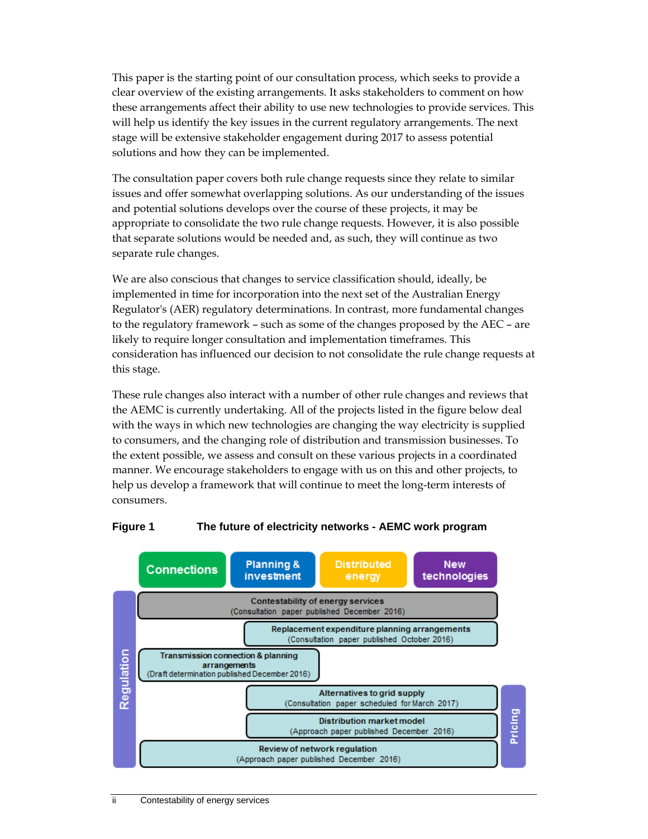This paper is the starting point of our consultation process, which seeks to provide a clear overview of the existing arrangements. It asks stakeholders to comment on how these arrangements affect their ability to use new technologies to provide services. This will help us identify the key issues in the current regulatory arrangements. The next stage will be extensive stakeholder engagement during 2017 to assess potential solutions and how they can be implemented.

The consultation paper covers both rule change requests since they relate to similar issues and offer somewhat overlapping solutions. As our understanding of the issues and potential solutions develops over the course of these projects, it may be appropriate to consolidate the two rule change requests. However, it is also possible that separate solutions would be needed and, as such, they will continue as two separate rule changes.

We are also conscious that changes to service classification should, ideally, be implemented in time for incorporation into the next set of the Australian Energy Regulator's (AER) regulatory determinations. In contrast, more fundamental changes to the regulatory framework – such as some of the changes proposed by the AEC – are likely to require longer consultation and implementation timeframes. This consideration has influenced our decision to not consolidate the rule change requests at this stage.

These rule changes also interact with a number of other rule changes and reviews that the AEMC is currently undertaking. All of the projects listed in the figure below deal with the ways in which new technologies are changing the way electricity is supplied to consumers, and the changing role of distribution and transmission businesses. To the extent possible, we assess and consult on these various projects in a coordinated manner. We encourage stakeholders to engage with us on this and other projects, to help us develop a framework that will continue to meet the long-term interests of consumers.



#### **Figure 1 The future of electricity networks - AEMC work program**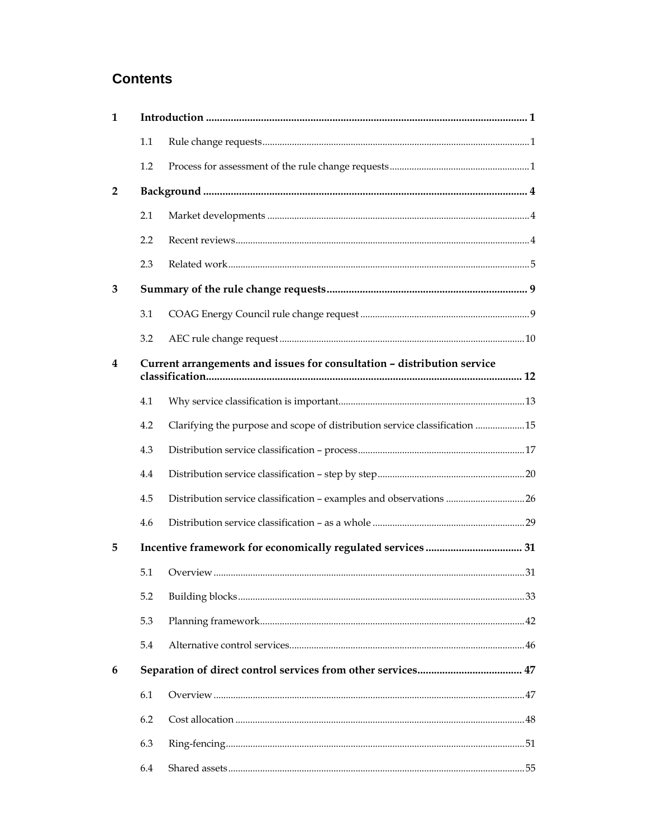## **Contents**

| 1              |                                                                         |                                                                            |  |  |  |
|----------------|-------------------------------------------------------------------------|----------------------------------------------------------------------------|--|--|--|
|                | 1.1                                                                     |                                                                            |  |  |  |
|                | 1.2                                                                     |                                                                            |  |  |  |
| $\overline{2}$ |                                                                         |                                                                            |  |  |  |
|                | 2.1                                                                     |                                                                            |  |  |  |
|                | 2.2                                                                     |                                                                            |  |  |  |
|                | 2.3                                                                     |                                                                            |  |  |  |
| 3              |                                                                         |                                                                            |  |  |  |
|                | 3.1                                                                     |                                                                            |  |  |  |
|                | 3.2                                                                     |                                                                            |  |  |  |
| 4              | Current arrangements and issues for consultation - distribution service |                                                                            |  |  |  |
|                | 4.1                                                                     |                                                                            |  |  |  |
|                | 4.2                                                                     | Clarifying the purpose and scope of distribution service classification 15 |  |  |  |
|                | 4.3                                                                     |                                                                            |  |  |  |
|                | 4.4                                                                     |                                                                            |  |  |  |
|                | 4.5                                                                     | Distribution service classification - examples and observations 26         |  |  |  |
|                | 4.6                                                                     |                                                                            |  |  |  |
| 5              |                                                                         |                                                                            |  |  |  |
|                | 5.1                                                                     |                                                                            |  |  |  |
|                | 5.2                                                                     |                                                                            |  |  |  |
|                | 5.3                                                                     |                                                                            |  |  |  |
|                | 5.4                                                                     |                                                                            |  |  |  |
| 6              |                                                                         |                                                                            |  |  |  |
|                | 6.1                                                                     |                                                                            |  |  |  |
|                | 6.2                                                                     |                                                                            |  |  |  |
|                | 6.3                                                                     |                                                                            |  |  |  |
|                | 6.4                                                                     |                                                                            |  |  |  |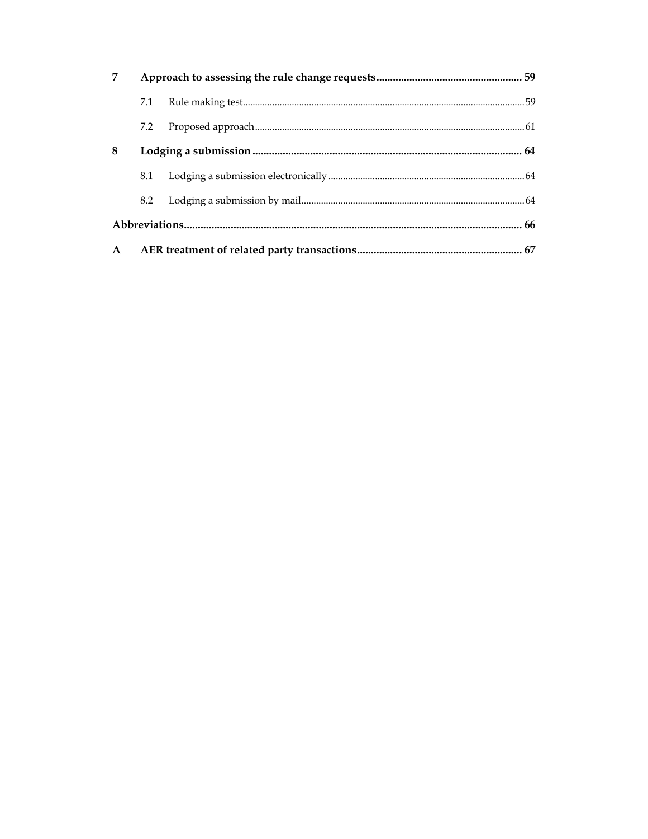| 7            |     |  |  |  |
|--------------|-----|--|--|--|
|              | 7.1 |  |  |  |
|              | 7.2 |  |  |  |
| 8            |     |  |  |  |
|              | 8.1 |  |  |  |
|              | 8.2 |  |  |  |
|              |     |  |  |  |
| $\mathbf{A}$ |     |  |  |  |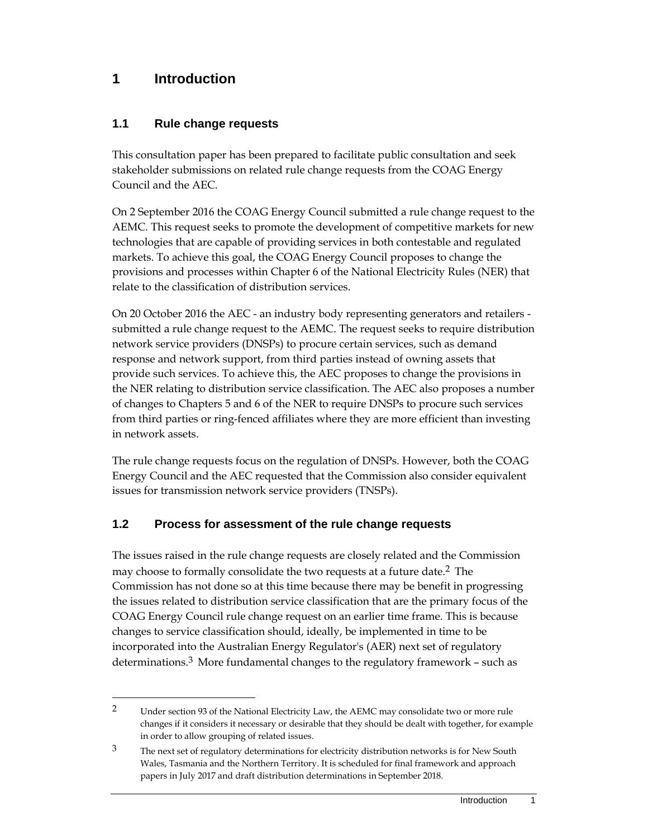## **1 Introduction**

## **1.1 Rule change requests**

This consultation paper has been prepared to facilitate public consultation and seek stakeholder submissions on related rule change requests from the COAG Energy Council and the AEC.

On 2 September 2016 the COAG Energy Council submitted a rule change request to the AEMC. This request seeks to promote the development of competitive markets for new technologies that are capable of providing services in both contestable and regulated markets. To achieve this goal, the COAG Energy Council proposes to change the provisions and processes within Chapter 6 of the National Electricity Rules (NER) that relate to the classification of distribution services.

On 20 October 2016 the AEC - an industry body representing generators and retailers submitted a rule change request to the AEMC. The request seeks to require distribution network service providers (DNSPs) to procure certain services, such as demand response and network support, from third parties instead of owning assets that provide such services. To achieve this, the AEC proposes to change the provisions in the NER relating to distribution service classification. The AEC also proposes a number of changes to Chapters 5 and 6 of the NER to require DNSPs to procure such services from third parties or ring-fenced affiliates where they are more efficient than investing in network assets.

The rule change requests focus on the regulation of DNSPs. However, both the COAG Energy Council and the AEC requested that the Commission also consider equivalent issues for transmission network service providers (TNSPs).

## **1.2 Process for assessment of the rule change requests**

The issues raised in the rule change requests are closely related and the Commission may choose to formally consolidate the two requests at a future date.2 The Commission has not done so at this time because there may be benefit in progressing the issues related to distribution service classification that are the primary focus of the COAG Energy Council rule change request on an earlier time frame. This is because changes to service classification should, ideally, be implemented in time to be incorporated into the Australian Energy Regulator's (AER) next set of regulatory determinations.<sup>3</sup> More fundamental changes to the regulatory framework – such as

<sup>2</sup> Under section 93 of the National Electricity Law, the AEMC may consolidate two or more rule changes if it considers it necessary or desirable that they should be dealt with together, for example in order to allow grouping of related issues.

<sup>&</sup>lt;sup>3</sup> The next set of regulatory determinations for electricity distribution networks is for New South Wales, Tasmania and the Northern Territory. It is scheduled for final framework and approach papers in July 2017 and draft distribution determinations in September 2018.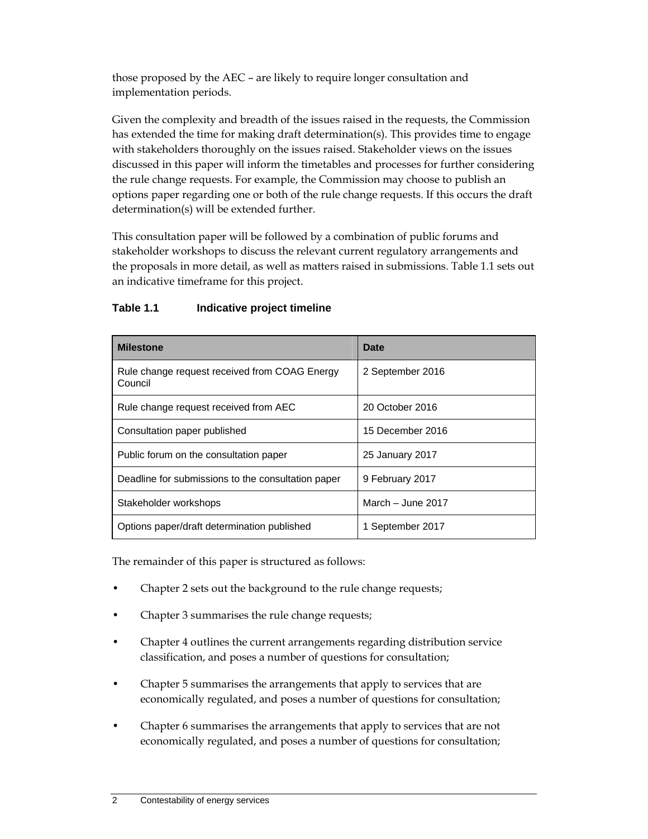those proposed by the AEC – are likely to require longer consultation and implementation periods.

Given the complexity and breadth of the issues raised in the requests, the Commission has extended the time for making draft determination(s). This provides time to engage with stakeholders thoroughly on the issues raised. Stakeholder views on the issues discussed in this paper will inform the timetables and processes for further considering the rule change requests. For example, the Commission may choose to publish an options paper regarding one or both of the rule change requests. If this occurs the draft determination(s) will be extended further.

This consultation paper will be followed by a combination of public forums and stakeholder workshops to discuss the relevant current regulatory arrangements and the proposals in more detail, as well as matters raised in submissions. Table 1.1 sets out an indicative timeframe for this project.

| <b>Milestone</b>                                         | Date              |
|----------------------------------------------------------|-------------------|
| Rule change request received from COAG Energy<br>Council | 2 September 2016  |
| Rule change request received from AEC                    | 20 October 2016   |
| Consultation paper published                             | 15 December 2016  |
| Public forum on the consultation paper                   | 25 January 2017   |
| Deadline for submissions to the consultation paper       | 9 February 2017   |
| Stakeholder workshops                                    | March - June 2017 |
| Options paper/draft determination published              | 1 September 2017  |

#### **Table 1.1 Indicative project timeline**

The remainder of this paper is structured as follows:

- Chapter 2 sets out the background to the rule change requests;
- Chapter 3 summarises the rule change requests;
- Chapter 4 outlines the current arrangements regarding distribution service classification, and poses a number of questions for consultation;
- Chapter 5 summarises the arrangements that apply to services that are economically regulated, and poses a number of questions for consultation;
- Chapter 6 summarises the arrangements that apply to services that are not economically regulated, and poses a number of questions for consultation;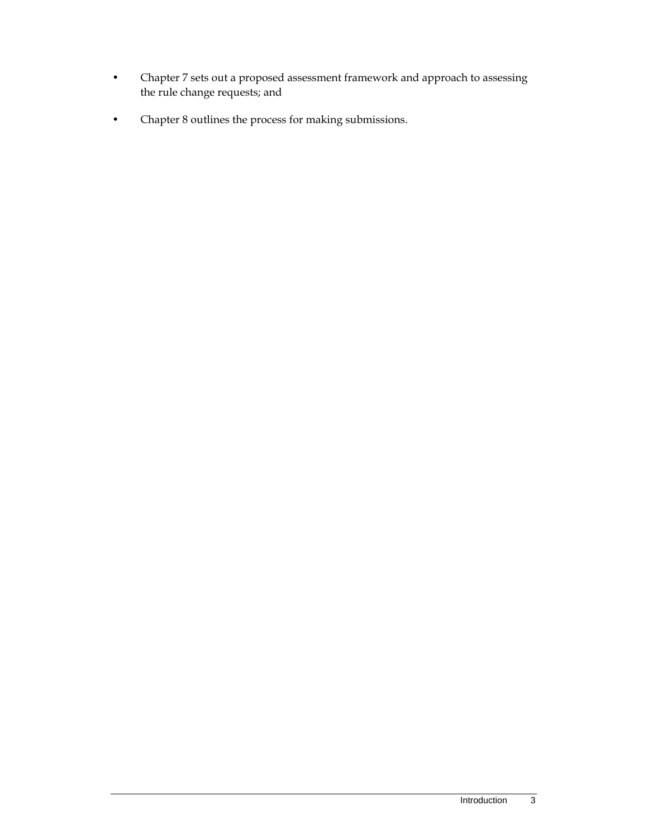- Chapter 7 sets out a proposed assessment framework and approach to assessing the rule change requests; and
- Chapter 8 outlines the process for making submissions.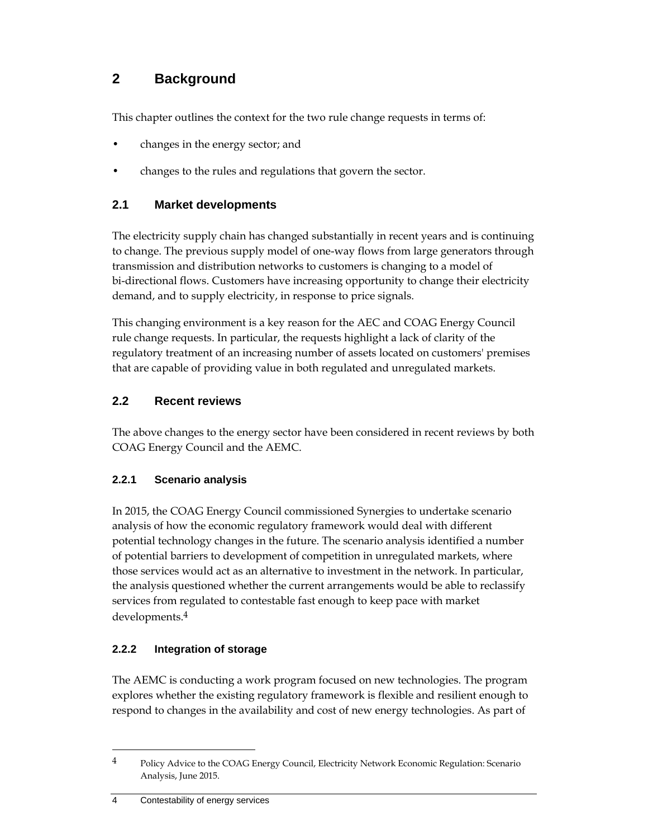## **2 Background**

This chapter outlines the context for the two rule change requests in terms of:

- changes in the energy sector; and
- changes to the rules and regulations that govern the sector.

## **2.1 Market developments**

The electricity supply chain has changed substantially in recent years and is continuing to change. The previous supply model of one-way flows from large generators through transmission and distribution networks to customers is changing to a model of bi-directional flows. Customers have increasing opportunity to change their electricity demand, and to supply electricity, in response to price signals.

This changing environment is a key reason for the AEC and COAG Energy Council rule change requests. In particular, the requests highlight a lack of clarity of the regulatory treatment of an increasing number of assets located on customers' premises that are capable of providing value in both regulated and unregulated markets.

## **2.2 Recent reviews**

The above changes to the energy sector have been considered in recent reviews by both COAG Energy Council and the AEMC.

## **2.2.1 Scenario analysis**

In 2015, the COAG Energy Council commissioned Synergies to undertake scenario analysis of how the economic regulatory framework would deal with different potential technology changes in the future. The scenario analysis identified a number of potential barriers to development of competition in unregulated markets, where those services would act as an alternative to investment in the network. In particular, the analysis questioned whether the current arrangements would be able to reclassify services from regulated to contestable fast enough to keep pace with market developments.4

## **2.2.2 Integration of storage**

The AEMC is conducting a work program focused on new technologies. The program explores whether the existing regulatory framework is flexible and resilient enough to respond to changes in the availability and cost of new energy technologies. As part of

<sup>&</sup>lt;sup>4</sup> Policy Advice to the COAG Energy Council, Electricity Network Economic Regulation: Scenario Analysis, June 2015.

<sup>4</sup> Contestability of energy services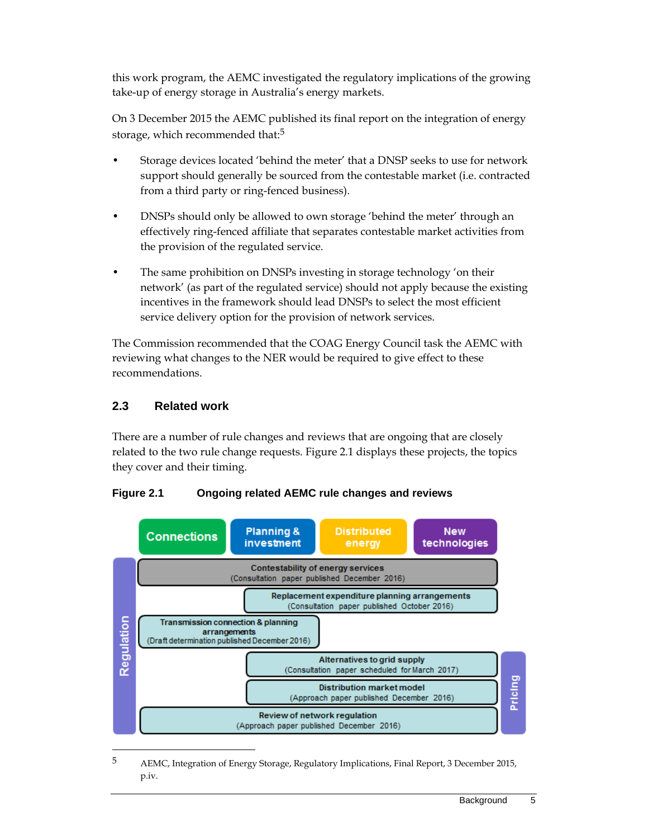this work program, the AEMC investigated the regulatory implications of the growing take-up of energy storage in Australia's energy markets.

On 3 December 2015 the AEMC published its final report on the integration of energy storage, which recommended that:<sup>5</sup>

- Storage devices located 'behind the meter' that a DNSP seeks to use for network support should generally be sourced from the contestable market (i.e. contracted from a third party or ring-fenced business).
- DNSPs should only be allowed to own storage 'behind the meter' through an effectively ring-fenced affiliate that separates contestable market activities from the provision of the regulated service.
- The same prohibition on DNSPs investing in storage technology 'on their network' (as part of the regulated service) should not apply because the existing incentives in the framework should lead DNSPs to select the most efficient service delivery option for the provision of network services.

The Commission recommended that the COAG Energy Council task the AEMC with reviewing what changes to the NER would be required to give effect to these recommendations.

## **2.3 Related work**

There are a number of rule changes and reviews that are ongoing that are closely related to the two rule change requests. Figure 2.1 displays these projects, the topics they cover and their timing.



**Figure 2.1 Ongoing related AEMC rule changes and reviews** 

<sup>5</sup> AEMC, Integration of Energy Storage, Regulatory Implications, Final Report, 3 December 2015, p.iv.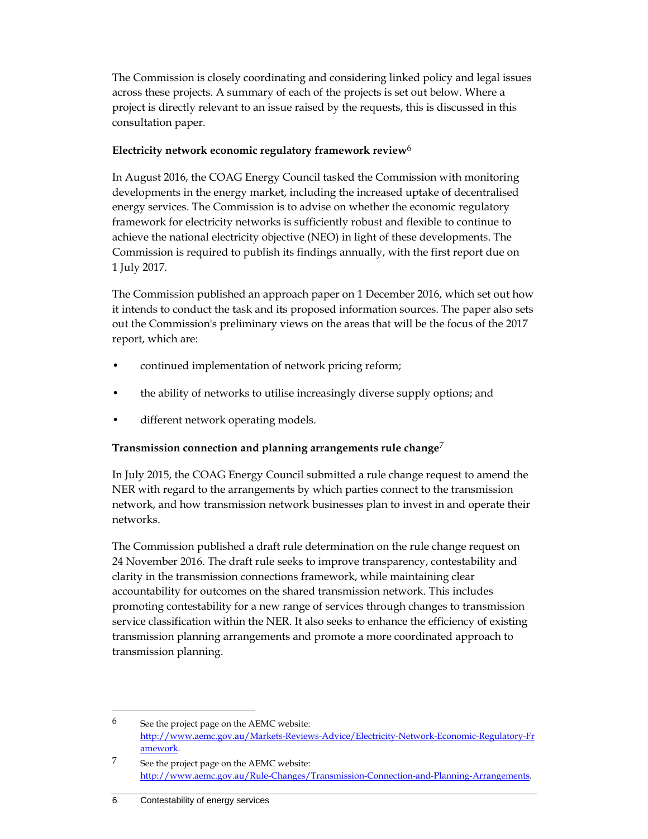The Commission is closely coordinating and considering linked policy and legal issues across these projects. A summary of each of the projects is set out below. Where a project is directly relevant to an issue raised by the requests, this is discussed in this consultation paper.

#### **Electricity network economic regulatory framework review**6

In August 2016, the COAG Energy Council tasked the Commission with monitoring developments in the energy market, including the increased uptake of decentralised energy services. The Commission is to advise on whether the economic regulatory framework for electricity networks is sufficiently robust and flexible to continue to achieve the national electricity objective (NEO) in light of these developments. The Commission is required to publish its findings annually, with the first report due on 1 July 2017.

The Commission published an approach paper on 1 December 2016, which set out how it intends to conduct the task and its proposed information sources. The paper also sets out the Commission's preliminary views on the areas that will be the focus of the 2017 report, which are:

- continued implementation of network pricing reform;
- the ability of networks to utilise increasingly diverse supply options; and
- different network operating models.

#### **Transmission connection and planning arrangements rule change**7

In July 2015, the COAG Energy Council submitted a rule change request to amend the NER with regard to the arrangements by which parties connect to the transmission network, and how transmission network businesses plan to invest in and operate their networks.

The Commission published a draft rule determination on the rule change request on 24 November 2016. The draft rule seeks to improve transparency, contestability and clarity in the transmission connections framework, while maintaining clear accountability for outcomes on the shared transmission network. This includes promoting contestability for a new range of services through changes to transmission service classification within the NER. It also seeks to enhance the efficiency of existing transmission planning arrangements and promote a more coordinated approach to transmission planning.

 $6$  See the project page on the AEMC website: http://www.aemc.gov.au/Markets-Reviews-Advice/Electricity-Network-Economic-Regulatory-Fr amework.

<sup>7</sup> See the project page on the AEMC website: http://www.aemc.gov.au/Rule-Changes/Transmission-Connection-and-Planning-Arrangements.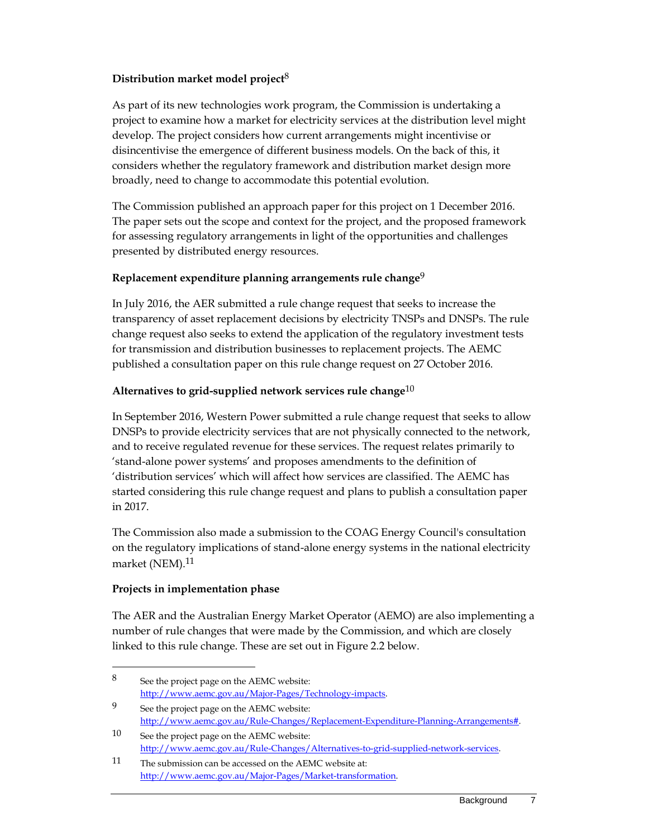#### **Distribution market model project**8

As part of its new technologies work program, the Commission is undertaking a project to examine how a market for electricity services at the distribution level might develop. The project considers how current arrangements might incentivise or disincentivise the emergence of different business models. On the back of this, it considers whether the regulatory framework and distribution market design more broadly, need to change to accommodate this potential evolution.

The Commission published an approach paper for this project on 1 December 2016. The paper sets out the scope and context for the project, and the proposed framework for assessing regulatory arrangements in light of the opportunities and challenges presented by distributed energy resources.

#### **Replacement expenditure planning arrangements rule change**9

In July 2016, the AER submitted a rule change request that seeks to increase the transparency of asset replacement decisions by electricity TNSPs and DNSPs. The rule change request also seeks to extend the application of the regulatory investment tests for transmission and distribution businesses to replacement projects. The AEMC published a consultation paper on this rule change request on 27 October 2016.

#### **Alternatives to grid-supplied network services rule change**10

In September 2016, Western Power submitted a rule change request that seeks to allow DNSPs to provide electricity services that are not physically connected to the network, and to receive regulated revenue for these services. The request relates primarily to 'stand-alone power systems' and proposes amendments to the definition of 'distribution services' which will affect how services are classified. The AEMC has started considering this rule change request and plans to publish a consultation paper in 2017.

The Commission also made a submission to the COAG Energy Council's consultation on the regulatory implications of stand-alone energy systems in the national electricity market (NEM).<sup>11</sup>

#### **Projects in implementation phase**

 $\overline{a}$ 

The AER and the Australian Energy Market Operator (AEMO) are also implementing a number of rule changes that were made by the Commission, and which are closely linked to this rule change. These are set out in Figure 2.2 below.

<sup>8</sup> See the project page on the AEMC website: http://www.aemc.gov.au/Major-Pages/Technology-impacts.

<sup>9</sup> See the project page on the AEMC website: http://www.aemc.gov.au/Rule-Changes/Replacement-Expenditure-Planning-Arrangements#.

<sup>10</sup> See the project page on the AEMC website: http://www.aemc.gov.au/Rule-Changes/Alternatives-to-grid-supplied-network-services.

<sup>11</sup> The submission can be accessed on the AEMC website at: http://www.aemc.gov.au/Major-Pages/Market-transformation.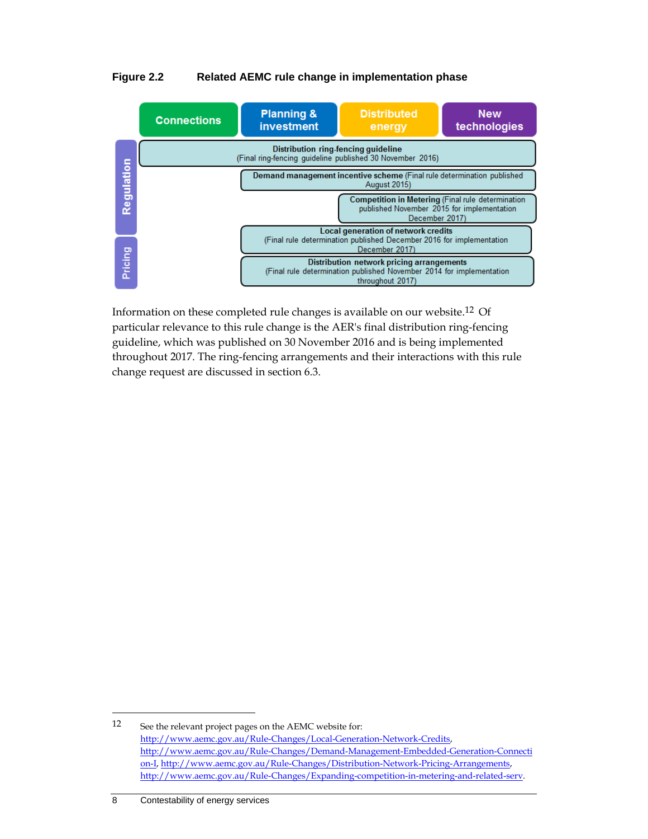#### **Figure 2.2 Related AEMC rule change in implementation phase**



Information on these completed rule changes is available on our website.12 Of particular relevance to this rule change is the AER's final distribution ring-fencing guideline, which was published on 30 November 2016 and is being implemented throughout 2017. The ring-fencing arrangements and their interactions with this rule change request are discussed in section 6.3.

<sup>12</sup> See the relevant project pages on the AEMC website for: http://www.aemc.gov.au/Rule-Changes/Local-Generation-Network-Credits, http://www.aemc.gov.au/Rule-Changes/Demand-Management-Embedded-Generation-Connecti on-I, http://www.aemc.gov.au/Rule-Changes/Distribution-Network-Pricing-Arrangements, http://www.aemc.gov.au/Rule-Changes/Expanding-competition-in-metering-and-related-serv.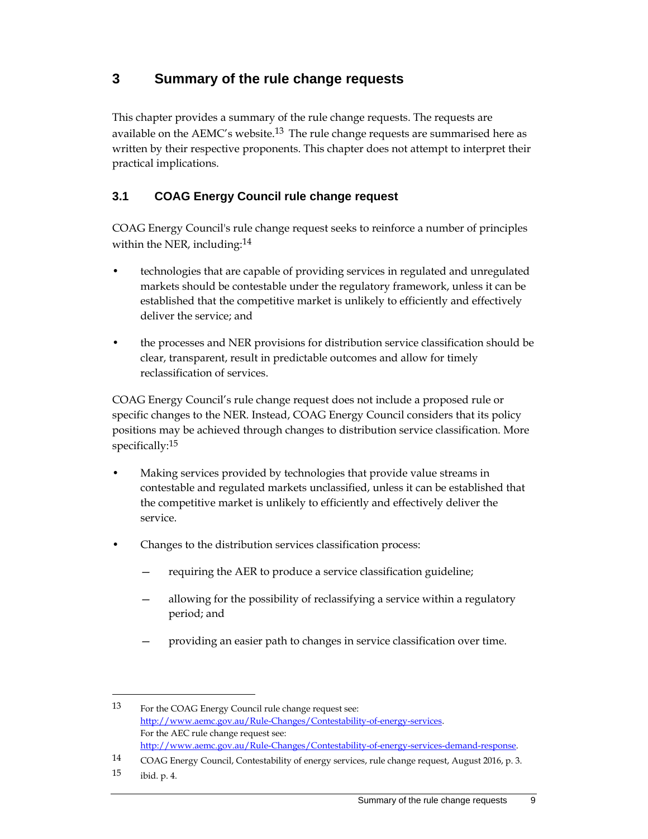## **3 Summary of the rule change requests**

This chapter provides a summary of the rule change requests. The requests are available on the AEMC's website.<sup>13</sup> The rule change requests are summarised here as written by their respective proponents. This chapter does not attempt to interpret their practical implications.

## **3.1 COAG Energy Council rule change request**

COAG Energy Council's rule change request seeks to reinforce a number of principles within the NER, including:<sup>14</sup>

- technologies that are capable of providing services in regulated and unregulated markets should be contestable under the regulatory framework, unless it can be established that the competitive market is unlikely to efficiently and effectively deliver the service; and
- the processes and NER provisions for distribution service classification should be clear, transparent, result in predictable outcomes and allow for timely reclassification of services.

COAG Energy Council's rule change request does not include a proposed rule or specific changes to the NER. Instead, COAG Energy Council considers that its policy positions may be achieved through changes to distribution service classification. More specifically:<sup>15</sup>

- Making services provided by technologies that provide value streams in contestable and regulated markets unclassified, unless it can be established that the competitive market is unlikely to efficiently and effectively deliver the service.
- Changes to the distribution services classification process:
	- requiring the AER to produce a service classification guideline;
	- allowing for the possibility of reclassifying a service within a regulatory period; and
	- providing an easier path to changes in service classification over time.

<sup>13</sup> For the COAG Energy Council rule change request see: http://www.aemc.gov.au/Rule-Changes/Contestability-of-energy-services. For the AEC rule change request see: http://www.aemc.gov.au/Rule-Changes/Contestability-of-energy-services-demand-response.

<sup>14</sup> COAG Energy Council, Contestability of energy services, rule change request, August 2016, p. 3.

<sup>15</sup> ibid. p. 4.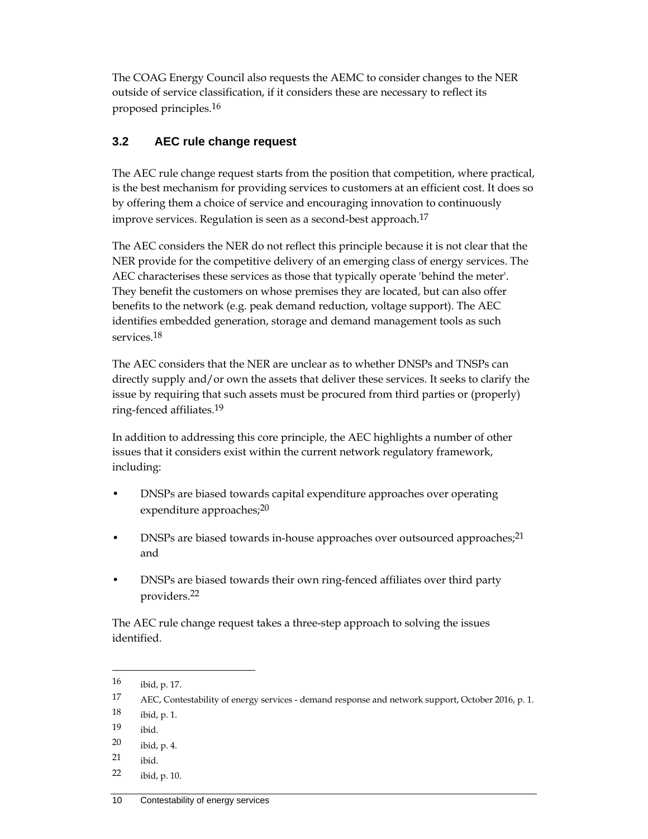The COAG Energy Council also requests the AEMC to consider changes to the NER outside of service classification, if it considers these are necessary to reflect its proposed principles.16

## **3.2 AEC rule change request**

The AEC rule change request starts from the position that competition, where practical, is the best mechanism for providing services to customers at an efficient cost. It does so by offering them a choice of service and encouraging innovation to continuously improve services. Regulation is seen as a second-best approach.<sup>17</sup>

The AEC considers the NER do not reflect this principle because it is not clear that the NER provide for the competitive delivery of an emerging class of energy services. The AEC characterises these services as those that typically operate 'behind the meter'. They benefit the customers on whose premises they are located, but can also offer benefits to the network (e.g. peak demand reduction, voltage support). The AEC identifies embedded generation, storage and demand management tools as such services.18

The AEC considers that the NER are unclear as to whether DNSPs and TNSPs can directly supply and/or own the assets that deliver these services. It seeks to clarify the issue by requiring that such assets must be procured from third parties or (properly) ring-fenced affiliates.19

In addition to addressing this core principle, the AEC highlights a number of other issues that it considers exist within the current network regulatory framework, including:

- DNSPs are biased towards capital expenditure approaches over operating expenditure approaches;<sup>20</sup>
- DNSPs are biased towards in-house approaches over outsourced approaches;<sup>21</sup> and
- DNSPs are biased towards their own ring-fenced affiliates over third party providers.22

The AEC rule change request takes a three-step approach to solving the issues identified.

- 18 ibid, p. 1.
- 19 ibid.

- 20 ibid, p. 4.
- 21 ibid.
- 22 ibid, p. 10.

<sup>16</sup> ibid, p. 17.

<sup>17</sup> AEC, Contestability of energy services - demand response and network support, October 2016, p. 1.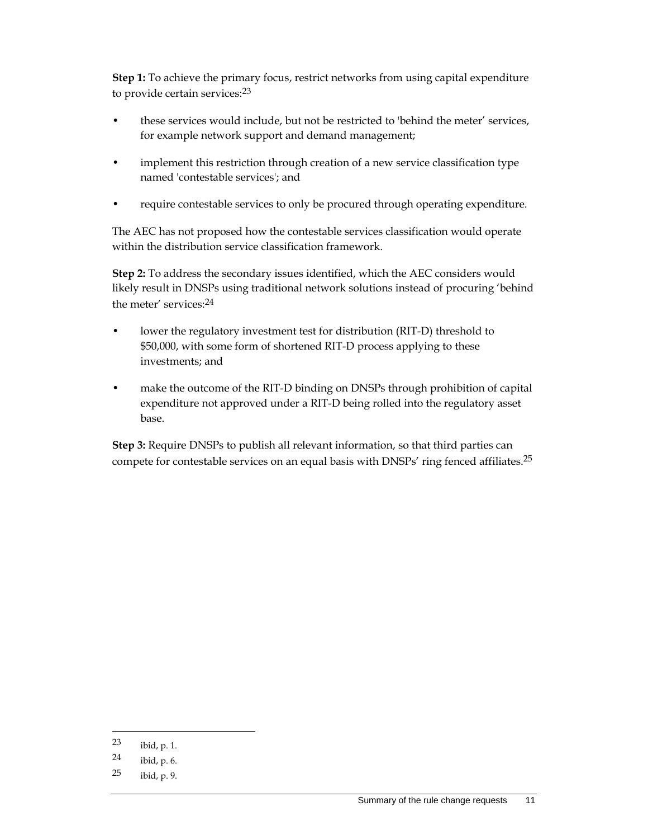**Step 1:** To achieve the primary focus, restrict networks from using capital expenditure to provide certain services:23

- these services would include, but not be restricted to 'behind the meter' services, for example network support and demand management;
- implement this restriction through creation of a new service classification type named 'contestable services'; and
- require contestable services to only be procured through operating expenditure.

The AEC has not proposed how the contestable services classification would operate within the distribution service classification framework.

**Step 2:** To address the secondary issues identified, which the AEC considers would likely result in DNSPs using traditional network solutions instead of procuring 'behind the meter' services:24

- lower the regulatory investment test for distribution (RIT-D) threshold to \$50,000, with some form of shortened RIT-D process applying to these investments; and
- make the outcome of the RIT-D binding on DNSPs through prohibition of capital expenditure not approved under a RIT-D being rolled into the regulatory asset base.

**Step 3:** Require DNSPs to publish all relevant information, so that third parties can compete for contestable services on an equal basis with DNSPs' ring fenced affiliates.25

<sup>23</sup> ibid, p. 1.

<sup>24</sup> ibid, p. 6.

 $25$  ibid, p. 9.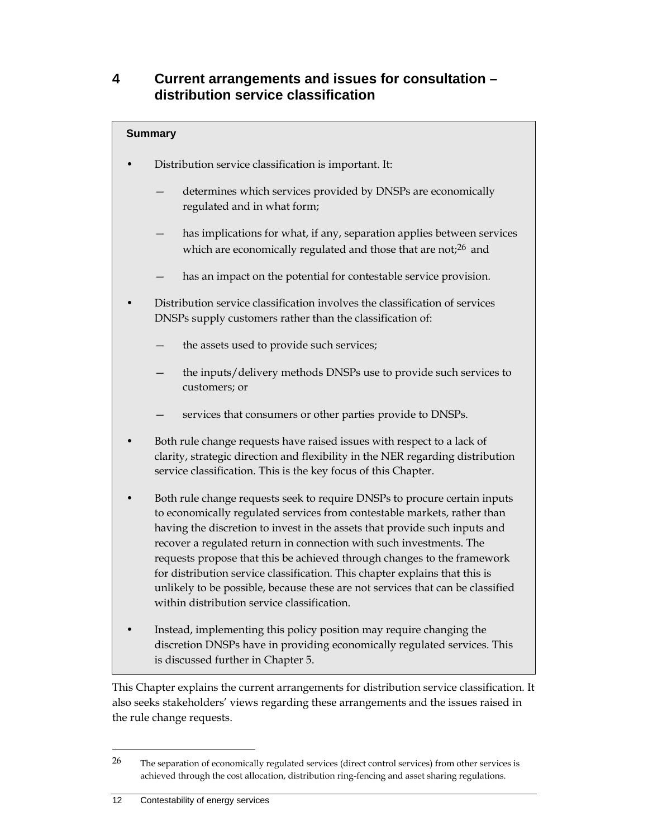## **4 Current arrangements and issues for consultation – distribution service classification**

## **Summary**

- Distribution service classification is important. It:
	- determines which services provided by DNSPs are economically regulated and in what form;
	- has implications for what, if any, separation applies between services which are economically regulated and those that are not;<sup>26</sup> and
	- has an impact on the potential for contestable service provision.
- Distribution service classification involves the classification of services DNSPs supply customers rather than the classification of:
	- the assets used to provide such services;
	- the inputs/delivery methods DNSPs use to provide such services to customers; or
	- services that consumers or other parties provide to DNSPs.
- Both rule change requests have raised issues with respect to a lack of clarity, strategic direction and flexibility in the NER regarding distribution service classification. This is the key focus of this Chapter.
- Both rule change requests seek to require DNSPs to procure certain inputs to economically regulated services from contestable markets, rather than having the discretion to invest in the assets that provide such inputs and recover a regulated return in connection with such investments. The requests propose that this be achieved through changes to the framework for distribution service classification. This chapter explains that this is unlikely to be possible, because these are not services that can be classified within distribution service classification.
- Instead, implementing this policy position may require changing the discretion DNSPs have in providing economically regulated services. This is discussed further in Chapter 5.

This Chapter explains the current arrangements for distribution service classification. It also seeks stakeholders' views regarding these arrangements and the issues raised in the rule change requests.

<sup>&</sup>lt;sup>26</sup> The separation of economically regulated services (direct control services) from other services is achieved through the cost allocation, distribution ring-fencing and asset sharing regulations.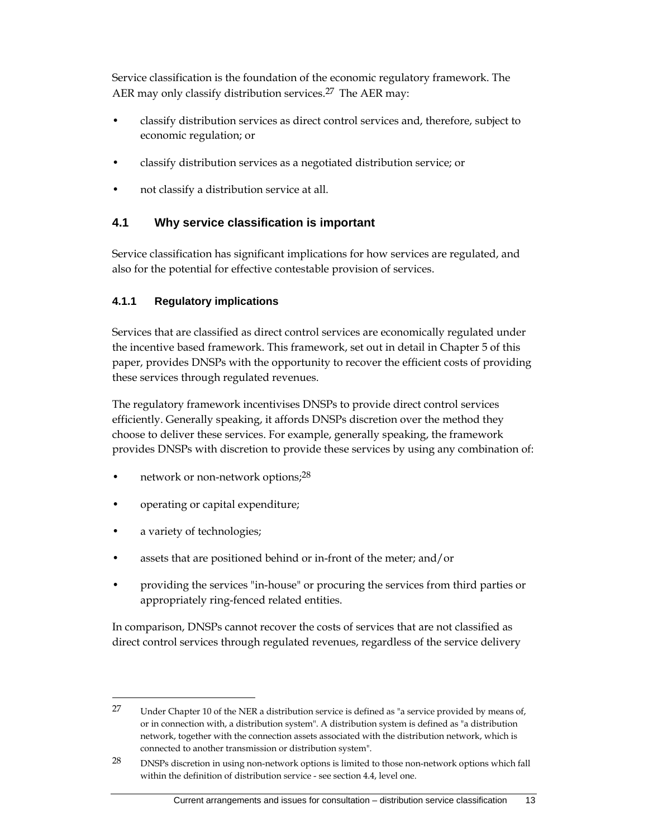Service classification is the foundation of the economic regulatory framework. The AER may only classify distribution services.<sup>27</sup> The AER may:

- classify distribution services as direct control services and, therefore, subject to economic regulation; or
- classify distribution services as a negotiated distribution service; or
- not classify a distribution service at all.

## **4.1 Why service classification is important**

Service classification has significant implications for how services are regulated, and also for the potential for effective contestable provision of services.

#### **4.1.1 Regulatory implications**

Services that are classified as direct control services are economically regulated under the incentive based framework. This framework, set out in detail in Chapter 5 of this paper, provides DNSPs with the opportunity to recover the efficient costs of providing these services through regulated revenues.

The regulatory framework incentivises DNSPs to provide direct control services efficiently. Generally speaking, it affords DNSPs discretion over the method they choose to deliver these services. For example, generally speaking, the framework provides DNSPs with discretion to provide these services by using any combination of:

- network or non-network options;<sup>28</sup>
- operating or capital expenditure;
- a variety of technologies;

- assets that are positioned behind or in-front of the meter; and/or
- providing the services "in-house" or procuring the services from third parties or appropriately ring-fenced related entities.

In comparison, DNSPs cannot recover the costs of services that are not classified as direct control services through regulated revenues, regardless of the service delivery

<sup>27</sup> Under Chapter 10 of the NER a distribution service is defined as "a service provided by means of, or in connection with, a distribution system". A distribution system is defined as "a distribution network, together with the connection assets associated with the distribution network, which is connected to another transmission or distribution system".

<sup>28</sup> DNSPs discretion in using non-network options is limited to those non-network options which fall within the definition of distribution service - see section 4.4, level one.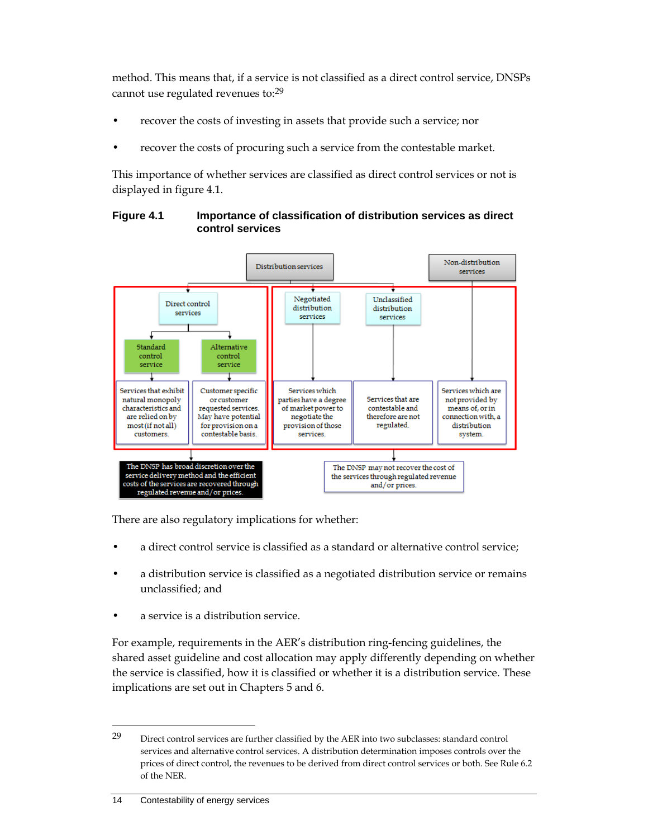method. This means that, if a service is not classified as a direct control service, DNSPs cannot use regulated revenues to:29

- recover the costs of investing in assets that provide such a service; nor
- recover the costs of procuring such a service from the contestable market.

This importance of whether services are classified as direct control services or not is displayed in figure 4.1.

#### **Figure 4.1 Importance of classification of distribution services as direct control services**



There are also regulatory implications for whether:

- a direct control service is classified as a standard or alternative control service;
- a distribution service is classified as a negotiated distribution service or remains unclassified; and
- a service is a distribution service.

For example, requirements in the AER's distribution ring-fencing guidelines, the shared asset guideline and cost allocation may apply differently depending on whether the service is classified, how it is classified or whether it is a distribution service. These implications are set out in Chapters 5 and 6.

#### 14 Contestability of energy services

<sup>29</sup> Direct control services are further classified by the AER into two subclasses: standard control services and alternative control services. A distribution determination imposes controls over the prices of direct control, the revenues to be derived from direct control services or both. See Rule 6.2 of the NER.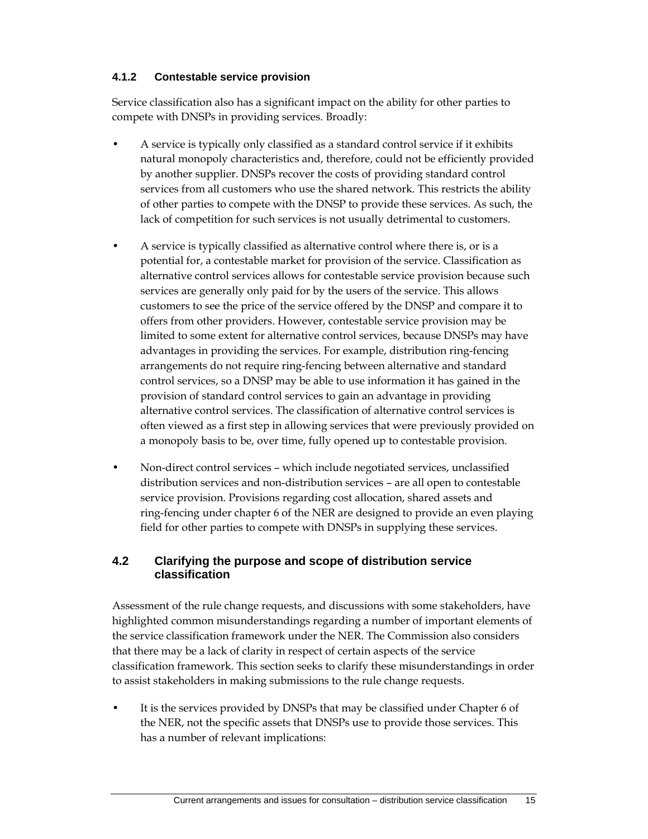#### **4.1.2 Contestable service provision**

Service classification also has a significant impact on the ability for other parties to compete with DNSPs in providing services. Broadly:

- A service is typically only classified as a standard control service if it exhibits natural monopoly characteristics and, therefore, could not be efficiently provided by another supplier. DNSPs recover the costs of providing standard control services from all customers who use the shared network. This restricts the ability of other parties to compete with the DNSP to provide these services. As such, the lack of competition for such services is not usually detrimental to customers.
- A service is typically classified as alternative control where there is, or is a potential for, a contestable market for provision of the service. Classification as alternative control services allows for contestable service provision because such services are generally only paid for by the users of the service. This allows customers to see the price of the service offered by the DNSP and compare it to offers from other providers. However, contestable service provision may be limited to some extent for alternative control services, because DNSPs may have advantages in providing the services. For example, distribution ring-fencing arrangements do not require ring-fencing between alternative and standard control services, so a DNSP may be able to use information it has gained in the provision of standard control services to gain an advantage in providing alternative control services. The classification of alternative control services is often viewed as a first step in allowing services that were previously provided on a monopoly basis to be, over time, fully opened up to contestable provision.
- Non-direct control services which include negotiated services, unclassified distribution services and non-distribution services – are all open to contestable service provision. Provisions regarding cost allocation, shared assets and ring-fencing under chapter 6 of the NER are designed to provide an even playing field for other parties to compete with DNSPs in supplying these services.

#### **4.2 Clarifying the purpose and scope of distribution service classification**

Assessment of the rule change requests, and discussions with some stakeholders, have highlighted common misunderstandings regarding a number of important elements of the service classification framework under the NER. The Commission also considers that there may be a lack of clarity in respect of certain aspects of the service classification framework. This section seeks to clarify these misunderstandings in order to assist stakeholders in making submissions to the rule change requests.

It is the services provided by DNSPs that may be classified under Chapter 6 of the NER, not the specific assets that DNSPs use to provide those services. This has a number of relevant implications: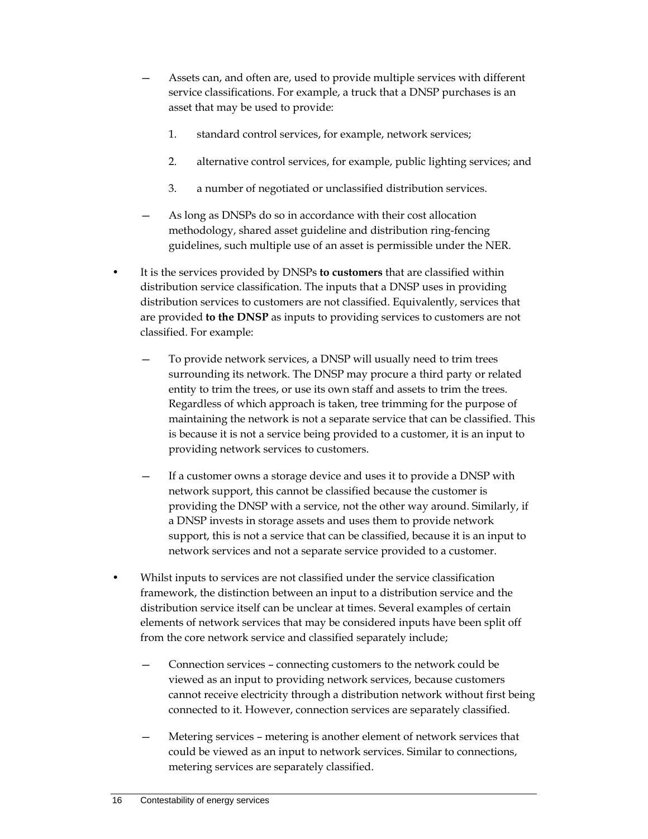- Assets can, and often are, used to provide multiple services with different service classifications. For example, a truck that a DNSP purchases is an asset that may be used to provide:
	- 1. standard control services, for example, network services;
	- 2. alternative control services, for example, public lighting services; and
	- 3. a number of negotiated or unclassified distribution services.
- As long as DNSPs do so in accordance with their cost allocation methodology, shared asset guideline and distribution ring-fencing guidelines, such multiple use of an asset is permissible under the NER.
- It is the services provided by DNSPs **to customers** that are classified within distribution service classification. The inputs that a DNSP uses in providing distribution services to customers are not classified. Equivalently, services that are provided **to the DNSP** as inputs to providing services to customers are not classified. For example:
	- To provide network services, a DNSP will usually need to trim trees surrounding its network. The DNSP may procure a third party or related entity to trim the trees, or use its own staff and assets to trim the trees. Regardless of which approach is taken, tree trimming for the purpose of maintaining the network is not a separate service that can be classified. This is because it is not a service being provided to a customer, it is an input to providing network services to customers.
	- If a customer owns a storage device and uses it to provide a DNSP with network support, this cannot be classified because the customer is providing the DNSP with a service, not the other way around. Similarly, if a DNSP invests in storage assets and uses them to provide network support, this is not a service that can be classified, because it is an input to network services and not a separate service provided to a customer.
- Whilst inputs to services are not classified under the service classification framework, the distinction between an input to a distribution service and the distribution service itself can be unclear at times. Several examples of certain elements of network services that may be considered inputs have been split off from the core network service and classified separately include;
	- Connection services connecting customers to the network could be viewed as an input to providing network services, because customers cannot receive electricity through a distribution network without first being connected to it. However, connection services are separately classified.
	- Metering services metering is another element of network services that could be viewed as an input to network services. Similar to connections, metering services are separately classified.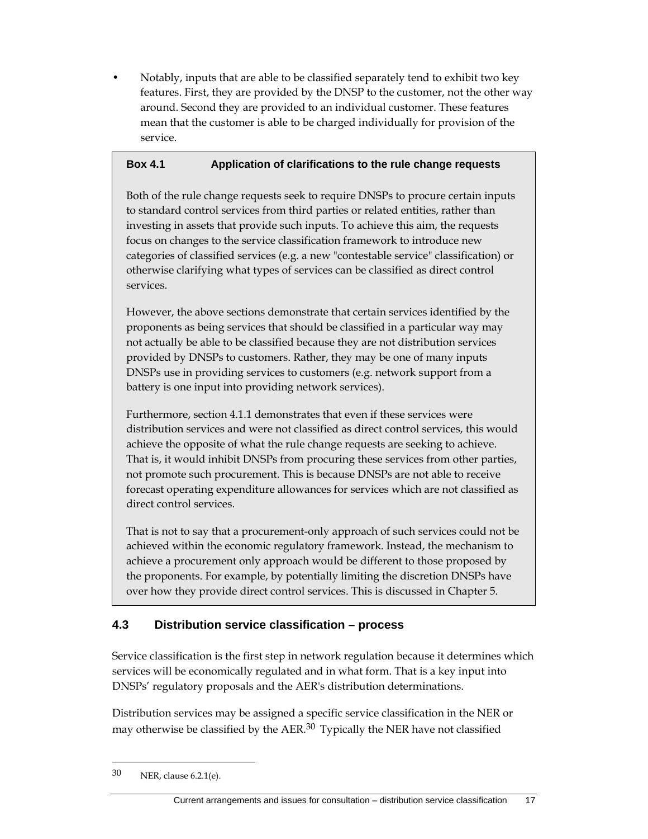• Notably, inputs that are able to be classified separately tend to exhibit two key features. First, they are provided by the DNSP to the customer, not the other way around. Second they are provided to an individual customer. These features mean that the customer is able to be charged individually for provision of the service.

#### **Box 4.1 Application of clarifications to the rule change requests**

Both of the rule change requests seek to require DNSPs to procure certain inputs to standard control services from third parties or related entities, rather than investing in assets that provide such inputs. To achieve this aim, the requests focus on changes to the service classification framework to introduce new categories of classified services (e.g. a new "contestable service" classification) or otherwise clarifying what types of services can be classified as direct control services.

However, the above sections demonstrate that certain services identified by the proponents as being services that should be classified in a particular way may not actually be able to be classified because they are not distribution services provided by DNSPs to customers. Rather, they may be one of many inputs DNSPs use in providing services to customers (e.g. network support from a battery is one input into providing network services).

Furthermore, section 4.1.1 demonstrates that even if these services were distribution services and were not classified as direct control services, this would achieve the opposite of what the rule change requests are seeking to achieve. That is, it would inhibit DNSPs from procuring these services from other parties, not promote such procurement. This is because DNSPs are not able to receive forecast operating expenditure allowances for services which are not classified as direct control services.

That is not to say that a procurement-only approach of such services could not be achieved within the economic regulatory framework. Instead, the mechanism to achieve a procurement only approach would be different to those proposed by the proponents. For example, by potentially limiting the discretion DNSPs have over how they provide direct control services. This is discussed in Chapter 5.

## **4.3 Distribution service classification – process**

Service classification is the first step in network regulation because it determines which services will be economically regulated and in what form. That is a key input into DNSPs' regulatory proposals and the AER's distribution determinations.

Distribution services may be assigned a specific service classification in the NER or may otherwise be classified by the AER.<sup>30</sup> Typically the NER have not classified

<sup>30</sup> NER, clause 6.2.1(e).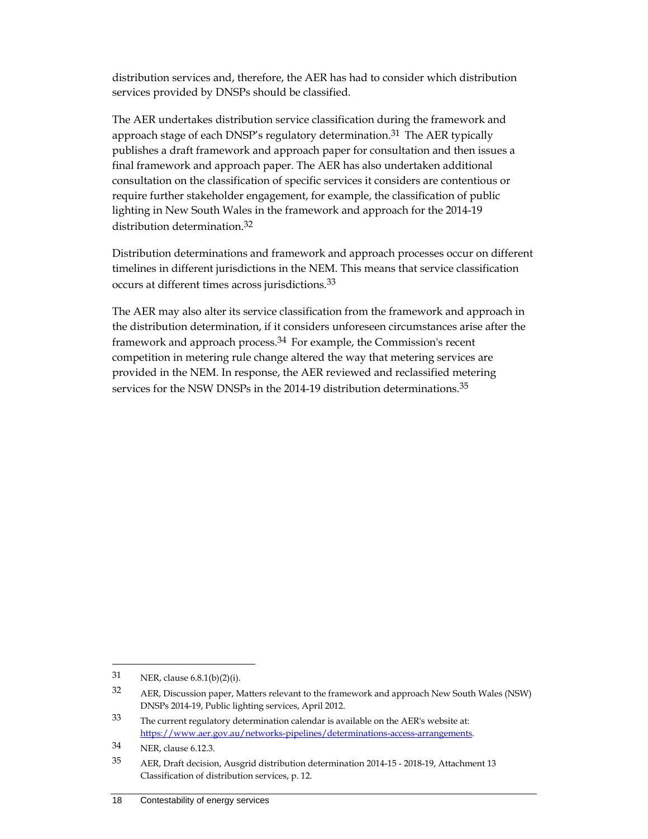distribution services and, therefore, the AER has had to consider which distribution services provided by DNSPs should be classified.

The AER undertakes distribution service classification during the framework and approach stage of each DNSP's regulatory determination.<sup>31</sup> The AER typically publishes a draft framework and approach paper for consultation and then issues a final framework and approach paper. The AER has also undertaken additional consultation on the classification of specific services it considers are contentious or require further stakeholder engagement, for example, the classification of public lighting in New South Wales in the framework and approach for the 2014-19 distribution determination.32

Distribution determinations and framework and approach processes occur on different timelines in different jurisdictions in the NEM. This means that service classification occurs at different times across jurisdictions.33

The AER may also alter its service classification from the framework and approach in the distribution determination, if it considers unforeseen circumstances arise after the framework and approach process.<sup>34</sup> For example, the Commission's recent competition in metering rule change altered the way that metering services are provided in the NEM. In response, the AER reviewed and reclassified metering services for the NSW DNSPs in the 2014-19 distribution determinations.<sup>35</sup>

<sup>31</sup> NER, clause 6.8.1(b)(2)(i).

<sup>32</sup> AER, Discussion paper, Matters relevant to the framework and approach New South Wales (NSW) DNSPs 2014-19, Public lighting services, April 2012.

<sup>33</sup> The current regulatory determination calendar is available on the AER's website at: https://www.aer.gov.au/networks-pipelines/determinations-access-arrangements.

<sup>34</sup> NER, clause 6.12.3.

<sup>35</sup> AER, Draft decision, Ausgrid distribution determination 2014-15 - 2018-19, Attachment 13 Classification of distribution services, p. 12.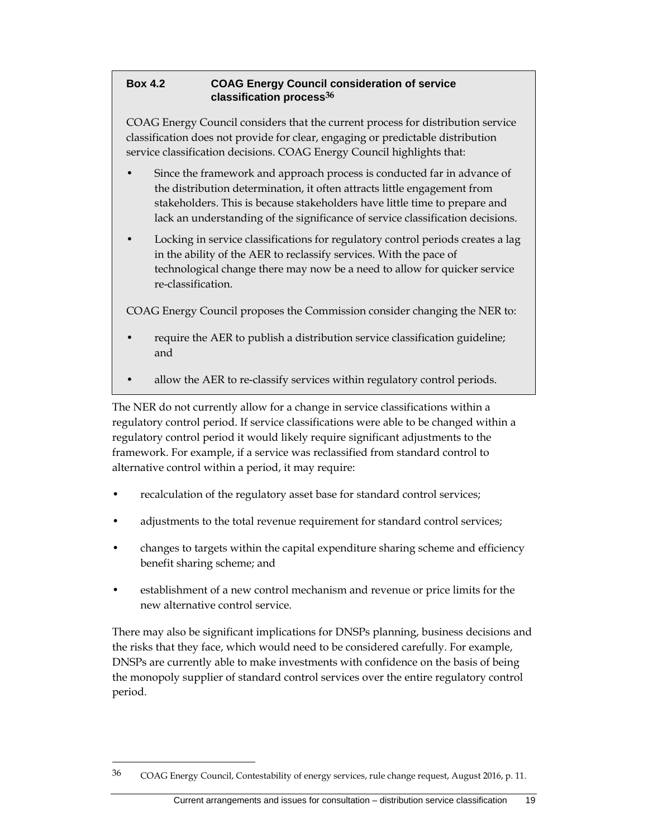### **Box 4.2 COAG Energy Council consideration of service classification process36**

COAG Energy Council considers that the current process for distribution service classification does not provide for clear, engaging or predictable distribution service classification decisions. COAG Energy Council highlights that:

- Since the framework and approach process is conducted far in advance of the distribution determination, it often attracts little engagement from stakeholders. This is because stakeholders have little time to prepare and lack an understanding of the significance of service classification decisions.
- Locking in service classifications for regulatory control periods creates a lag in the ability of the AER to reclassify services. With the pace of technological change there may now be a need to allow for quicker service re-classification.

COAG Energy Council proposes the Commission consider changing the NER to:

- require the AER to publish a distribution service classification guideline; and
- allow the AER to re-classify services within regulatory control periods.

The NER do not currently allow for a change in service classifications within a regulatory control period. If service classifications were able to be changed within a regulatory control period it would likely require significant adjustments to the framework. For example, if a service was reclassified from standard control to alternative control within a period, it may require:

- recalculation of the regulatory asset base for standard control services;
- adjustments to the total revenue requirement for standard control services;
- changes to targets within the capital expenditure sharing scheme and efficiency benefit sharing scheme; and
- establishment of a new control mechanism and revenue or price limits for the new alternative control service.

There may also be significant implications for DNSPs planning, business decisions and the risks that they face, which would need to be considered carefully. For example, DNSPs are currently able to make investments with confidence on the basis of being the monopoly supplier of standard control services over the entire regulatory control period.

<sup>&</sup>lt;sup>36</sup> COAG Energy Council, Contestability of energy services, rule change request, August 2016, p. 11.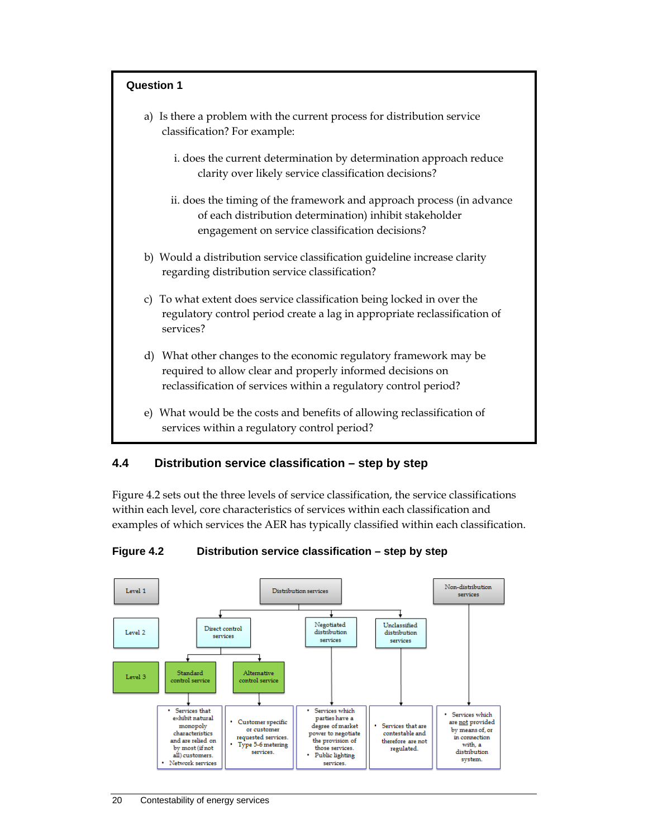

## **4.4 Distribution service classification – step by step**

Figure 4.2 sets out the three levels of service classification, the service classifications within each level, core characteristics of services within each classification and examples of which services the AER has typically classified within each classification.

#### **Figure 4.2 Distribution service classification – step by step**

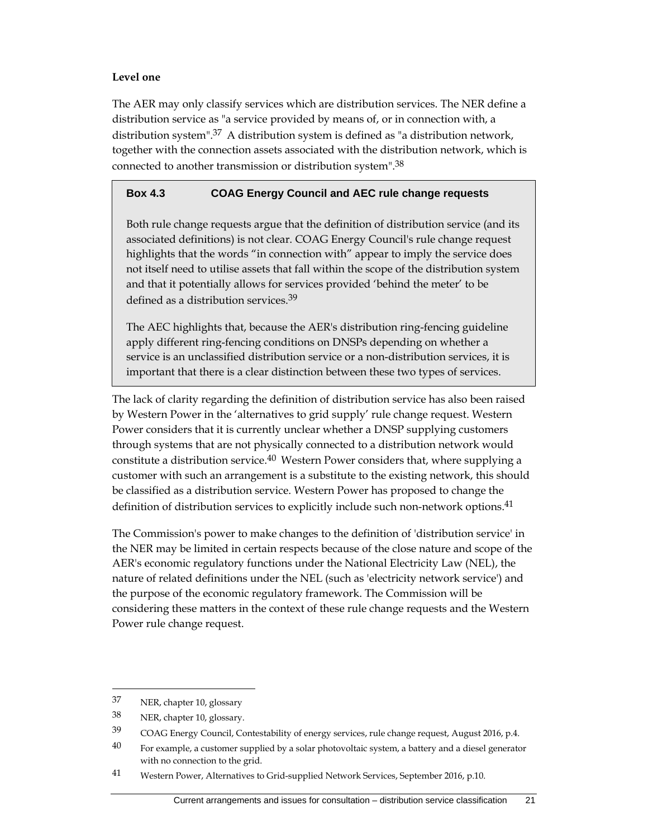#### **Level one**

The AER may only classify services which are distribution services. The NER define a distribution service as "a service provided by means of, or in connection with, a distribution system".37 A distribution system is defined as "a distribution network, together with the connection assets associated with the distribution network, which is connected to another transmission or distribution system".38

#### **Box 4.3 COAG Energy Council and AEC rule change requests**

Both rule change requests argue that the definition of distribution service (and its associated definitions) is not clear. COAG Energy Council's rule change request highlights that the words "in connection with" appear to imply the service does not itself need to utilise assets that fall within the scope of the distribution system and that it potentially allows for services provided 'behind the meter' to be defined as a distribution services.39

The AEC highlights that, because the AER's distribution ring-fencing guideline apply different ring-fencing conditions on DNSPs depending on whether a service is an unclassified distribution service or a non-distribution services, it is important that there is a clear distinction between these two types of services.

The lack of clarity regarding the definition of distribution service has also been raised by Western Power in the 'alternatives to grid supply' rule change request. Western Power considers that it is currently unclear whether a DNSP supplying customers through systems that are not physically connected to a distribution network would constitute a distribution service.40 Western Power considers that, where supplying a customer with such an arrangement is a substitute to the existing network, this should be classified as a distribution service. Western Power has proposed to change the definition of distribution services to explicitly include such non-network options.41

The Commission's power to make changes to the definition of 'distribution service' in the NER may be limited in certain respects because of the close nature and scope of the AER's economic regulatory functions under the National Electricity Law (NEL), the nature of related definitions under the NEL (such as 'electricity network service') and the purpose of the economic regulatory framework. The Commission will be considering these matters in the context of these rule change requests and the Western Power rule change request.

<sup>37</sup> NER, chapter 10, glossary

<sup>38</sup> NER, chapter 10, glossary.

<sup>39</sup> COAG Energy Council, Contestability of energy services, rule change request, August 2016, p.4.

 $40$  For example, a customer supplied by a solar photovoltaic system, a battery and a diesel generator with no connection to the grid.

<sup>41</sup> Western Power, Alternatives to Grid-supplied Network Services, September 2016, p.10.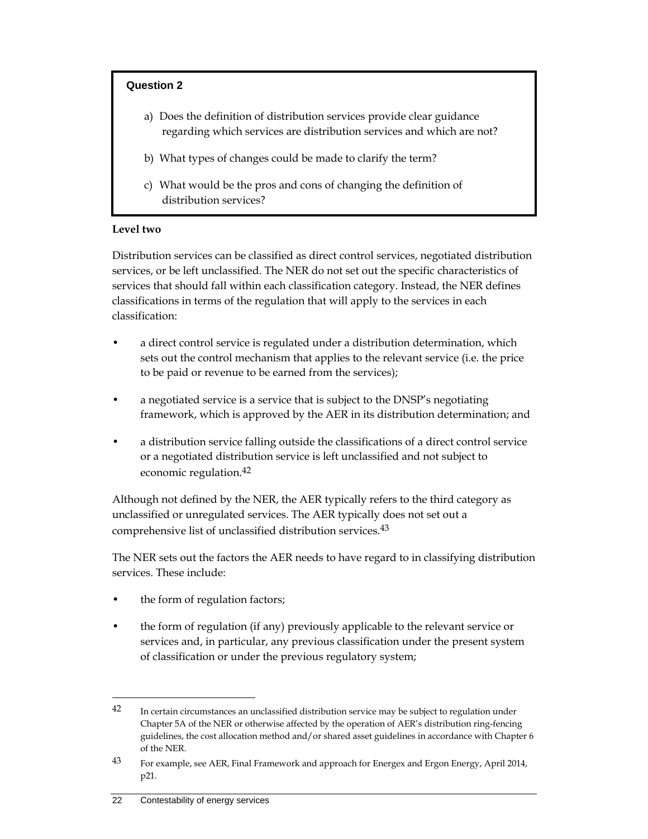#### **Question 2**

- a) Does the definition of distribution services provide clear guidance regarding which services are distribution services and which are not?
- b) What types of changes could be made to clarify the term?
- c) What would be the pros and cons of changing the definition of distribution services?

#### **Level two**

Distribution services can be classified as direct control services, negotiated distribution services, or be left unclassified. The NER do not set out the specific characteristics of services that should fall within each classification category. Instead, the NER defines classifications in terms of the regulation that will apply to the services in each classification:

- a direct control service is regulated under a distribution determination, which sets out the control mechanism that applies to the relevant service (i.e. the price to be paid or revenue to be earned from the services);
- a negotiated service is a service that is subject to the DNSP's negotiating framework, which is approved by the AER in its distribution determination; and
- a distribution service falling outside the classifications of a direct control service or a negotiated distribution service is left unclassified and not subject to economic regulation.42

Although not defined by the NER, the AER typically refers to the third category as unclassified or unregulated services. The AER typically does not set out a comprehensive list of unclassified distribution services.43

The NER sets out the factors the AER needs to have regard to in classifying distribution services. These include:

- the form of regulation factors;
- the form of regulation (if any) previously applicable to the relevant service or services and, in particular, any previous classification under the present system of classification or under the previous regulatory system;

<sup>42</sup> In certain circumstances an unclassified distribution service may be subject to regulation under Chapter 5A of the NER or otherwise affected by the operation of AER's distribution ring-fencing guidelines, the cost allocation method and/or shared asset guidelines in accordance with Chapter 6 of the NER.

<sup>43</sup> For example, see AER, Final Framework and approach for Energex and Ergon Energy, April 2014, p21.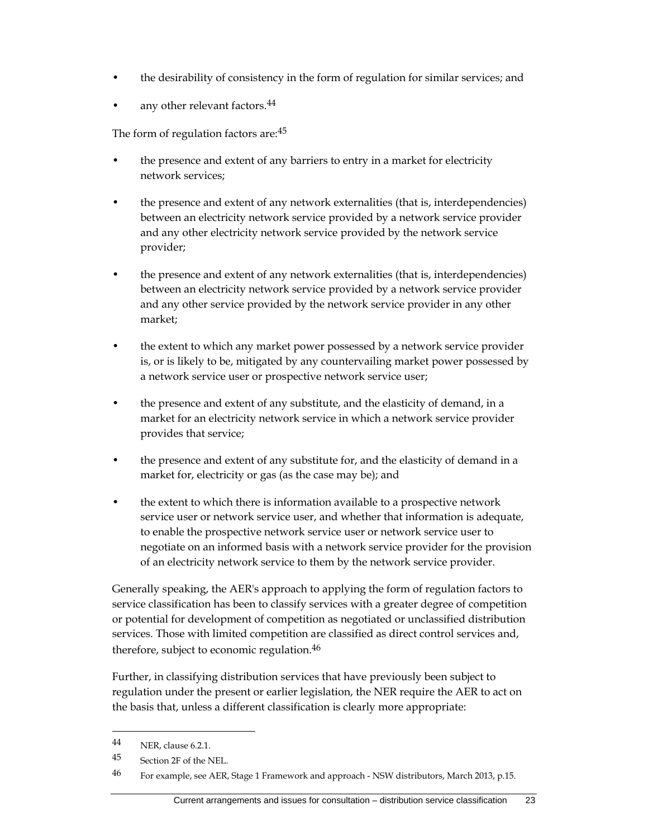- the desirability of consistency in the form of regulation for similar services; and
- any other relevant factors.<sup>44</sup>

The form of regulation factors are: 45

- the presence and extent of any barriers to entry in a market for electricity network services;
- the presence and extent of any network externalities (that is, interdependencies) between an electricity network service provided by a network service provider and any other electricity network service provided by the network service provider;
- the presence and extent of any network externalities (that is, interdependencies) between an electricity network service provided by a network service provider and any other service provided by the network service provider in any other market;
- the extent to which any market power possessed by a network service provider is, or is likely to be, mitigated by any countervailing market power possessed by a network service user or prospective network service user;
- the presence and extent of any substitute, and the elasticity of demand, in a market for an electricity network service in which a network service provider provides that service;
- the presence and extent of any substitute for, and the elasticity of demand in a market for, electricity or gas (as the case may be); and
- the extent to which there is information available to a prospective network service user or network service user, and whether that information is adequate, to enable the prospective network service user or network service user to negotiate on an informed basis with a network service provider for the provision of an electricity network service to them by the network service provider.

Generally speaking, the AER's approach to applying the form of regulation factors to service classification has been to classify services with a greater degree of competition or potential for development of competition as negotiated or unclassified distribution services. Those with limited competition are classified as direct control services and, therefore, subject to economic regulation.<sup>46</sup>

Further, in classifying distribution services that have previously been subject to regulation under the present or earlier legislation, the NER require the AER to act on the basis that, unless a different classification is clearly more appropriate:

<sup>44</sup> NER, clause 6.2.1.

<sup>45</sup> Section 2F of the NEL.

<sup>46</sup> For example, see AER, Stage 1 Framework and approach - NSW distributors, March 2013, p.15.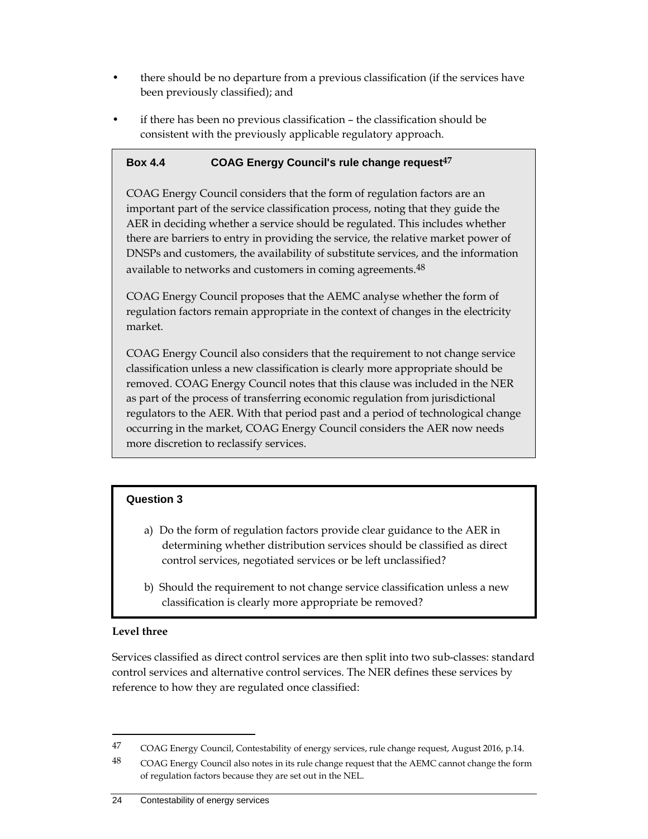- there should be no departure from a previous classification (if the services have been previously classified); and
- if there has been no previous classification the classification should be consistent with the previously applicable regulatory approach.

### **Box 4.4 COAG Energy Council's rule change request47**

COAG Energy Council considers that the form of regulation factors are an important part of the service classification process, noting that they guide the AER in deciding whether a service should be regulated. This includes whether there are barriers to entry in providing the service, the relative market power of DNSPs and customers, the availability of substitute services, and the information available to networks and customers in coming agreements.48

COAG Energy Council proposes that the AEMC analyse whether the form of regulation factors remain appropriate in the context of changes in the electricity market.

COAG Energy Council also considers that the requirement to not change service classification unless a new classification is clearly more appropriate should be removed. COAG Energy Council notes that this clause was included in the NER as part of the process of transferring economic regulation from jurisdictional regulators to the AER. With that period past and a period of technological change occurring in the market, COAG Energy Council considers the AER now needs more discretion to reclassify services.

## **Question 3**

- a) Do the form of regulation factors provide clear guidance to the AER in determining whether distribution services should be classified as direct control services, negotiated services or be left unclassified?
- b) Should the requirement to not change service classification unless a new classification is clearly more appropriate be removed?

#### **Level three**

 $\overline{a}$ 

Services classified as direct control services are then split into two sub-classes: standard control services and alternative control services. The NER defines these services by reference to how they are regulated once classified:

<sup>47</sup> COAG Energy Council, Contestability of energy services, rule change request, August 2016, p.14.

<sup>48</sup> COAG Energy Council also notes in its rule change request that the AEMC cannot change the form of regulation factors because they are set out in the NEL.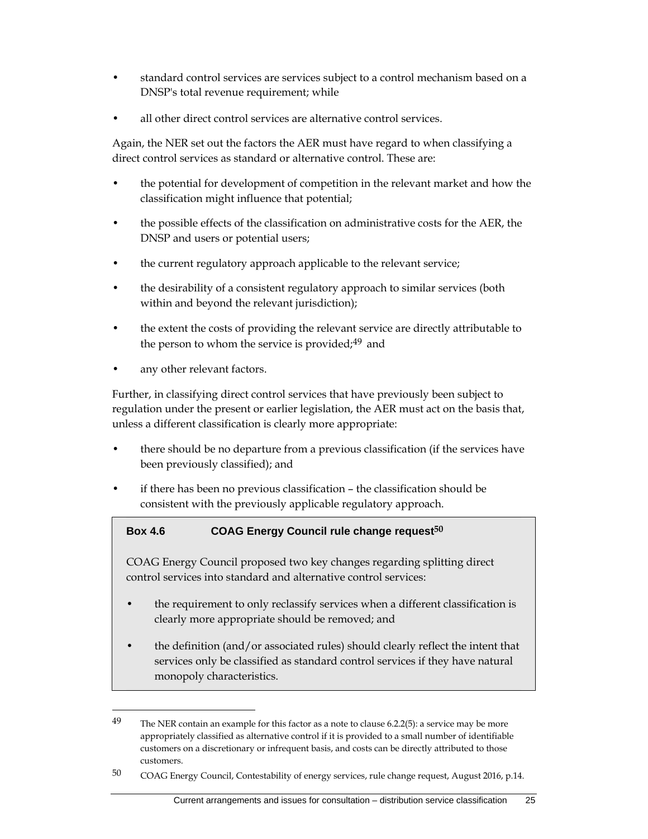- standard control services are services subject to a control mechanism based on a DNSP's total revenue requirement; while
- all other direct control services are alternative control services.

Again, the NER set out the factors the AER must have regard to when classifying a direct control services as standard or alternative control. These are:

- the potential for development of competition in the relevant market and how the classification might influence that potential;
- the possible effects of the classification on administrative costs for the AER, the DNSP and users or potential users;
- the current regulatory approach applicable to the relevant service;
- the desirability of a consistent regulatory approach to similar services (both within and beyond the relevant jurisdiction);
- the extent the costs of providing the relevant service are directly attributable to the person to whom the service is provided; $49$  and
- any other relevant factors.

 $\overline{a}$ 

Further, in classifying direct control services that have previously been subject to regulation under the present or earlier legislation, the AER must act on the basis that, unless a different classification is clearly more appropriate:

- there should be no departure from a previous classification (if the services have been previously classified); and
- if there has been no previous classification the classification should be consistent with the previously applicable regulatory approach.

## **Box 4.6 COAG Energy Council rule change request50**

COAG Energy Council proposed two key changes regarding splitting direct control services into standard and alternative control services:

- the requirement to only reclassify services when a different classification is clearly more appropriate should be removed; and
- the definition (and/or associated rules) should clearly reflect the intent that services only be classified as standard control services if they have natural monopoly characteristics.

<sup>&</sup>lt;sup>49</sup> The NER contain an example for this factor as a note to clause 6.2.2(5): a service may be more appropriately classified as alternative control if it is provided to a small number of identifiable customers on a discretionary or infrequent basis, and costs can be directly attributed to those customers.

<sup>50</sup> COAG Energy Council, Contestability of energy services, rule change request, August 2016, p.14.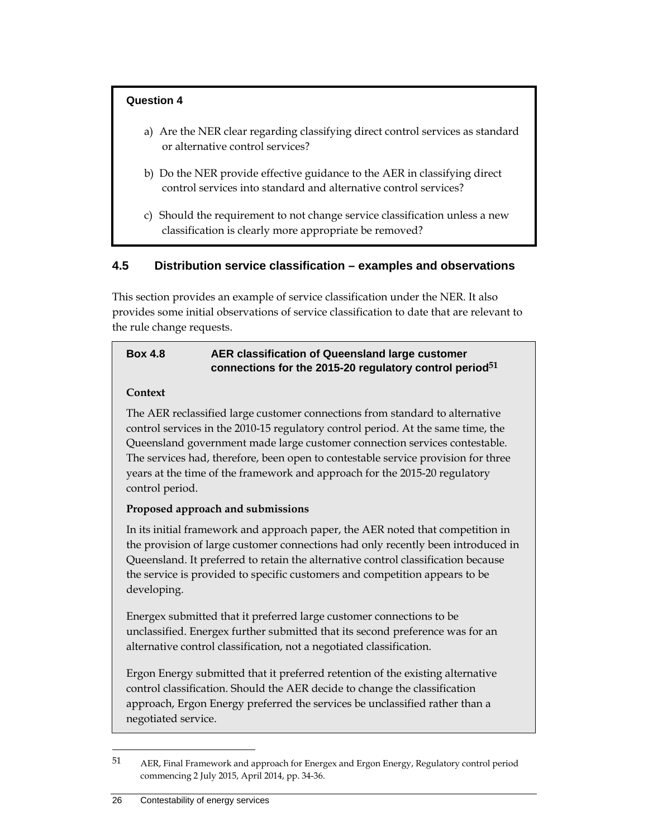#### **Question 4**

- a) Are the NER clear regarding classifying direct control services as standard or alternative control services?
- b) Do the NER provide effective guidance to the AER in classifying direct control services into standard and alternative control services?
- c) Should the requirement to not change service classification unless a new classification is clearly more appropriate be removed?

## **4.5 Distribution service classification – examples and observations**

This section provides an example of service classification under the NER. It also provides some initial observations of service classification to date that are relevant to the rule change requests.

## **Box 4.8 AER classification of Queensland large customer connections for the 2015-20 regulatory control period51**

#### **Context**

The AER reclassified large customer connections from standard to alternative control services in the 2010-15 regulatory control period. At the same time, the Queensland government made large customer connection services contestable. The services had, therefore, been open to contestable service provision for three years at the time of the framework and approach for the 2015-20 regulatory control period.

## **Proposed approach and submissions**

In its initial framework and approach paper, the AER noted that competition in the provision of large customer connections had only recently been introduced in Queensland. It preferred to retain the alternative control classification because the service is provided to specific customers and competition appears to be developing.

Energex submitted that it preferred large customer connections to be unclassified. Energex further submitted that its second preference was for an alternative control classification, not a negotiated classification.

Ergon Energy submitted that it preferred retention of the existing alternative control classification. Should the AER decide to change the classification approach, Ergon Energy preferred the services be unclassified rather than a negotiated service.

<sup>51</sup> AER, Final Framework and approach for Energex and Ergon Energy, Regulatory control period commencing 2 July 2015, April 2014, pp. 34-36.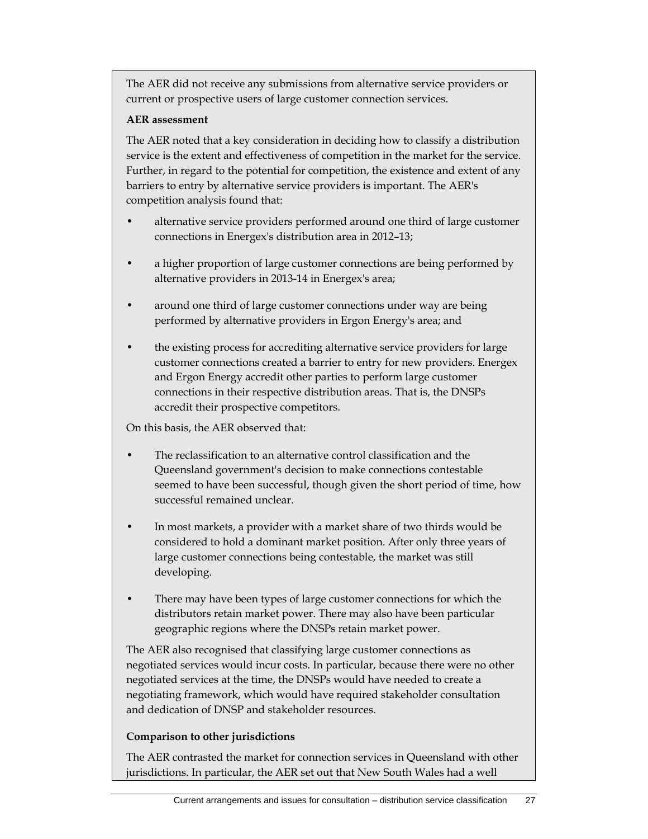The AER did not receive any submissions from alternative service providers or current or prospective users of large customer connection services.

#### **AER assessment**

The AER noted that a key consideration in deciding how to classify a distribution service is the extent and effectiveness of competition in the market for the service. Further, in regard to the potential for competition, the existence and extent of any barriers to entry by alternative service providers is important. The AER's competition analysis found that:

- alternative service providers performed around one third of large customer connections in Energex's distribution area in 2012–13;
- a higher proportion of large customer connections are being performed by alternative providers in 2013-14 in Energex's area;
- around one third of large customer connections under way are being performed by alternative providers in Ergon Energy's area; and
- the existing process for accrediting alternative service providers for large customer connections created a barrier to entry for new providers. Energex and Ergon Energy accredit other parties to perform large customer connections in their respective distribution areas. That is, the DNSPs accredit their prospective competitors.

On this basis, the AER observed that:

- The reclassification to an alternative control classification and the Queensland government's decision to make connections contestable seemed to have been successful, though given the short period of time, how successful remained unclear.
- In most markets, a provider with a market share of two thirds would be considered to hold a dominant market position. After only three years of large customer connections being contestable, the market was still developing.
- There may have been types of large customer connections for which the distributors retain market power. There may also have been particular geographic regions where the DNSPs retain market power.

The AER also recognised that classifying large customer connections as negotiated services would incur costs. In particular, because there were no other negotiated services at the time, the DNSPs would have needed to create a negotiating framework, which would have required stakeholder consultation and dedication of DNSP and stakeholder resources.

#### **Comparison to other jurisdictions**

The AER contrasted the market for connection services in Queensland with other jurisdictions. In particular, the AER set out that New South Wales had a well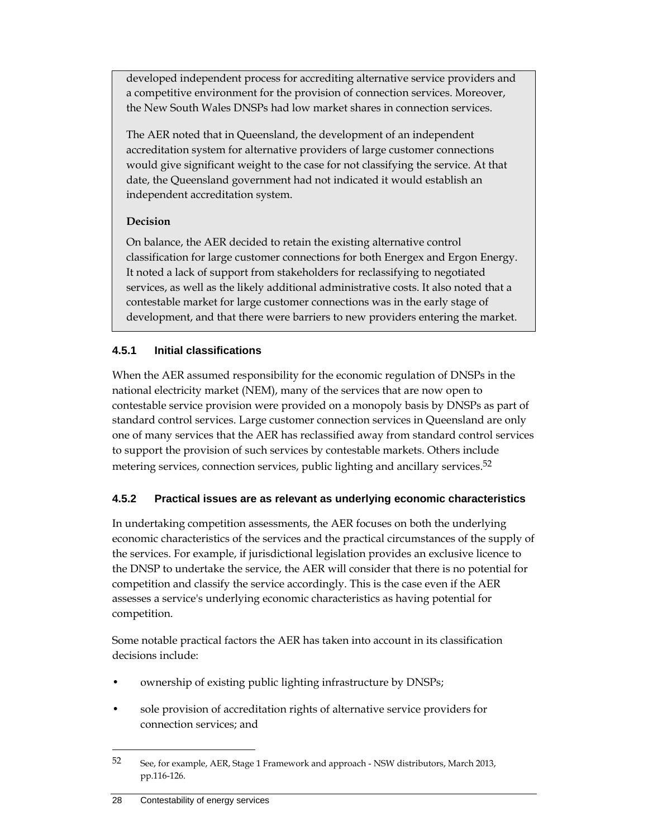developed independent process for accrediting alternative service providers and a competitive environment for the provision of connection services. Moreover, the New South Wales DNSPs had low market shares in connection services.

The AER noted that in Queensland, the development of an independent accreditation system for alternative providers of large customer connections would give significant weight to the case for not classifying the service. At that date, the Queensland government had not indicated it would establish an independent accreditation system.

## **Decision**

On balance, the AER decided to retain the existing alternative control classification for large customer connections for both Energex and Ergon Energy. It noted a lack of support from stakeholders for reclassifying to negotiated services, as well as the likely additional administrative costs. It also noted that a contestable market for large customer connections was in the early stage of development, and that there were barriers to new providers entering the market.

## **4.5.1 Initial classifications**

When the AER assumed responsibility for the economic regulation of DNSPs in the national electricity market (NEM), many of the services that are now open to contestable service provision were provided on a monopoly basis by DNSPs as part of standard control services. Large customer connection services in Queensland are only one of many services that the AER has reclassified away from standard control services to support the provision of such services by contestable markets. Others include metering services, connection services, public lighting and ancillary services.<sup>52</sup>

## **4.5.2 Practical issues are as relevant as underlying economic characteristics**

In undertaking competition assessments, the AER focuses on both the underlying economic characteristics of the services and the practical circumstances of the supply of the services. For example, if jurisdictional legislation provides an exclusive licence to the DNSP to undertake the service, the AER will consider that there is no potential for competition and classify the service accordingly. This is the case even if the AER assesses a service's underlying economic characteristics as having potential for competition.

Some notable practical factors the AER has taken into account in its classification decisions include:

- ownership of existing public lighting infrastructure by DNSPs;
- sole provision of accreditation rights of alternative service providers for connection services; and

<sup>52</sup> See, for example, AER, Stage 1 Framework and approach - NSW distributors, March 2013, pp.116-126.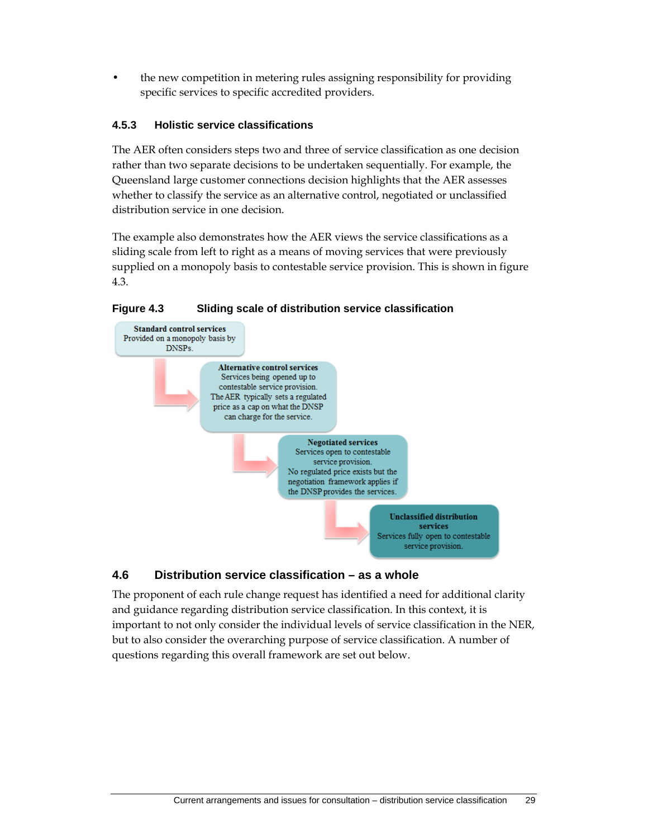• the new competition in metering rules assigning responsibility for providing specific services to specific accredited providers.

#### **4.5.3 Holistic service classifications**

The AER often considers steps two and three of service classification as one decision rather than two separate decisions to be undertaken sequentially. For example, the Queensland large customer connections decision highlights that the AER assesses whether to classify the service as an alternative control, negotiated or unclassified distribution service in one decision.

The example also demonstrates how the AER views the service classifications as a sliding scale from left to right as a means of moving services that were previously supplied on a monopoly basis to contestable service provision. This is shown in figure 4.3.

#### **Figure 4.3 Sliding scale of distribution service classification**



## **4.6 Distribution service classification – as a whole**

The proponent of each rule change request has identified a need for additional clarity and guidance regarding distribution service classification. In this context, it is important to not only consider the individual levels of service classification in the NER, but to also consider the overarching purpose of service classification. A number of questions regarding this overall framework are set out below.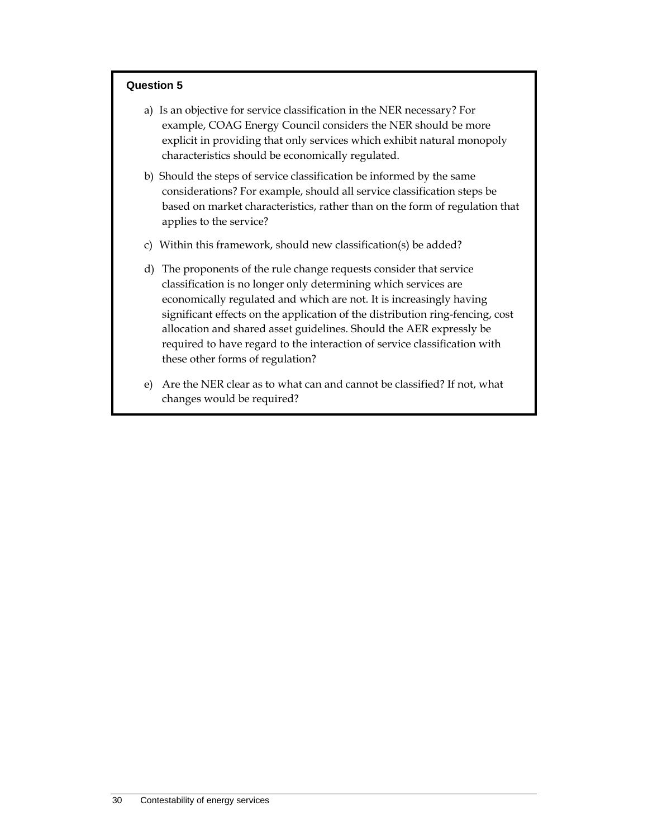#### **Question 5**

- a) Is an objective for service classification in the NER necessary? For example, COAG Energy Council considers the NER should be more explicit in providing that only services which exhibit natural monopoly characteristics should be economically regulated.
- b) Should the steps of service classification be informed by the same considerations? For example, should all service classification steps be based on market characteristics, rather than on the form of regulation that applies to the service?
- c) Within this framework, should new classification(s) be added?
- d) The proponents of the rule change requests consider that service classification is no longer only determining which services are economically regulated and which are not. It is increasingly having significant effects on the application of the distribution ring-fencing, cost allocation and shared asset guidelines. Should the AER expressly be required to have regard to the interaction of service classification with these other forms of regulation?
- e) Are the NER clear as to what can and cannot be classified? If not, what changes would be required?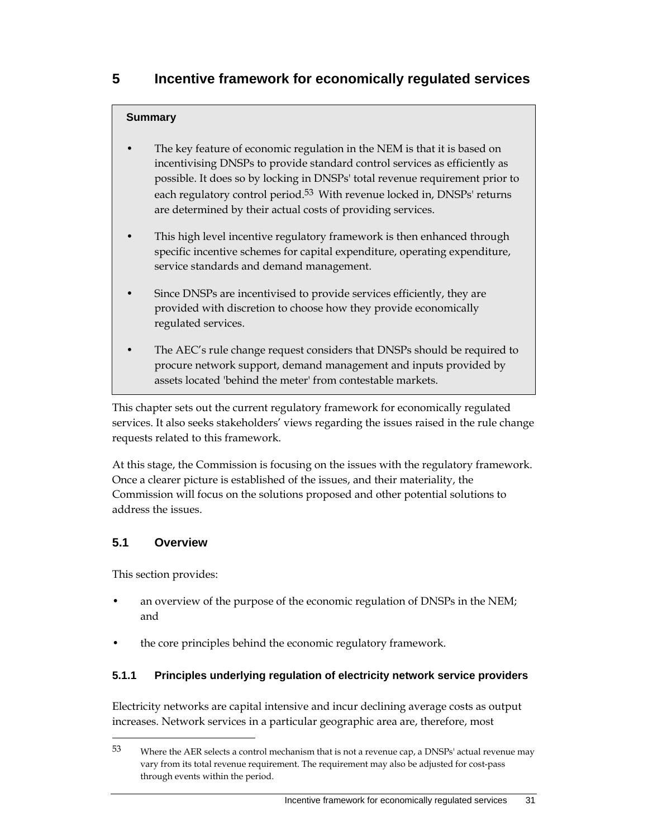## **Summary**

- The key feature of economic regulation in the NEM is that it is based on incentivising DNSPs to provide standard control services as efficiently as possible. It does so by locking in DNSPs' total revenue requirement prior to each regulatory control period.<sup>53</sup> With revenue locked in, DNSPs' returns are determined by their actual costs of providing services.
- This high level incentive regulatory framework is then enhanced through specific incentive schemes for capital expenditure, operating expenditure, service standards and demand management.
- Since DNSPs are incentivised to provide services efficiently, they are provided with discretion to choose how they provide economically regulated services.
- The AEC's rule change request considers that DNSPs should be required to procure network support, demand management and inputs provided by assets located 'behind the meter' from contestable markets.

This chapter sets out the current regulatory framework for economically regulated services. It also seeks stakeholders' views regarding the issues raised in the rule change requests related to this framework.

At this stage, the Commission is focusing on the issues with the regulatory framework. Once a clearer picture is established of the issues, and their materiality, the Commission will focus on the solutions proposed and other potential solutions to address the issues.

## **5.1 Overview**

This section provides:

 $\overline{a}$ 

- an overview of the purpose of the economic regulation of DNSPs in the NEM; and
- the core principles behind the economic regulatory framework.

## **5.1.1 Principles underlying regulation of electricity network service providers**

Electricity networks are capital intensive and incur declining average costs as output increases. Network services in a particular geographic area are, therefore, most

<sup>53</sup> Where the AER selects a control mechanism that is not a revenue cap, a DNSPs' actual revenue may vary from its total revenue requirement. The requirement may also be adjusted for cost-pass through events within the period.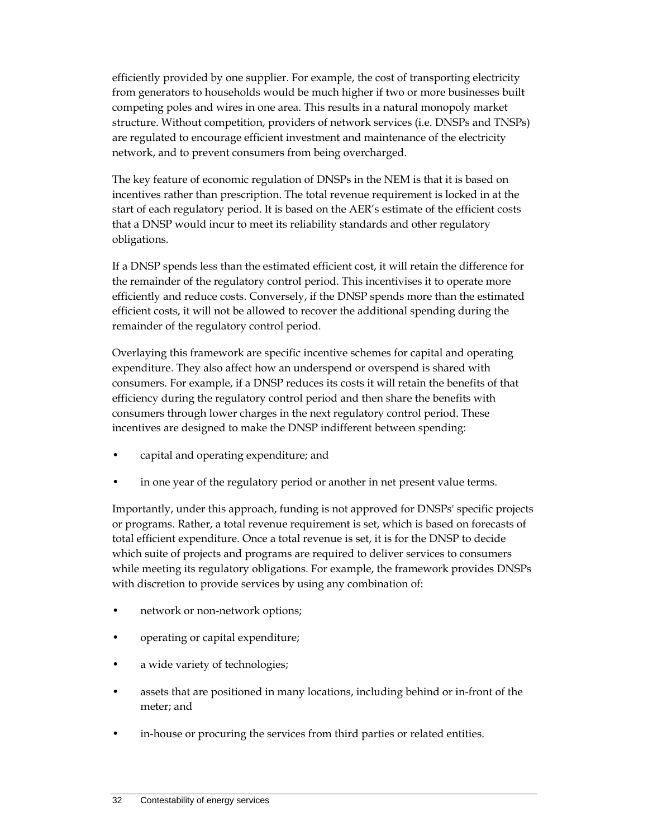efficiently provided by one supplier. For example, the cost of transporting electricity from generators to households would be much higher if two or more businesses built competing poles and wires in one area. This results in a natural monopoly market structure. Without competition, providers of network services (i.e. DNSPs and TNSPs) are regulated to encourage efficient investment and maintenance of the electricity network, and to prevent consumers from being overcharged.

The key feature of economic regulation of DNSPs in the NEM is that it is based on incentives rather than prescription. The total revenue requirement is locked in at the start of each regulatory period. It is based on the AER's estimate of the efficient costs that a DNSP would incur to meet its reliability standards and other regulatory obligations.

If a DNSP spends less than the estimated efficient cost, it will retain the difference for the remainder of the regulatory control period. This incentivises it to operate more efficiently and reduce costs. Conversely, if the DNSP spends more than the estimated efficient costs, it will not be allowed to recover the additional spending during the remainder of the regulatory control period.

Overlaying this framework are specific incentive schemes for capital and operating expenditure. They also affect how an underspend or overspend is shared with consumers. For example, if a DNSP reduces its costs it will retain the benefits of that efficiency during the regulatory control period and then share the benefits with consumers through lower charges in the next regulatory control period. These incentives are designed to make the DNSP indifferent between spending:

- capital and operating expenditure; and
- in one year of the regulatory period or another in net present value terms.

Importantly, under this approach, funding is not approved for DNSPs' specific projects or programs. Rather, a total revenue requirement is set, which is based on forecasts of total efficient expenditure. Once a total revenue is set, it is for the DNSP to decide which suite of projects and programs are required to deliver services to consumers while meeting its regulatory obligations. For example, the framework provides DNSPs with discretion to provide services by using any combination of:

- network or non-network options;
- operating or capital expenditure;
- a wide variety of technologies;
- assets that are positioned in many locations, including behind or in-front of the meter; and
- in-house or procuring the services from third parties or related entities.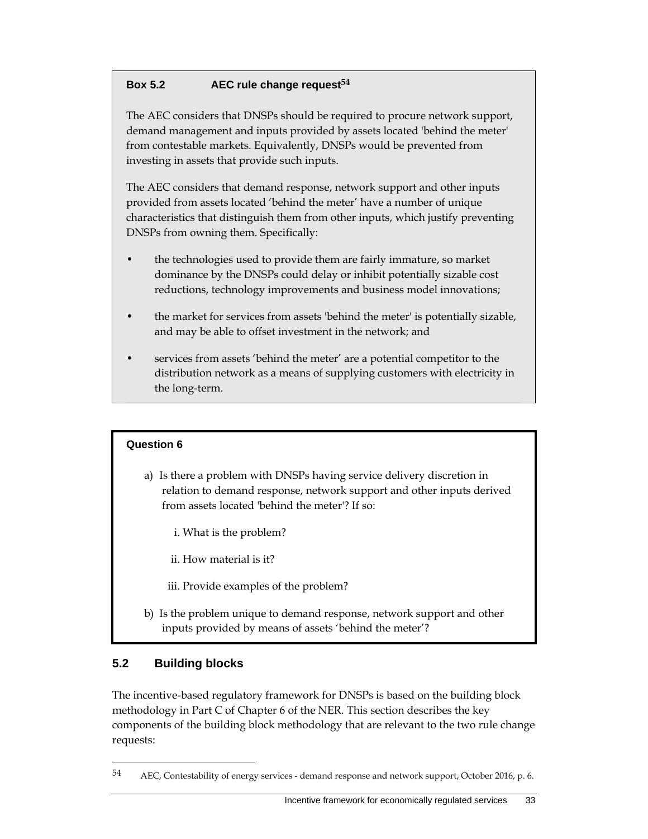## **Box 5.2 AEC rule change request54**

The AEC considers that DNSPs should be required to procure network support, demand management and inputs provided by assets located 'behind the meter' from contestable markets. Equivalently, DNSPs would be prevented from investing in assets that provide such inputs.

The AEC considers that demand response, network support and other inputs provided from assets located 'behind the meter' have a number of unique characteristics that distinguish them from other inputs, which justify preventing DNSPs from owning them. Specifically:

- the technologies used to provide them are fairly immature, so market dominance by the DNSPs could delay or inhibit potentially sizable cost reductions, technology improvements and business model innovations;
- the market for services from assets 'behind the meter' is potentially sizable, and may be able to offset investment in the network; and
- services from assets 'behind the meter' are a potential competitor to the distribution network as a means of supplying customers with electricity in the long-term.

## **Question 6**

- a) Is there a problem with DNSPs having service delivery discretion in relation to demand response, network support and other inputs derived from assets located 'behind the meter'? If so:
	- i. What is the problem?
	- ii. How material is it?
	- iii. Provide examples of the problem?
- b) Is the problem unique to demand response, network support and other inputs provided by means of assets 'behind the meter'?

## **5.2 Building blocks**

 $\overline{a}$ 

The incentive-based regulatory framework for DNSPs is based on the building block methodology in Part C of Chapter 6 of the NER. This section describes the key components of the building block methodology that are relevant to the two rule change requests:

<sup>54</sup> AEC, Contestability of energy services - demand response and network support, October 2016, p. 6.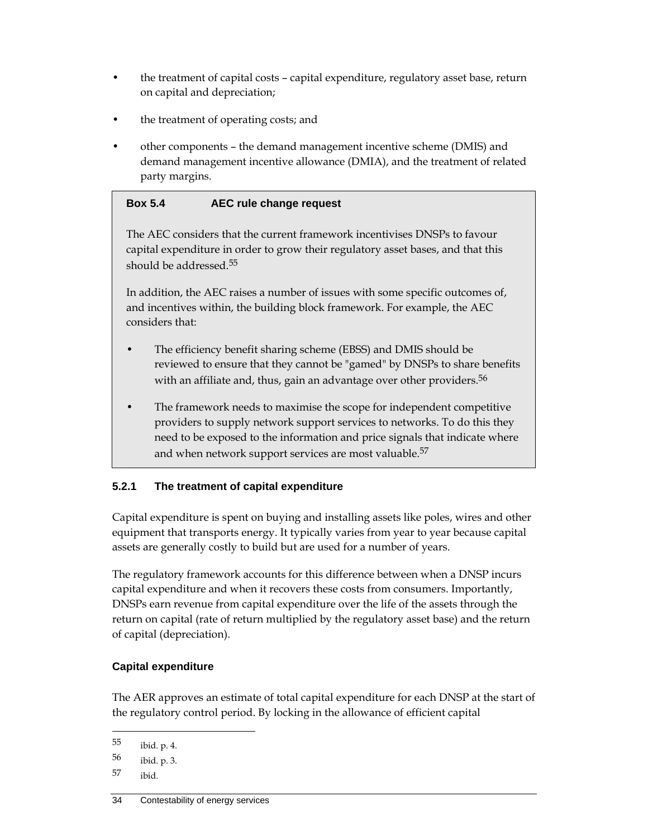- the treatment of capital costs capital expenditure, regulatory asset base, return on capital and depreciation;
- the treatment of operating costs; and
- other components the demand management incentive scheme (DMIS) and demand management incentive allowance (DMIA), and the treatment of related party margins.

#### **Box 5.4 AEC rule change request**

The AEC considers that the current framework incentivises DNSPs to favour capital expenditure in order to grow their regulatory asset bases, and that this should be addressed.55

In addition, the AEC raises a number of issues with some specific outcomes of, and incentives within, the building block framework. For example, the AEC considers that:

- The efficiency benefit sharing scheme (EBSS) and DMIS should be reviewed to ensure that they cannot be "gamed" by DNSPs to share benefits with an affiliate and, thus, gain an advantage over other providers.<sup>56</sup>
- The framework needs to maximise the scope for independent competitive providers to supply network support services to networks. To do this they need to be exposed to the information and price signals that indicate where and when network support services are most valuable.<sup>57</sup>

## **5.2.1 The treatment of capital expenditure**

Capital expenditure is spent on buying and installing assets like poles, wires and other equipment that transports energy. It typically varies from year to year because capital assets are generally costly to build but are used for a number of years.

The regulatory framework accounts for this difference between when a DNSP incurs capital expenditure and when it recovers these costs from consumers. Importantly, DNSPs earn revenue from capital expenditure over the life of the assets through the return on capital (rate of return multiplied by the regulatory asset base) and the return of capital (depreciation).

#### **Capital expenditure**

The AER approves an estimate of total capital expenditure for each DNSP at the start of the regulatory control period. By locking in the allowance of efficient capital

<sup>55</sup> ibid. p. 4.

<sup>56</sup> ibid. p. 3.

<sup>57</sup> ibid.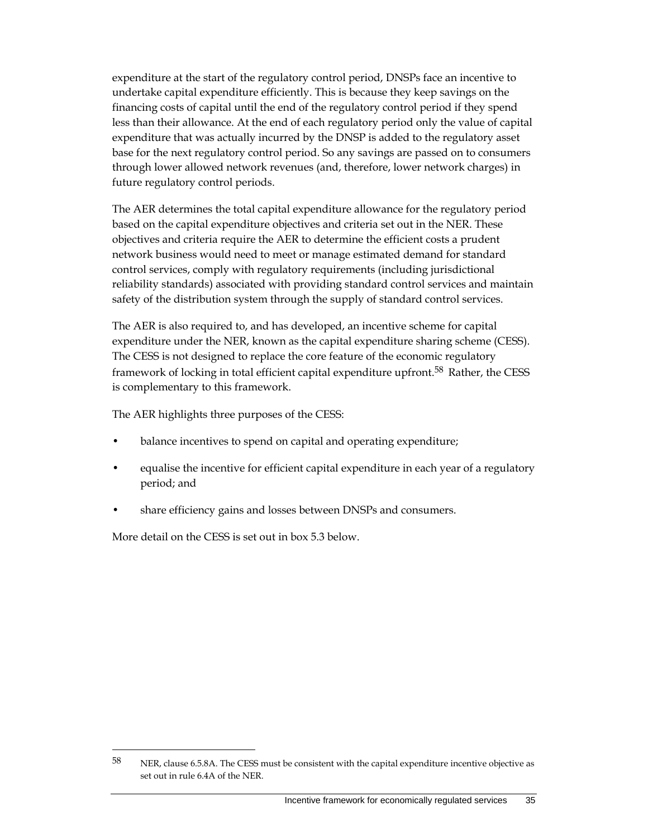expenditure at the start of the regulatory control period, DNSPs face an incentive to undertake capital expenditure efficiently. This is because they keep savings on the financing costs of capital until the end of the regulatory control period if they spend less than their allowance. At the end of each regulatory period only the value of capital expenditure that was actually incurred by the DNSP is added to the regulatory asset base for the next regulatory control period. So any savings are passed on to consumers through lower allowed network revenues (and, therefore, lower network charges) in future regulatory control periods.

The AER determines the total capital expenditure allowance for the regulatory period based on the capital expenditure objectives and criteria set out in the NER. These objectives and criteria require the AER to determine the efficient costs a prudent network business would need to meet or manage estimated demand for standard control services, comply with regulatory requirements (including jurisdictional reliability standards) associated with providing standard control services and maintain safety of the distribution system through the supply of standard control services.

The AER is also required to, and has developed, an incentive scheme for capital expenditure under the NER, known as the capital expenditure sharing scheme (CESS). The CESS is not designed to replace the core feature of the economic regulatory framework of locking in total efficient capital expenditure upfront.<sup>58</sup> Rather, the CESS is complementary to this framework.

The AER highlights three purposes of the CESS:

- balance incentives to spend on capital and operating expenditure;
- equalise the incentive for efficient capital expenditure in each year of a regulatory period; and
- share efficiency gains and losses between DNSPs and consumers.

More detail on the CESS is set out in box 5.3 below.

<sup>58</sup> NER, clause 6.5.8A. The CESS must be consistent with the capital expenditure incentive objective as set out in rule 6.4A of the NER.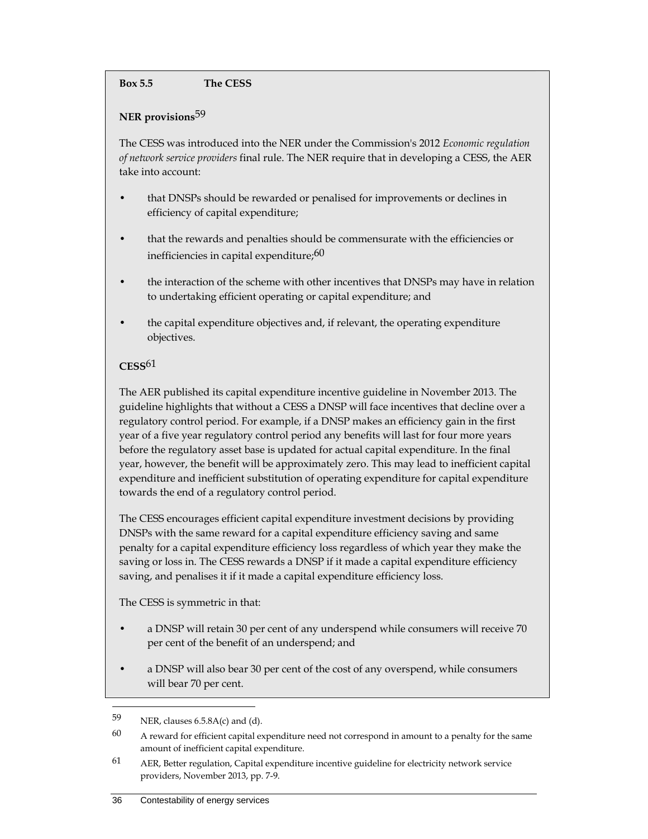#### **Box 5.5 The CESS**

#### **NER provisions**59

The CESS was introduced into the NER under the Commission's 2012 *Economic regulation of network service providers* final rule. The NER require that in developing a CESS, the AER take into account:

- that DNSPs should be rewarded or penalised for improvements or declines in efficiency of capital expenditure;
- that the rewards and penalties should be commensurate with the efficiencies or inefficiencies in capital expenditure;<sup>60</sup>
- the interaction of the scheme with other incentives that DNSPs may have in relation to undertaking efficient operating or capital expenditure; and
- the capital expenditure objectives and, if relevant, the operating expenditure objectives.

## **CESS**61

The AER published its capital expenditure incentive guideline in November 2013. The guideline highlights that without a CESS a DNSP will face incentives that decline over a regulatory control period. For example, if a DNSP makes an efficiency gain in the first year of a five year regulatory control period any benefits will last for four more years before the regulatory asset base is updated for actual capital expenditure. In the final year, however, the benefit will be approximately zero. This may lead to inefficient capital expenditure and inefficient substitution of operating expenditure for capital expenditure towards the end of a regulatory control period.

The CESS encourages efficient capital expenditure investment decisions by providing DNSPs with the same reward for a capital expenditure efficiency saving and same penalty for a capital expenditure efficiency loss regardless of which year they make the saving or loss in. The CESS rewards a DNSP if it made a capital expenditure efficiency saving, and penalises it if it made a capital expenditure efficiency loss.

The CESS is symmetric in that:

- a DNSP will retain 30 per cent of any underspend while consumers will receive 70 per cent of the benefit of an underspend; and
- a DNSP will also bear 30 per cent of the cost of any overspend, while consumers will bear 70 per cent.

<sup>59</sup> NER, clauses 6.5.8A(c) and (d).

 $60$  A reward for efficient capital expenditure need not correspond in amount to a penalty for the same amount of inefficient capital expenditure.

 $61$  AER, Better regulation, Capital expenditure incentive guideline for electricity network service providers, November 2013, pp. 7-9.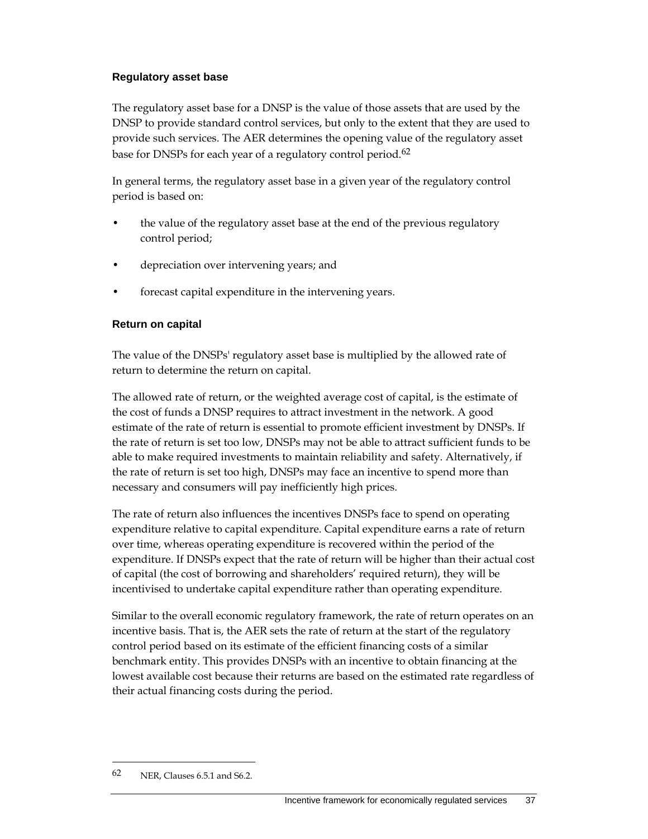#### **Regulatory asset base**

The regulatory asset base for a DNSP is the value of those assets that are used by the DNSP to provide standard control services, but only to the extent that they are used to provide such services. The AER determines the opening value of the regulatory asset base for DNSPs for each year of a regulatory control period.<sup>62</sup>

In general terms, the regulatory asset base in a given year of the regulatory control period is based on:

- the value of the regulatory asset base at the end of the previous regulatory control period;
- depreciation over intervening years; and
- forecast capital expenditure in the intervening years.

#### **Return on capital**

The value of the DNSPs' regulatory asset base is multiplied by the allowed rate of return to determine the return on capital.

The allowed rate of return, or the weighted average cost of capital, is the estimate of the cost of funds a DNSP requires to attract investment in the network. A good estimate of the rate of return is essential to promote efficient investment by DNSPs. If the rate of return is set too low, DNSPs may not be able to attract sufficient funds to be able to make required investments to maintain reliability and safety. Alternatively, if the rate of return is set too high, DNSPs may face an incentive to spend more than necessary and consumers will pay inefficiently high prices.

The rate of return also influences the incentives DNSPs face to spend on operating expenditure relative to capital expenditure. Capital expenditure earns a rate of return over time, whereas operating expenditure is recovered within the period of the expenditure. If DNSPs expect that the rate of return will be higher than their actual cost of capital (the cost of borrowing and shareholders' required return), they will be incentivised to undertake capital expenditure rather than operating expenditure.

Similar to the overall economic regulatory framework, the rate of return operates on an incentive basis. That is, the AER sets the rate of return at the start of the regulatory control period based on its estimate of the efficient financing costs of a similar benchmark entity. This provides DNSPs with an incentive to obtain financing at the lowest available cost because their returns are based on the estimated rate regardless of their actual financing costs during the period.

 $62$  NER, Clauses 6.5.1 and S6.2.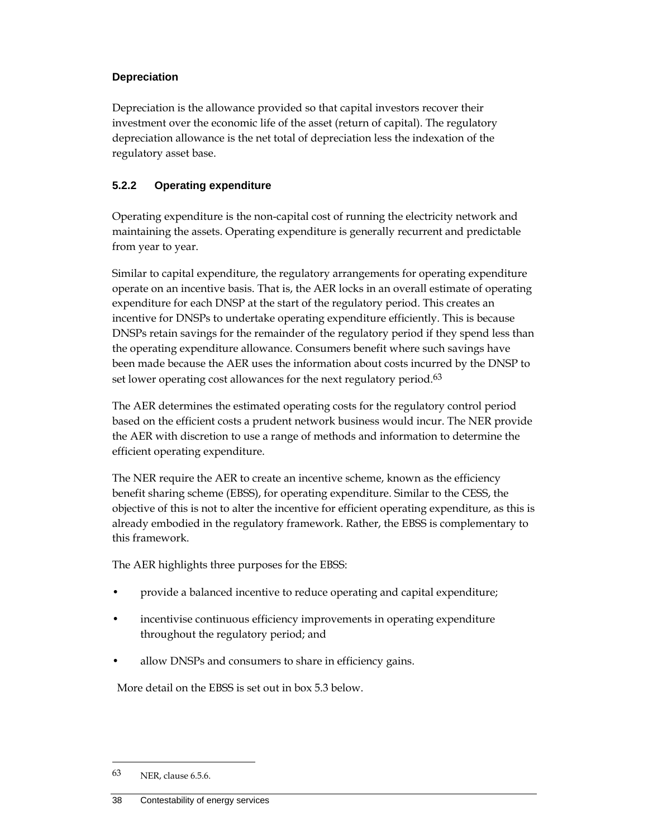#### **Depreciation**

Depreciation is the allowance provided so that capital investors recover their investment over the economic life of the asset (return of capital). The regulatory depreciation allowance is the net total of depreciation less the indexation of the regulatory asset base.

## **5.2.2 Operating expenditure**

Operating expenditure is the non-capital cost of running the electricity network and maintaining the assets. Operating expenditure is generally recurrent and predictable from year to year.

Similar to capital expenditure, the regulatory arrangements for operating expenditure operate on an incentive basis. That is, the AER locks in an overall estimate of operating expenditure for each DNSP at the start of the regulatory period. This creates an incentive for DNSPs to undertake operating expenditure efficiently. This is because DNSPs retain savings for the remainder of the regulatory period if they spend less than the operating expenditure allowance. Consumers benefit where such savings have been made because the AER uses the information about costs incurred by the DNSP to set lower operating cost allowances for the next regulatory period.<sup>63</sup>

The AER determines the estimated operating costs for the regulatory control period based on the efficient costs a prudent network business would incur. The NER provide the AER with discretion to use a range of methods and information to determine the efficient operating expenditure.

The NER require the AER to create an incentive scheme, known as the efficiency benefit sharing scheme (EBSS), for operating expenditure. Similar to the CESS, the objective of this is not to alter the incentive for efficient operating expenditure, as this is already embodied in the regulatory framework. Rather, the EBSS is complementary to this framework.

The AER highlights three purposes for the EBSS:

- provide a balanced incentive to reduce operating and capital expenditure;
- incentivise continuous efficiency improvements in operating expenditure throughout the regulatory period; and
- allow DNSPs and consumers to share in efficiency gains.

More detail on the EBSS is set out in box 5.3 below.

<sup>63</sup> NER, clause 6.5.6.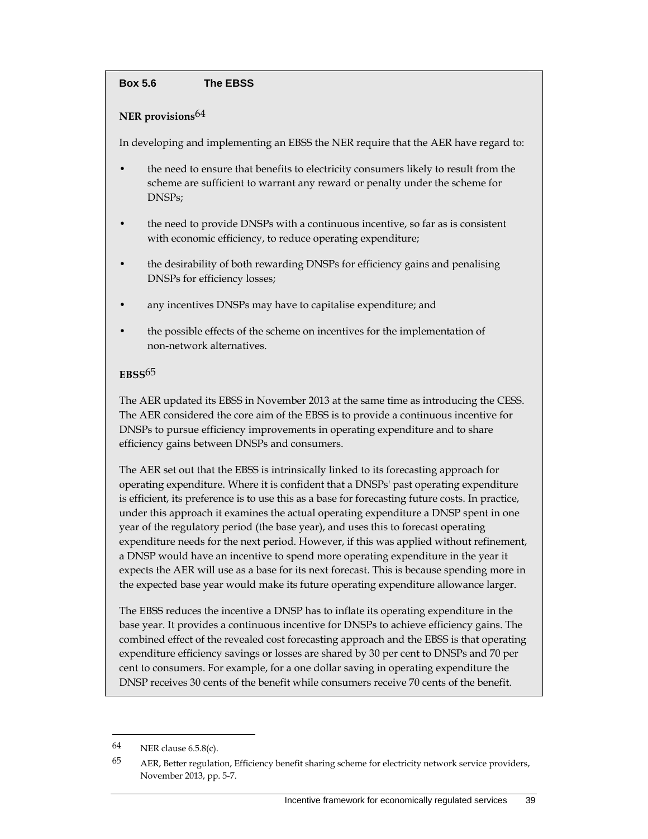#### **Box 5.6 The EBSS**

#### **NER provisions**64

In developing and implementing an EBSS the NER require that the AER have regard to:

- the need to ensure that benefits to electricity consumers likely to result from the scheme are sufficient to warrant any reward or penalty under the scheme for DNSPs;
- the need to provide DNSPs with a continuous incentive, so far as is consistent with economic efficiency, to reduce operating expenditure;
- the desirability of both rewarding DNSPs for efficiency gains and penalising DNSPs for efficiency losses;
- any incentives DNSPs may have to capitalise expenditure; and
- the possible effects of the scheme on incentives for the implementation of non-network alternatives.

#### **EBSS**65

The AER updated its EBSS in November 2013 at the same time as introducing the CESS. The AER considered the core aim of the EBSS is to provide a continuous incentive for DNSPs to pursue efficiency improvements in operating expenditure and to share efficiency gains between DNSPs and consumers.

The AER set out that the EBSS is intrinsically linked to its forecasting approach for operating expenditure. Where it is confident that a DNSPs' past operating expenditure is efficient, its preference is to use this as a base for forecasting future costs. In practice, under this approach it examines the actual operating expenditure a DNSP spent in one year of the regulatory period (the base year), and uses this to forecast operating expenditure needs for the next period. However, if this was applied without refinement, a DNSP would have an incentive to spend more operating expenditure in the year it expects the AER will use as a base for its next forecast. This is because spending more in the expected base year would make its future operating expenditure allowance larger.

The EBSS reduces the incentive a DNSP has to inflate its operating expenditure in the base year. It provides a continuous incentive for DNSPs to achieve efficiency gains. The combined effect of the revealed cost forecasting approach and the EBSS is that operating expenditure efficiency savings or losses are shared by 30 per cent to DNSPs and 70 per cent to consumers. For example, for a one dollar saving in operating expenditure the DNSP receives 30 cents of the benefit while consumers receive 70 cents of the benefit.

<sup>64</sup> NER clause 6.5.8(c).

<sup>65</sup> AER, Better regulation, Efficiency benefit sharing scheme for electricity network service providers, November 2013, pp. 5-7.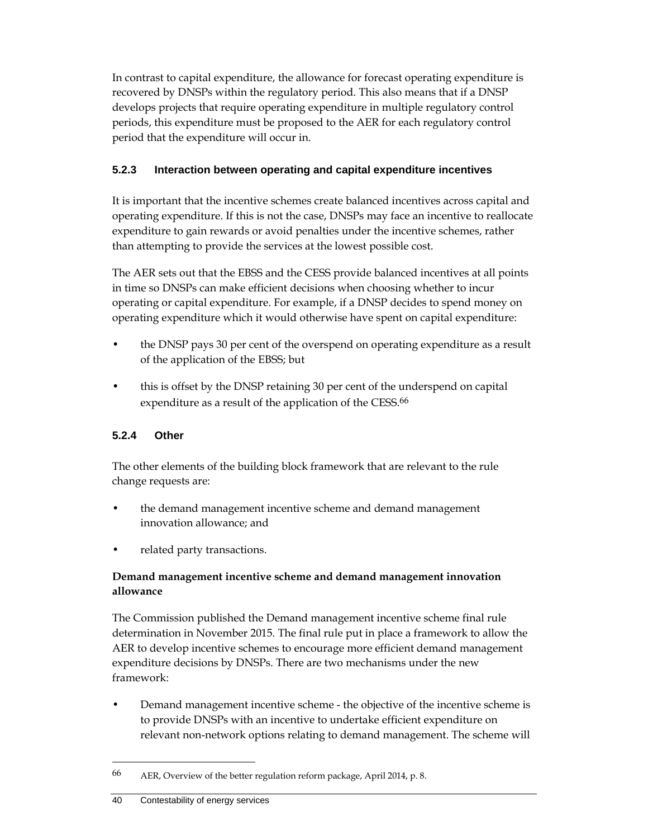In contrast to capital expenditure, the allowance for forecast operating expenditure is recovered by DNSPs within the regulatory period. This also means that if a DNSP develops projects that require operating expenditure in multiple regulatory control periods, this expenditure must be proposed to the AER for each regulatory control period that the expenditure will occur in.

## **5.2.3 Interaction between operating and capital expenditure incentives**

It is important that the incentive schemes create balanced incentives across capital and operating expenditure. If this is not the case, DNSPs may face an incentive to reallocate expenditure to gain rewards or avoid penalties under the incentive schemes, rather than attempting to provide the services at the lowest possible cost.

The AER sets out that the EBSS and the CESS provide balanced incentives at all points in time so DNSPs can make efficient decisions when choosing whether to incur operating or capital expenditure. For example, if a DNSP decides to spend money on operating expenditure which it would otherwise have spent on capital expenditure:

- the DNSP pays 30 per cent of the overspend on operating expenditure as a result of the application of the EBSS; but
- this is offset by the DNSP retaining 30 per cent of the underspend on capital expenditure as a result of the application of the CESS.<sup>66</sup>

## **5.2.4 Other**

The other elements of the building block framework that are relevant to the rule change requests are:

- the demand management incentive scheme and demand management innovation allowance; and
- related party transactions.

## **Demand management incentive scheme and demand management innovation allowance**

The Commission published the Demand management incentive scheme final rule determination in November 2015. The final rule put in place a framework to allow the AER to develop incentive schemes to encourage more efficient demand management expenditure decisions by DNSPs. There are two mechanisms under the new framework:

• Demand management incentive scheme - the objective of the incentive scheme is to provide DNSPs with an incentive to undertake efficient expenditure on relevant non-network options relating to demand management. The scheme will

<sup>66</sup> AER, Overview of the better regulation reform package, April 2014, p. 8.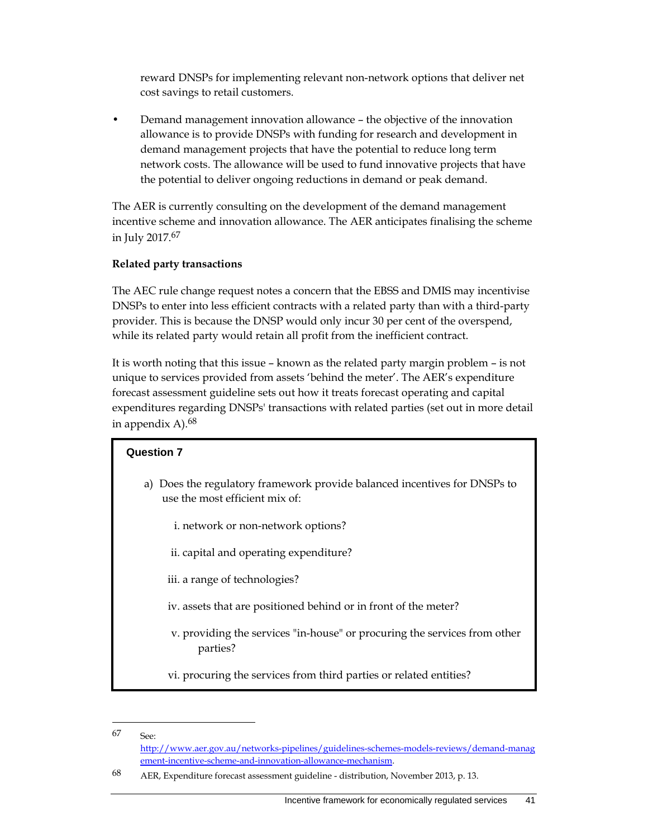reward DNSPs for implementing relevant non-network options that deliver net cost savings to retail customers.

• Demand management innovation allowance – the objective of the innovation allowance is to provide DNSPs with funding for research and development in demand management projects that have the potential to reduce long term network costs. The allowance will be used to fund innovative projects that have the potential to deliver ongoing reductions in demand or peak demand.

The AER is currently consulting on the development of the demand management incentive scheme and innovation allowance. The AER anticipates finalising the scheme in July 2017.67

#### **Related party transactions**

The AEC rule change request notes a concern that the EBSS and DMIS may incentivise DNSPs to enter into less efficient contracts with a related party than with a third-party provider. This is because the DNSP would only incur 30 per cent of the overspend, while its related party would retain all profit from the inefficient contract.

It is worth noting that this issue – known as the related party margin problem – is not unique to services provided from assets 'behind the meter'. The AER's expenditure forecast assessment guideline sets out how it treats forecast operating and capital expenditures regarding DNSPs' transactions with related parties (set out in more detail in appendix  $A$ ).<sup>68</sup>

# **Question 7**  a) Does the regulatory framework provide balanced incentives for DNSPs to use the most efficient mix of: i. network or non-network options? ii. capital and operating expenditure? iii. a range of technologies? iv. assets that are positioned behind or in front of the meter? v. providing the services "in-house" or procuring the services from other parties? vi. procuring the services from third parties or related entities?

 $67 \qquad \qquad \text{See}.$ 

http://www.aer.gov.au/networks-pipelines/guidelines-schemes-models-reviews/demand-manag ement-incentive-scheme-and-innovation-allowance-mechanism.

<sup>68</sup> AER, Expenditure forecast assessment guideline - distribution, November 2013, p. 13.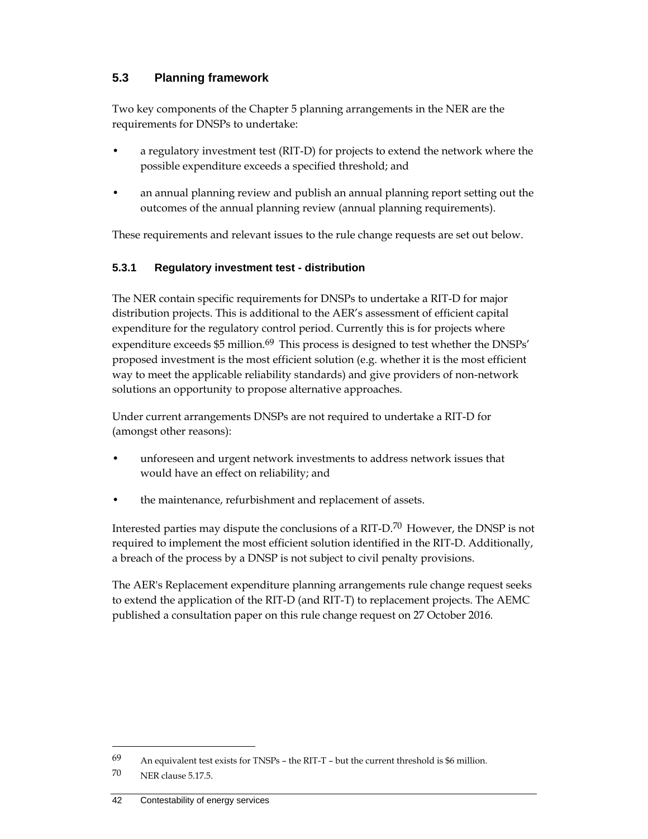## **5.3 Planning framework**

Two key components of the Chapter 5 planning arrangements in the NER are the requirements for DNSPs to undertake:

- a regulatory investment test (RIT-D) for projects to extend the network where the possible expenditure exceeds a specified threshold; and
- an annual planning review and publish an annual planning report setting out the outcomes of the annual planning review (annual planning requirements).

These requirements and relevant issues to the rule change requests are set out below.

#### **5.3.1 Regulatory investment test - distribution**

The NER contain specific requirements for DNSPs to undertake a RIT-D for major distribution projects. This is additional to the AER's assessment of efficient capital expenditure for the regulatory control period. Currently this is for projects where expenditure exceeds \$5 million.<sup>69</sup> This process is designed to test whether the DNSPs' proposed investment is the most efficient solution (e.g. whether it is the most efficient way to meet the applicable reliability standards) and give providers of non-network solutions an opportunity to propose alternative approaches.

Under current arrangements DNSPs are not required to undertake a RIT-D for (amongst other reasons):

- unforeseen and urgent network investments to address network issues that would have an effect on reliability; and
- the maintenance, refurbishment and replacement of assets.

Interested parties may dispute the conclusions of a RIT-D.70 However, the DNSP is not required to implement the most efficient solution identified in the RIT-D. Additionally, a breach of the process by a DNSP is not subject to civil penalty provisions.

The AER's Replacement expenditure planning arrangements rule change request seeks to extend the application of the RIT-D (and RIT-T) to replacement projects. The AEMC published a consultation paper on this rule change request on 27 October 2016.

<sup>69</sup> An equivalent test exists for TNSPs – the RIT-T – but the current threshold is \$6 million.

<sup>70</sup> NER clause 5.17.5.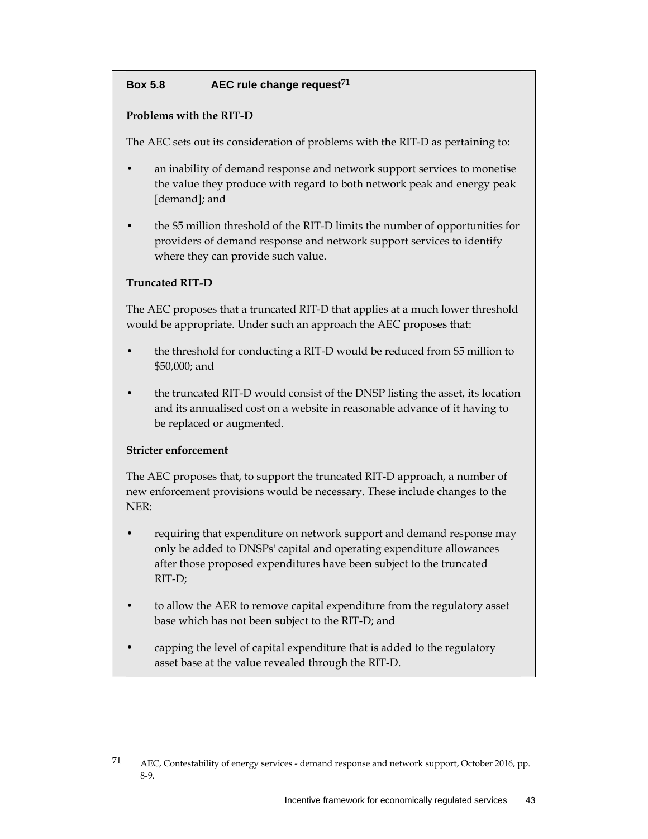## **Box 5.8 AEC rule change request71**

#### **Problems with the RIT-D**

The AEC sets out its consideration of problems with the RIT-D as pertaining to:

- an inability of demand response and network support services to monetise the value they produce with regard to both network peak and energy peak [demand]; and
- the \$5 million threshold of the RIT-D limits the number of opportunities for providers of demand response and network support services to identify where they can provide such value.

#### **Truncated RIT-D**

The AEC proposes that a truncated RIT-D that applies at a much lower threshold would be appropriate. Under such an approach the AEC proposes that:

- the threshold for conducting a RIT-D would be reduced from \$5 million to \$50,000; and
- the truncated RIT-D would consist of the DNSP listing the asset, its location and its annualised cost on a website in reasonable advance of it having to be replaced or augmented.

#### **Stricter enforcement**

 $\overline{a}$ 

The AEC proposes that, to support the truncated RIT-D approach, a number of new enforcement provisions would be necessary. These include changes to the NER:

- requiring that expenditure on network support and demand response may only be added to DNSPs' capital and operating expenditure allowances after those proposed expenditures have been subject to the truncated RIT-D;
- to allow the AER to remove capital expenditure from the regulatory asset base which has not been subject to the RIT-D; and
- capping the level of capital expenditure that is added to the regulatory asset base at the value revealed through the RIT-D.

<sup>71</sup> AEC, Contestability of energy services - demand response and network support, October 2016, pp. 8-9.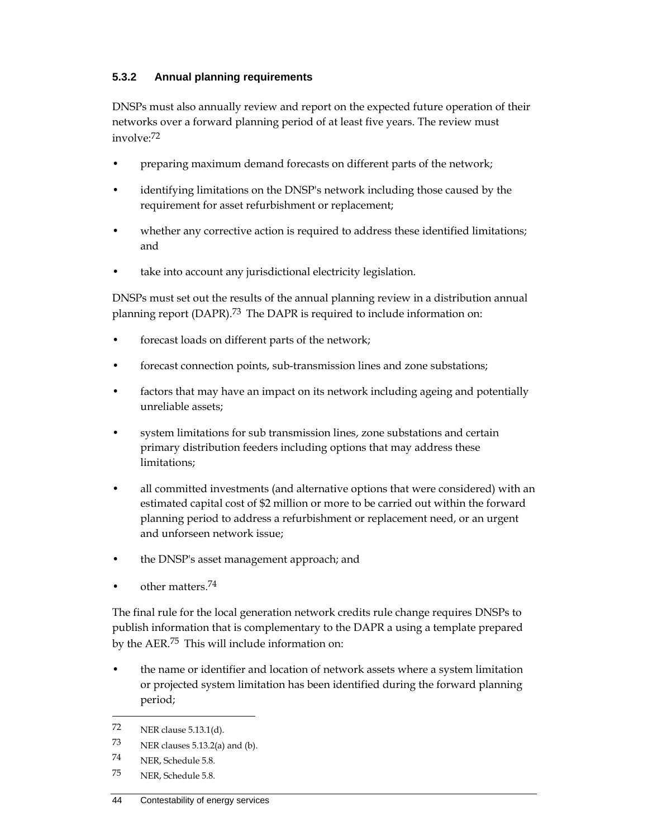### **5.3.2 Annual planning requirements**

DNSPs must also annually review and report on the expected future operation of their networks over a forward planning period of at least five years. The review must involve:72

- preparing maximum demand forecasts on different parts of the network;
- identifying limitations on the DNSP's network including those caused by the requirement for asset refurbishment or replacement;
- whether any corrective action is required to address these identified limitations; and
- take into account any jurisdictional electricity legislation.

DNSPs must set out the results of the annual planning review in a distribution annual planning report (DAPR).<sup>73</sup> The DAPR is required to include information on:

- forecast loads on different parts of the network;
- forecast connection points, sub-transmission lines and zone substations;
- factors that may have an impact on its network including ageing and potentially unreliable assets;
- system limitations for sub transmission lines, zone substations and certain primary distribution feeders including options that may address these limitations;
- all committed investments (and alternative options that were considered) with an estimated capital cost of \$2 million or more to be carried out within the forward planning period to address a refurbishment or replacement need, or an urgent and unforseen network issue;
- the DNSP's asset management approach; and
- other matters.<sup>74</sup>

The final rule for the local generation network credits rule change requires DNSPs to publish information that is complementary to the DAPR a using a template prepared by the AER.75 This will include information on:

• the name or identifier and location of network assets where a system limitation or projected system limitation has been identified during the forward planning period;

74 NER, Schedule 5.8.

 $\overline{a}$ 

75 NER, Schedule 5.8.

<sup>72</sup> NER clause 5.13.1(d).

<sup>73</sup> NER clauses 5.13.2(a) and (b).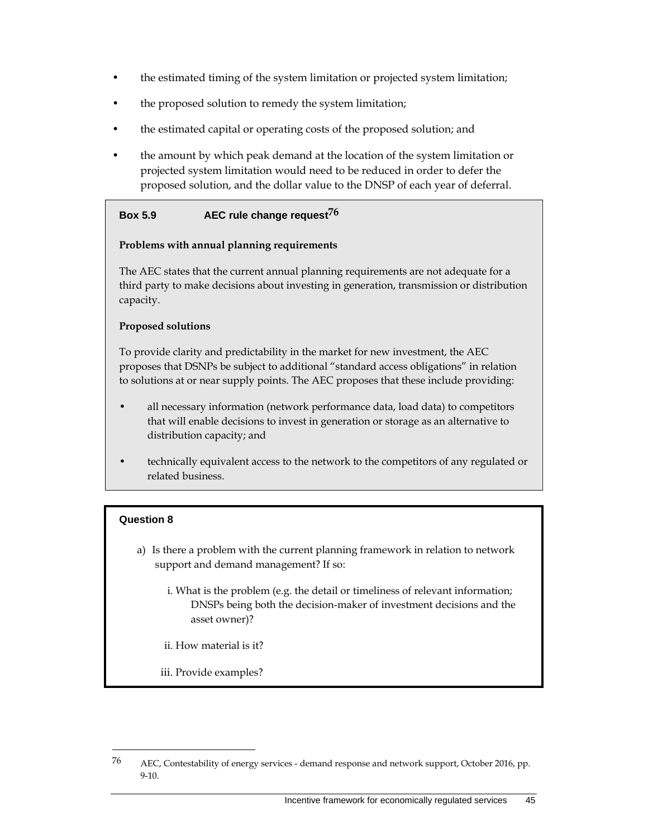- the estimated timing of the system limitation or projected system limitation;
- the proposed solution to remedy the system limitation;
- the estimated capital or operating costs of the proposed solution; and
- the amount by which peak demand at the location of the system limitation or projected system limitation would need to be reduced in order to defer the proposed solution, and the dollar value to the DNSP of each year of deferral.

#### **Box 5.9 AEC rule change request76**

#### **Problems with annual planning requirements**

The AEC states that the current annual planning requirements are not adequate for a third party to make decisions about investing in generation, transmission or distribution capacity.

#### **Proposed solutions**

To provide clarity and predictability in the market for new investment, the AEC proposes that DSNPs be subject to additional "standard access obligations" in relation to solutions at or near supply points. The AEC proposes that these include providing:

- all necessary information (network performance data, load data) to competitors that will enable decisions to invest in generation or storage as an alternative to distribution capacity; and
- technically equivalent access to the network to the competitors of any regulated or related business.

#### **Question 8**

- a) Is there a problem with the current planning framework in relation to network support and demand management? If so:
	- i. What is the problem (e.g. the detail or timeliness of relevant information; DNSPs being both the decision-maker of investment decisions and the asset owner)?
	- ii. How material is it?
	- iii. Provide examples?

<sup>&</sup>lt;sup>76</sup> AEC, Contestability of energy services - demand response and network support, October 2016, pp. 9-10.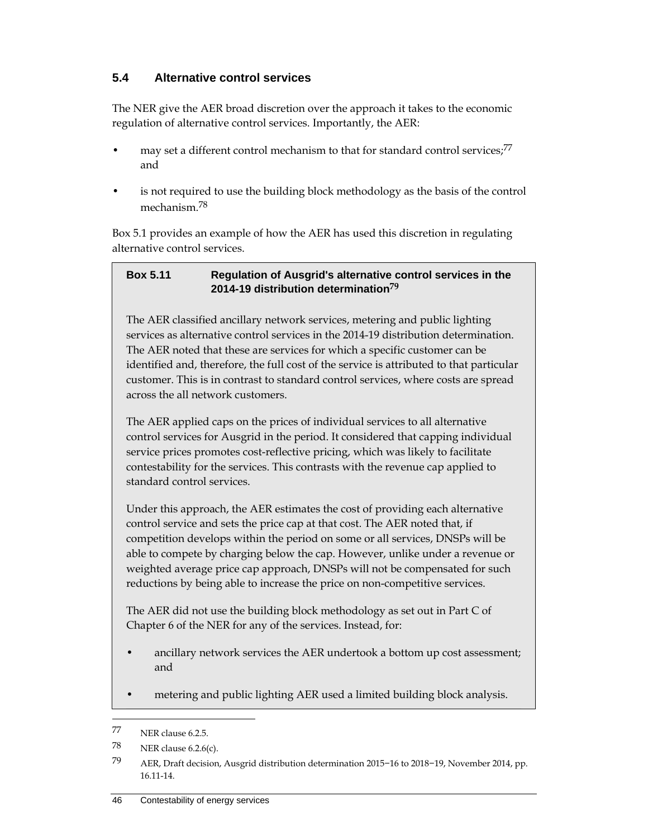## **5.4 Alternative control services**

The NER give the AER broad discretion over the approach it takes to the economic regulation of alternative control services. Importantly, the AER:

- may set a different control mechanism to that for standard control services;<sup>77</sup> and
- is not required to use the building block methodology as the basis of the control mechanism<sup>78</sup>

Box 5.1 provides an example of how the AER has used this discretion in regulating alternative control services.

#### **Box 5.11 Regulation of Ausgrid's alternative control services in the 2014-19 distribution determination79**

The AER classified ancillary network services, metering and public lighting services as alternative control services in the 2014-19 distribution determination. The AER noted that these are services for which a specific customer can be identified and, therefore, the full cost of the service is attributed to that particular customer. This is in contrast to standard control services, where costs are spread across the all network customers.

The AER applied caps on the prices of individual services to all alternative control services for Ausgrid in the period. It considered that capping individual service prices promotes cost-reflective pricing, which was likely to facilitate contestability for the services. This contrasts with the revenue cap applied to standard control services.

Under this approach, the AER estimates the cost of providing each alternative control service and sets the price cap at that cost. The AER noted that, if competition develops within the period on some or all services, DNSPs will be able to compete by charging below the cap. However, unlike under a revenue or weighted average price cap approach, DNSPs will not be compensated for such reductions by being able to increase the price on non-competitive services.

The AER did not use the building block methodology as set out in Part C of Chapter 6 of the NER for any of the services. Instead, for:

- ancillary network services the AER undertook a bottom up cost assessment; and
- metering and public lighting AER used a limited building block analysis.

<sup>77</sup> NER clause 6.2.5.

<sup>78</sup> NER clause 6.2.6(c).

<sup>79</sup> AER, Draft decision, Ausgrid distribution determination 2015−16 to 2018−19, November 2014, pp. 16.11-14.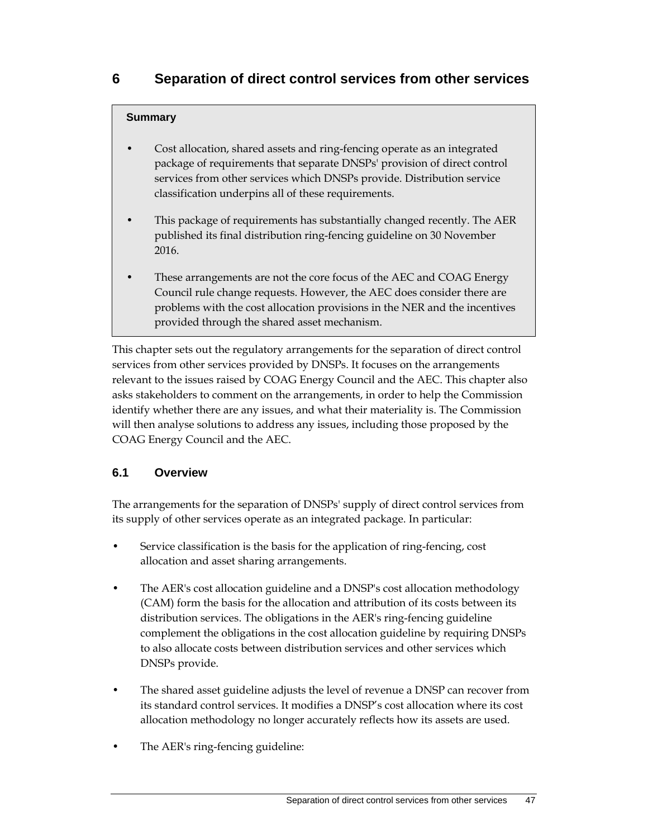#### **Summary**

- Cost allocation, shared assets and ring-fencing operate as an integrated package of requirements that separate DNSPs' provision of direct control services from other services which DNSPs provide. Distribution service classification underpins all of these requirements.
- This package of requirements has substantially changed recently. The AER published its final distribution ring-fencing guideline on 30 November 2016.
- These arrangements are not the core focus of the AEC and COAG Energy Council rule change requests. However, the AEC does consider there are problems with the cost allocation provisions in the NER and the incentives provided through the shared asset mechanism.

This chapter sets out the regulatory arrangements for the separation of direct control services from other services provided by DNSPs. It focuses on the arrangements relevant to the issues raised by COAG Energy Council and the AEC. This chapter also asks stakeholders to comment on the arrangements, in order to help the Commission identify whether there are any issues, and what their materiality is. The Commission will then analyse solutions to address any issues, including those proposed by the COAG Energy Council and the AEC.

## **6.1 Overview**

The arrangements for the separation of DNSPs' supply of direct control services from its supply of other services operate as an integrated package. In particular:

- Service classification is the basis for the application of ring-fencing, cost allocation and asset sharing arrangements.
- The AER's cost allocation guideline and a DNSP's cost allocation methodology (CAM) form the basis for the allocation and attribution of its costs between its distribution services. The obligations in the AER's ring-fencing guideline complement the obligations in the cost allocation guideline by requiring DNSPs to also allocate costs between distribution services and other services which DNSPs provide.
- The shared asset guideline adjusts the level of revenue a DNSP can recover from its standard control services. It modifies a DNSP's cost allocation where its cost allocation methodology no longer accurately reflects how its assets are used.
- The AER's ring-fencing guideline: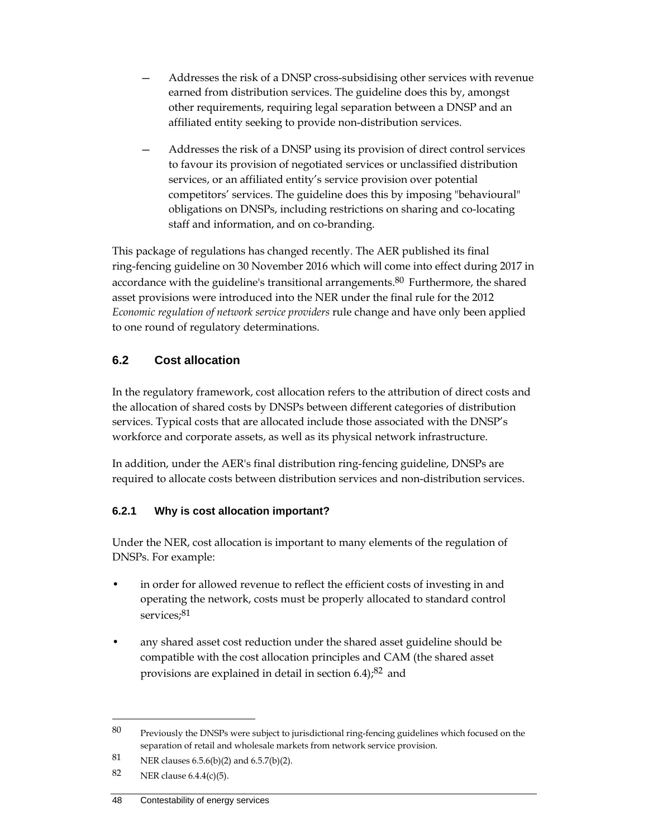- Addresses the risk of a DNSP cross-subsidising other services with revenue earned from distribution services. The guideline does this by, amongst other requirements, requiring legal separation between a DNSP and an affiliated entity seeking to provide non-distribution services.
- Addresses the risk of a DNSP using its provision of direct control services to favour its provision of negotiated services or unclassified distribution services, or an affiliated entity's service provision over potential competitors' services. The guideline does this by imposing "behavioural" obligations on DNSPs, including restrictions on sharing and co-locating staff and information, and on co-branding.

This package of regulations has changed recently. The AER published its final ring-fencing guideline on 30 November 2016 which will come into effect during 2017 in accordance with the guideline's transitional arrangements.<sup>80</sup> Furthermore, the shared asset provisions were introduced into the NER under the final rule for the 2012 *Economic regulation of network service providers* rule change and have only been applied to one round of regulatory determinations.

## **6.2 Cost allocation**

In the regulatory framework, cost allocation refers to the attribution of direct costs and the allocation of shared costs by DNSPs between different categories of distribution services. Typical costs that are allocated include those associated with the DNSP's workforce and corporate assets, as well as its physical network infrastructure.

In addition, under the AER's final distribution ring-fencing guideline, DNSPs are required to allocate costs between distribution services and non-distribution services.

## **6.2.1 Why is cost allocation important?**

Under the NER, cost allocation is important to many elements of the regulation of DNSPs. For example:

- in order for allowed revenue to reflect the efficient costs of investing in and operating the network, costs must be properly allocated to standard control services;<sup>81</sup>
- any shared asset cost reduction under the shared asset guideline should be compatible with the cost allocation principles and CAM (the shared asset provisions are explained in detail in section  $6.4$ ;<sup>82</sup> and

<sup>80</sup> Previously the DNSPs were subject to jurisdictional ring-fencing guidelines which focused on the separation of retail and wholesale markets from network service provision.

<sup>81</sup> NER clauses 6.5.6(b)(2) and 6.5.7(b)(2).

<sup>82</sup> NER clause  $6.4.4(c)(5)$ .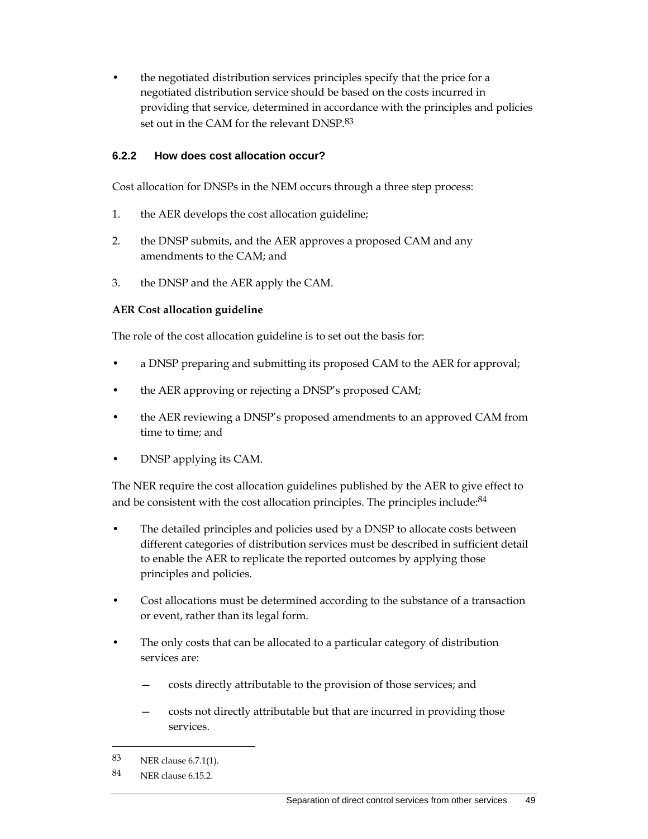• the negotiated distribution services principles specify that the price for a negotiated distribution service should be based on the costs incurred in providing that service, determined in accordance with the principles and policies set out in the CAM for the relevant DNSP.83

#### **6.2.2 How does cost allocation occur?**

Cost allocation for DNSPs in the NEM occurs through a three step process:

- 1. the AER develops the cost allocation guideline;
- 2. the DNSP submits, and the AER approves a proposed CAM and any amendments to the CAM; and
- 3. the DNSP and the AER apply the CAM.

#### **AER Cost allocation guideline**

The role of the cost allocation guideline is to set out the basis for:

- a DNSP preparing and submitting its proposed CAM to the AER for approval;
- the AER approving or rejecting a DNSP's proposed CAM;
- the AER reviewing a DNSP's proposed amendments to an approved CAM from time to time; and
- DNSP applying its CAM.

The NER require the cost allocation guidelines published by the AER to give effect to and be consistent with the cost allocation principles. The principles include: <sup>84</sup>

- The detailed principles and policies used by a DNSP to allocate costs between different categories of distribution services must be described in sufficient detail to enable the AER to replicate the reported outcomes by applying those principles and policies.
- Cost allocations must be determined according to the substance of a transaction or event, rather than its legal form.
- The only costs that can be allocated to a particular category of distribution services are:
	- costs directly attributable to the provision of those services; and
	- costs not directly attributable but that are incurred in providing those services.

<sup>83</sup> NER clause 6.7.1(1).

<sup>84</sup> NER clause 6.15.2.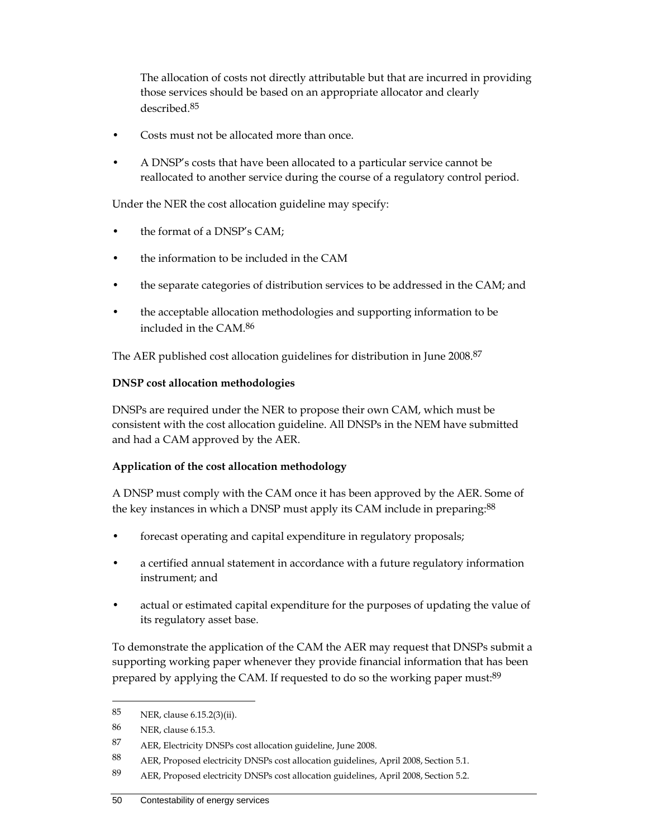The allocation of costs not directly attributable but that are incurred in providing those services should be based on an appropriate allocator and clearly described.85

- Costs must not be allocated more than once.
- A DNSP's costs that have been allocated to a particular service cannot be reallocated to another service during the course of a regulatory control period.

Under the NER the cost allocation guideline may specify:

- the format of a DNSP's CAM;
- the information to be included in the CAM
- the separate categories of distribution services to be addressed in the CAM; and
- the acceptable allocation methodologies and supporting information to be included in the CAM.86

The AER published cost allocation guidelines for distribution in June 2008.87

#### **DNSP cost allocation methodologies**

DNSPs are required under the NER to propose their own CAM, which must be consistent with the cost allocation guideline. All DNSPs in the NEM have submitted and had a CAM approved by the AER.

## **Application of the cost allocation methodology**

A DNSP must comply with the CAM once it has been approved by the AER. Some of the key instances in which a DNSP must apply its CAM include in preparing:<sup>88</sup>

- forecast operating and capital expenditure in regulatory proposals;
- a certified annual statement in accordance with a future regulatory information instrument; and
- actual or estimated capital expenditure for the purposes of updating the value of its regulatory asset base.

To demonstrate the application of the CAM the AER may request that DNSPs submit a supporting working paper whenever they provide financial information that has been prepared by applying the CAM. If requested to do so the working paper must:<sup>89</sup>

<sup>85</sup> NER, clause 6.15.2(3)(ii).

<sup>86</sup> NER, clause 6.15.3.

<sup>87</sup> AER, Electricity DNSPs cost allocation guideline, June 2008.

<sup>88</sup> AER, Proposed electricity DNSPs cost allocation guidelines, April 2008, Section 5.1.

<sup>89</sup> AER, Proposed electricity DNSPs cost allocation guidelines, April 2008, Section 5.2.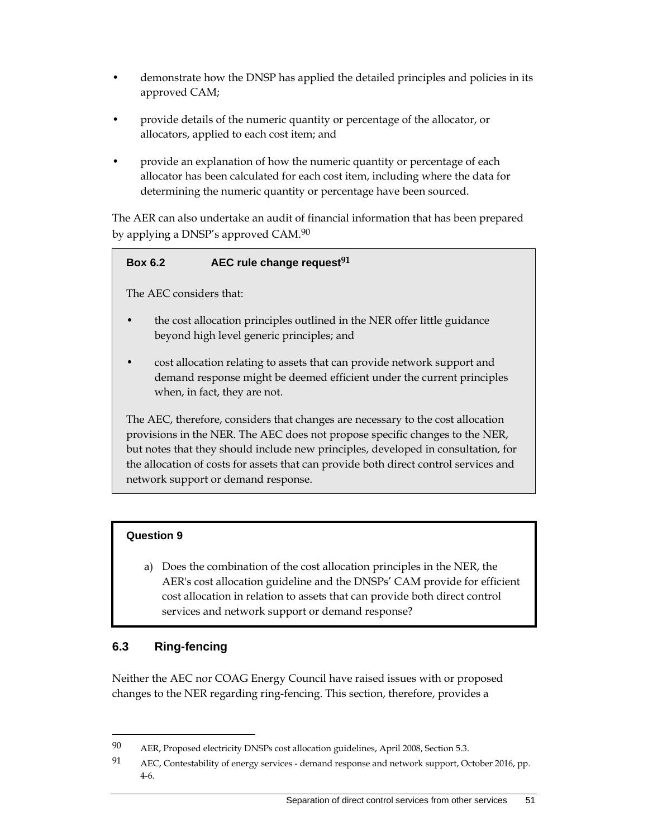- demonstrate how the DNSP has applied the detailed principles and policies in its approved CAM;
- provide details of the numeric quantity or percentage of the allocator, or allocators, applied to each cost item; and
- provide an explanation of how the numeric quantity or percentage of each allocator has been calculated for each cost item, including where the data for determining the numeric quantity or percentage have been sourced.

The AER can also undertake an audit of financial information that has been prepared by applying a DNSP's approved CAM.90

#### **Box 6.2 AEC rule change request91**

The AEC considers that:

- the cost allocation principles outlined in the NER offer little guidance beyond high level generic principles; and
- cost allocation relating to assets that can provide network support and demand response might be deemed efficient under the current principles when, in fact, they are not.

The AEC, therefore, considers that changes are necessary to the cost allocation provisions in the NER. The AEC does not propose specific changes to the NER, but notes that they should include new principles, developed in consultation, for the allocation of costs for assets that can provide both direct control services and network support or demand response.

#### **Question 9**

a) Does the combination of the cost allocation principles in the NER, the AER's cost allocation guideline and the DNSPs' CAM provide for efficient cost allocation in relation to assets that can provide both direct control services and network support or demand response?

## **6.3 Ring-fencing**

 $\overline{a}$ 

Neither the AEC nor COAG Energy Council have raised issues with or proposed changes to the NER regarding ring-fencing. This section, therefore, provides a

<sup>90</sup> AER, Proposed electricity DNSPs cost allocation guidelines, April 2008, Section 5.3.

<sup>91</sup> AEC, Contestability of energy services - demand response and network support, October 2016, pp. 4-6.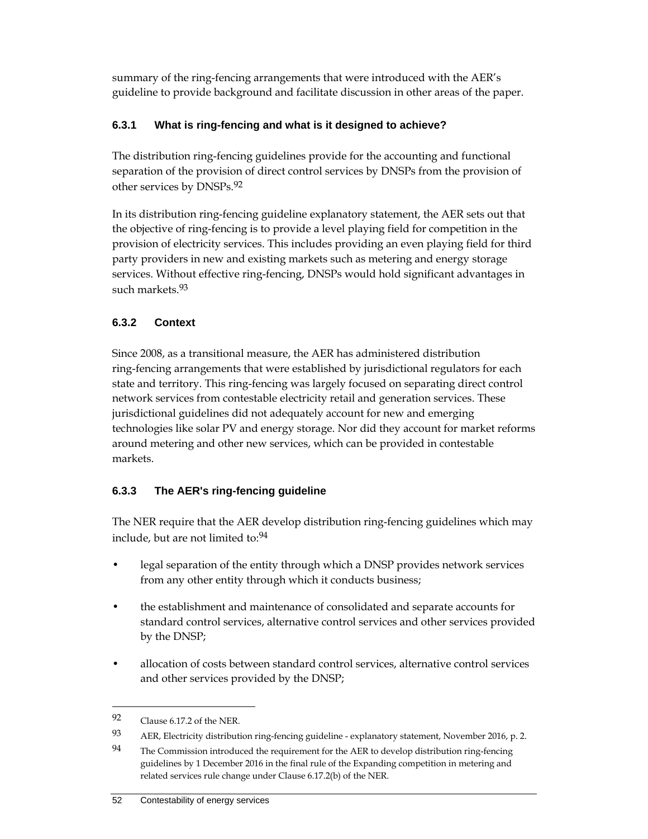summary of the ring-fencing arrangements that were introduced with the AER's guideline to provide background and facilitate discussion in other areas of the paper.

## **6.3.1 What is ring-fencing and what is it designed to achieve?**

The distribution ring-fencing guidelines provide for the accounting and functional separation of the provision of direct control services by DNSPs from the provision of other services by DNSPs.92

In its distribution ring-fencing guideline explanatory statement, the AER sets out that the objective of ring-fencing is to provide a level playing field for competition in the provision of electricity services. This includes providing an even playing field for third party providers in new and existing markets such as metering and energy storage services. Without effective ring-fencing, DNSPs would hold significant advantages in such markets.93

## **6.3.2 Context**

Since 2008, as a transitional measure, the AER has administered distribution ring-fencing arrangements that were established by jurisdictional regulators for each state and territory. This ring-fencing was largely focused on separating direct control network services from contestable electricity retail and generation services. These jurisdictional guidelines did not adequately account for new and emerging technologies like solar PV and energy storage. Nor did they account for market reforms around metering and other new services, which can be provided in contestable markets.

## **6.3.3 The AER's ring-fencing guideline**

The NER require that the AER develop distribution ring-fencing guidelines which may include, but are not limited to:94

- legal separation of the entity through which a DNSP provides network services from any other entity through which it conducts business;
- the establishment and maintenance of consolidated and separate accounts for standard control services, alternative control services and other services provided by the DNSP;
- allocation of costs between standard control services, alternative control services and other services provided by the DNSP;

<sup>92</sup> Clause 6.17.2 of the NER.

<sup>93</sup> AER, Electricity distribution ring-fencing guideline - explanatory statement, November 2016, p. 2.

<sup>94</sup> The Commission introduced the requirement for the AER to develop distribution ring-fencing guidelines by 1 December 2016 in the final rule of the Expanding competition in metering and related services rule change under Clause 6.17.2(b) of the NER.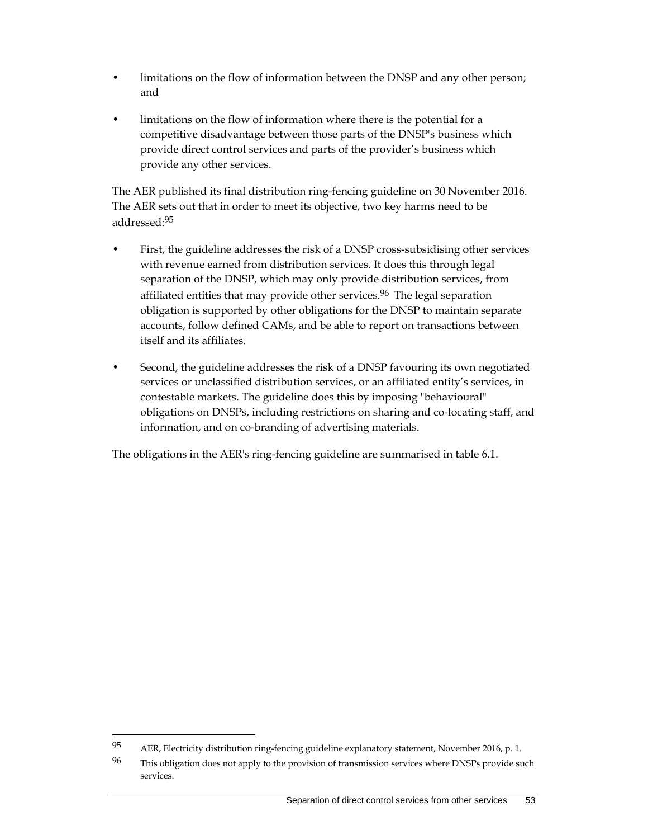- limitations on the flow of information between the DNSP and any other person; and
- limitations on the flow of information where there is the potential for a competitive disadvantage between those parts of the DNSP's business which provide direct control services and parts of the provider's business which provide any other services.

The AER published its final distribution ring-fencing guideline on 30 November 2016. The AER sets out that in order to meet its objective, two key harms need to be addressed:95

- First, the guideline addresses the risk of a DNSP cross-subsidising other services with revenue earned from distribution services. It does this through legal separation of the DNSP, which may only provide distribution services, from affiliated entities that may provide other services.<sup>96</sup> The legal separation obligation is supported by other obligations for the DNSP to maintain separate accounts, follow defined CAMs, and be able to report on transactions between itself and its affiliates.
- Second, the guideline addresses the risk of a DNSP favouring its own negotiated services or unclassified distribution services, or an affiliated entity's services, in contestable markets. The guideline does this by imposing "behavioural" obligations on DNSPs, including restrictions on sharing and co-locating staff, and information, and on co-branding of advertising materials.

The obligations in the AER's ring-fencing guideline are summarised in table 6.1.

<sup>95</sup> AER, Electricity distribution ring-fencing guideline explanatory statement, November 2016, p. 1.

<sup>&</sup>lt;sup>96</sup> This obligation does not apply to the provision of transmission services where DNSPs provide such services.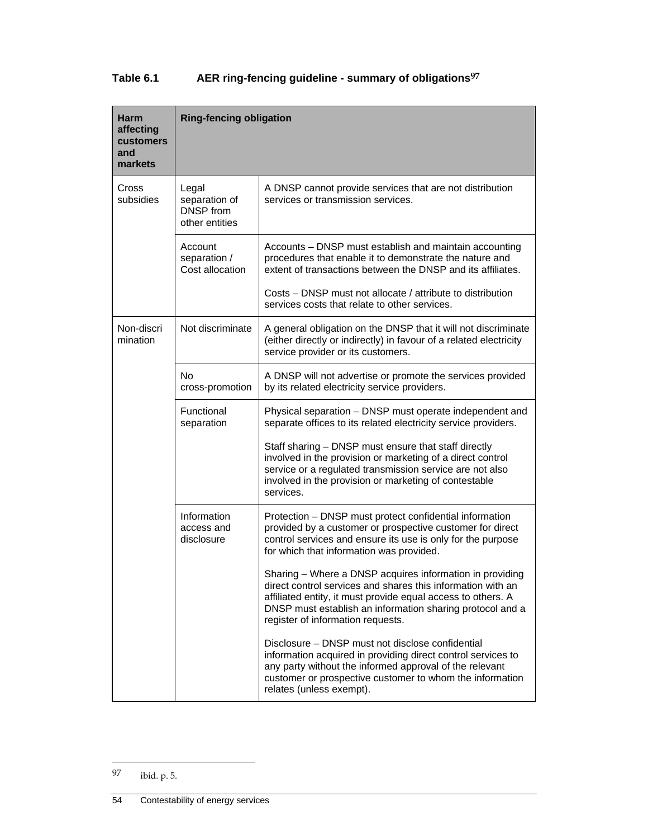## **Table 6.1 AER ring-fencing guideline - summary of obligations97**

| Harm<br>affecting<br>customers<br>and<br>markets | <b>Ring-fencing obligation</b>                               |                                                                                                                                                                                                                                                                                           |  |
|--------------------------------------------------|--------------------------------------------------------------|-------------------------------------------------------------------------------------------------------------------------------------------------------------------------------------------------------------------------------------------------------------------------------------------|--|
| Cross<br>subsidies                               | Legal<br>separation of<br><b>DNSP</b> from<br>other entities | A DNSP cannot provide services that are not distribution<br>services or transmission services.                                                                                                                                                                                            |  |
|                                                  | Account<br>separation /<br>Cost allocation                   | Accounts – DNSP must establish and maintain accounting<br>procedures that enable it to demonstrate the nature and<br>extent of transactions between the DNSP and its affiliates.                                                                                                          |  |
|                                                  |                                                              | Costs – DNSP must not allocate / attribute to distribution<br>services costs that relate to other services.                                                                                                                                                                               |  |
| Non-discri<br>mination                           | Not discriminate                                             | A general obligation on the DNSP that it will not discriminate<br>(either directly or indirectly) in favour of a related electricity<br>service provider or its customers.                                                                                                                |  |
|                                                  | No.<br>cross-promotion                                       | A DNSP will not advertise or promote the services provided<br>by its related electricity service providers.                                                                                                                                                                               |  |
|                                                  | Functional<br>separation                                     | Physical separation - DNSP must operate independent and<br>separate offices to its related electricity service providers.                                                                                                                                                                 |  |
|                                                  |                                                              | Staff sharing - DNSP must ensure that staff directly<br>involved in the provision or marketing of a direct control<br>service or a regulated transmission service are not also<br>involved in the provision or marketing of contestable<br>services.                                      |  |
|                                                  | Information<br>access and<br>disclosure                      | Protection - DNSP must protect confidential information<br>provided by a customer or prospective customer for direct<br>control services and ensure its use is only for the purpose<br>for which that information was provided.                                                           |  |
|                                                  |                                                              | Sharing - Where a DNSP acquires information in providing<br>direct control services and shares this information with an<br>affiliated entity, it must provide equal access to others. A<br>DNSP must establish an information sharing protocol and a<br>register of information requests. |  |
|                                                  |                                                              | Disclosure – DNSP must not disclose confidential<br>information acquired in providing direct control services to<br>any party without the informed approval of the relevant<br>customer or prospective customer to whom the information<br>relates (unless exempt).                       |  |

<sup>97</sup> ibid. p. 5.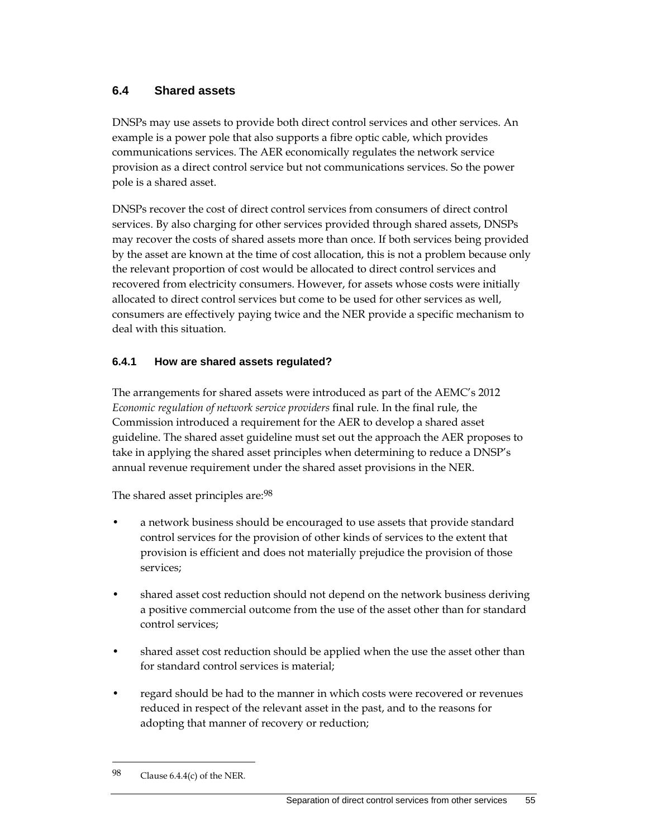## **6.4 Shared assets**

DNSPs may use assets to provide both direct control services and other services. An example is a power pole that also supports a fibre optic cable, which provides communications services. The AER economically regulates the network service provision as a direct control service but not communications services. So the power pole is a shared asset.

DNSPs recover the cost of direct control services from consumers of direct control services. By also charging for other services provided through shared assets, DNSPs may recover the costs of shared assets more than once. If both services being provided by the asset are known at the time of cost allocation, this is not a problem because only the relevant proportion of cost would be allocated to direct control services and recovered from electricity consumers. However, for assets whose costs were initially allocated to direct control services but come to be used for other services as well, consumers are effectively paying twice and the NER provide a specific mechanism to deal with this situation.

## **6.4.1 How are shared assets regulated?**

The arrangements for shared assets were introduced as part of the AEMC's 2012 *Economic regulation of network service providers* final rule. In the final rule, the Commission introduced a requirement for the AER to develop a shared asset guideline. The shared asset guideline must set out the approach the AER proposes to take in applying the shared asset principles when determining to reduce a DNSP's annual revenue requirement under the shared asset provisions in the NER.

The shared asset principles are: 98

- a network business should be encouraged to use assets that provide standard control services for the provision of other kinds of services to the extent that provision is efficient and does not materially prejudice the provision of those services;
- shared asset cost reduction should not depend on the network business deriving a positive commercial outcome from the use of the asset other than for standard control services;
- shared asset cost reduction should be applied when the use the asset other than for standard control services is material;
- regard should be had to the manner in which costs were recovered or revenues reduced in respect of the relevant asset in the past, and to the reasons for adopting that manner of recovery or reduction;

<sup>98</sup> Clause 6.4.4(c) of the NER.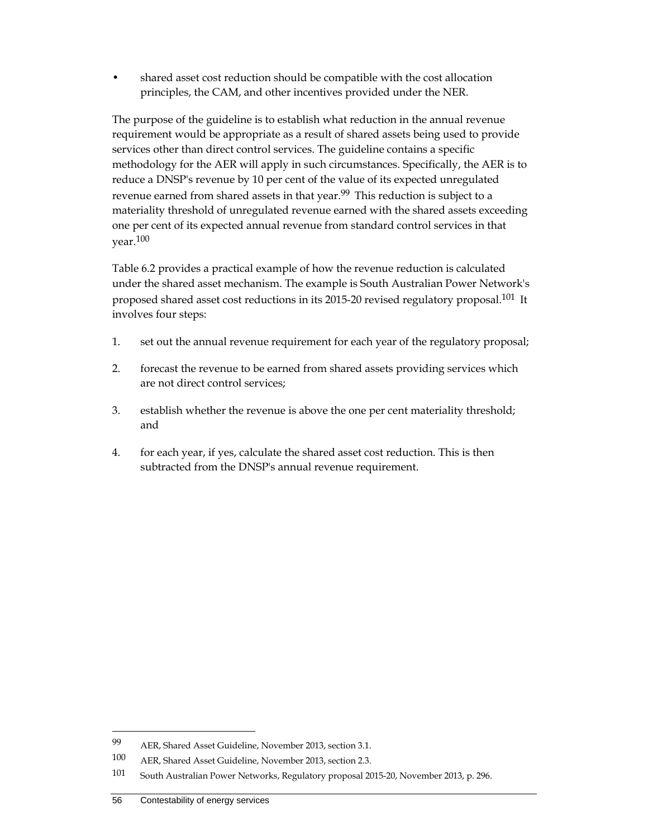• shared asset cost reduction should be compatible with the cost allocation principles, the CAM, and other incentives provided under the NER.

The purpose of the guideline is to establish what reduction in the annual revenue requirement would be appropriate as a result of shared assets being used to provide services other than direct control services. The guideline contains a specific methodology for the AER will apply in such circumstances. Specifically, the AER is to reduce a DNSP's revenue by 10 per cent of the value of its expected unregulated revenue earned from shared assets in that year.<sup>99</sup> This reduction is subject to a materiality threshold of unregulated revenue earned with the shared assets exceeding one per cent of its expected annual revenue from standard control services in that year.100

Table 6.2 provides a practical example of how the revenue reduction is calculated under the shared asset mechanism. The example is South Australian Power Network's proposed shared asset cost reductions in its 2015-20 revised regulatory proposal.101 It involves four steps:

- 1. set out the annual revenue requirement for each year of the regulatory proposal;
- 2. forecast the revenue to be earned from shared assets providing services which are not direct control services;
- 3. establish whether the revenue is above the one per cent materiality threshold; and
- 4. for each year, if yes, calculate the shared asset cost reduction. This is then subtracted from the DNSP's annual revenue requirement.

<sup>99</sup> AER, Shared Asset Guideline, November 2013, section 3.1.

<sup>100</sup> AER, Shared Asset Guideline, November 2013, section 2.3.

<sup>101</sup> South Australian Power Networks, Regulatory proposal 2015-20, November 2013, p. 296.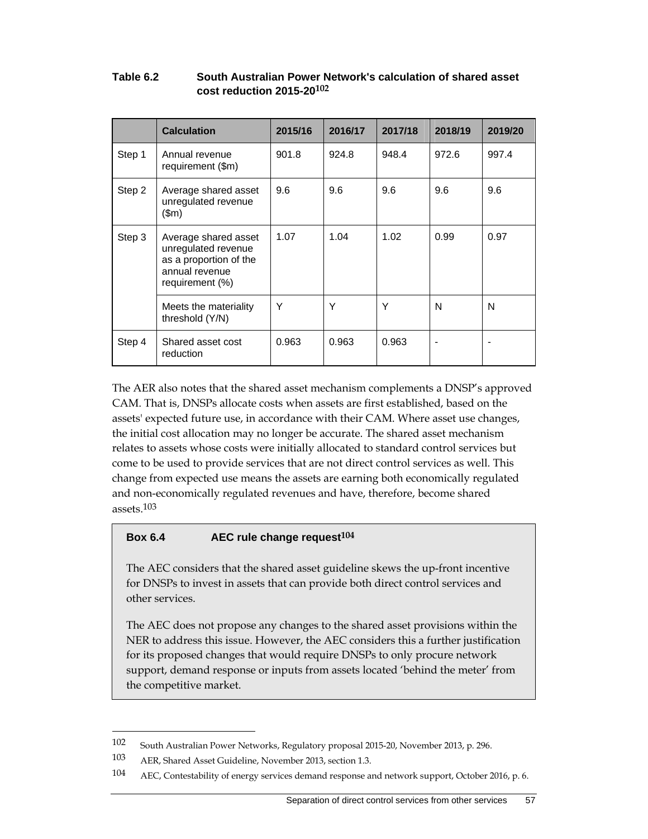|        | <b>Calculation</b>                                                                                         | 2015/16 | 2016/17 | 2017/18 | 2018/19 | 2019/20 |
|--------|------------------------------------------------------------------------------------------------------------|---------|---------|---------|---------|---------|
| Step 1 | Annual revenue<br>requirement (\$m)                                                                        | 901.8   | 924.8   | 948.4   | 972.6   | 997.4   |
| Step 2 | Average shared asset<br>unregulated revenue<br>\$m\$                                                       | 9.6     | 9.6     | 9.6     | 9.6     | 9.6     |
| Step 3 | Average shared asset<br>unregulated revenue<br>as a proportion of the<br>annual revenue<br>requirement (%) | 1.07    | 1.04    | 1.02    | 0.99    | 0.97    |
|        | Meets the materiality<br>threshold (Y/N)                                                                   | Υ       | Υ       | Υ       | N       | N       |
| Step 4 | Shared asset cost<br>reduction                                                                             | 0.963   | 0.963   | 0.963   |         |         |

#### **Table 6.2 South Australian Power Network's calculation of shared asset cost reduction 2015-20102**

The AER also notes that the shared asset mechanism complements a DNSP's approved CAM. That is, DNSPs allocate costs when assets are first established, based on the assets' expected future use, in accordance with their CAM. Where asset use changes, the initial cost allocation may no longer be accurate. The shared asset mechanism relates to assets whose costs were initially allocated to standard control services but come to be used to provide services that are not direct control services as well. This change from expected use means the assets are earning both economically regulated and non-economically regulated revenues and have, therefore, become shared assets.103

#### **Box 6.4 AEC rule change request104**

The AEC considers that the shared asset guideline skews the up-front incentive for DNSPs to invest in assets that can provide both direct control services and other services.

The AEC does not propose any changes to the shared asset provisions within the NER to address this issue. However, the AEC considers this a further justification for its proposed changes that would require DNSPs to only procure network support, demand response or inputs from assets located 'behind the meter' from the competitive market.

<sup>102</sup> South Australian Power Networks, Regulatory proposal 2015-20, November 2013, p. 296.

<sup>103</sup> AER, Shared Asset Guideline, November 2013, section 1.3.

<sup>104</sup> AEC, Contestability of energy services demand response and network support, October 2016, p. 6.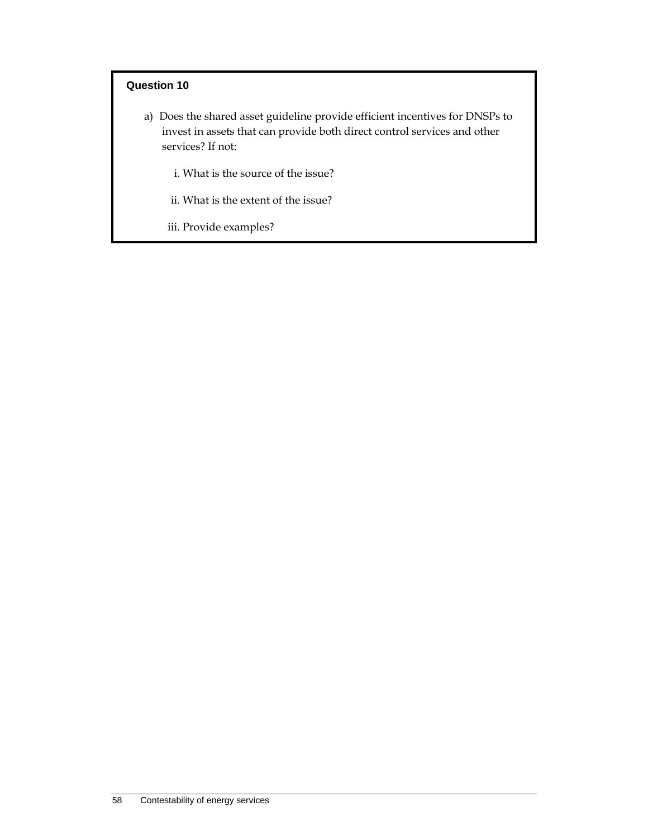### **Question 10**

- a) Does the shared asset guideline provide efficient incentives for DNSPs to invest in assets that can provide both direct control services and other services? If not:
	- i. What is the source of the issue?
	- ii. What is the extent of the issue?
	- iii. Provide examples?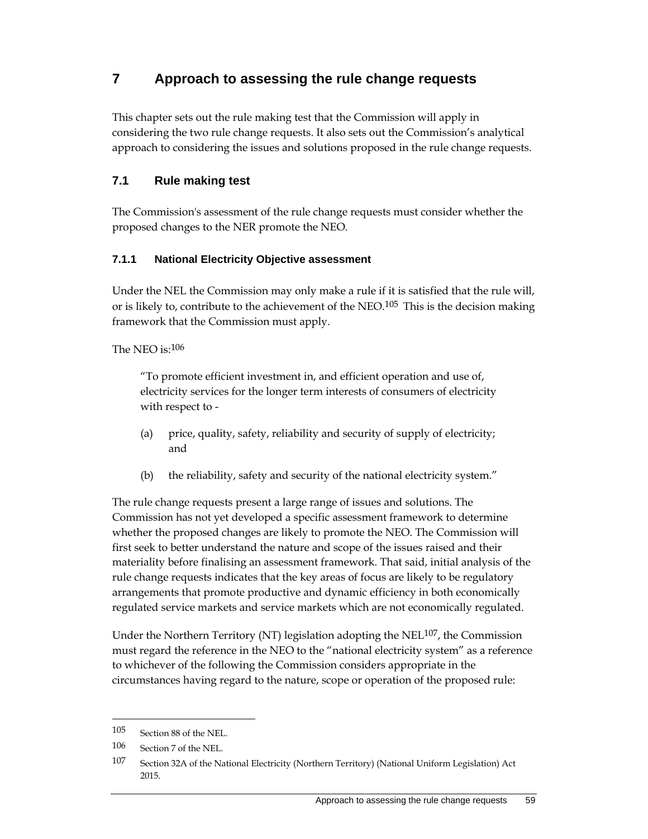## **7 Approach to assessing the rule change requests**

This chapter sets out the rule making test that the Commission will apply in considering the two rule change requests. It also sets out the Commission's analytical approach to considering the issues and solutions proposed in the rule change requests.

## **7.1 Rule making test**

The Commission's assessment of the rule change requests must consider whether the proposed changes to the NER promote the NEO.

## **7.1.1 National Electricity Objective assessment**

Under the NEL the Commission may only make a rule if it is satisfied that the rule will, or is likely to, contribute to the achievement of the NEO.<sup>105</sup> This is the decision making framework that the Commission must apply.

The NEO is:106

"To promote efficient investment in, and efficient operation and use of, electricity services for the longer term interests of consumers of electricity with respect to -

- (a) price, quality, safety, reliability and security of supply of electricity; and
- (b) the reliability, safety and security of the national electricity system."

The rule change requests present a large range of issues and solutions. The Commission has not yet developed a specific assessment framework to determine whether the proposed changes are likely to promote the NEO. The Commission will first seek to better understand the nature and scope of the issues raised and their materiality before finalising an assessment framework. That said, initial analysis of the rule change requests indicates that the key areas of focus are likely to be regulatory arrangements that promote productive and dynamic efficiency in both economically regulated service markets and service markets which are not economically regulated.

Under the Northern Territory (NT) legislation adopting the NEL107, the Commission must regard the reference in the NEO to the "national electricity system" as a reference to whichever of the following the Commission considers appropriate in the circumstances having regard to the nature, scope or operation of the proposed rule:

<sup>105</sup> Section 88 of the NEL.

<sup>106</sup> Section 7 of the NEL.

<sup>107</sup> Section 32A of the National Electricity (Northern Territory) (National Uniform Legislation) Act 2015.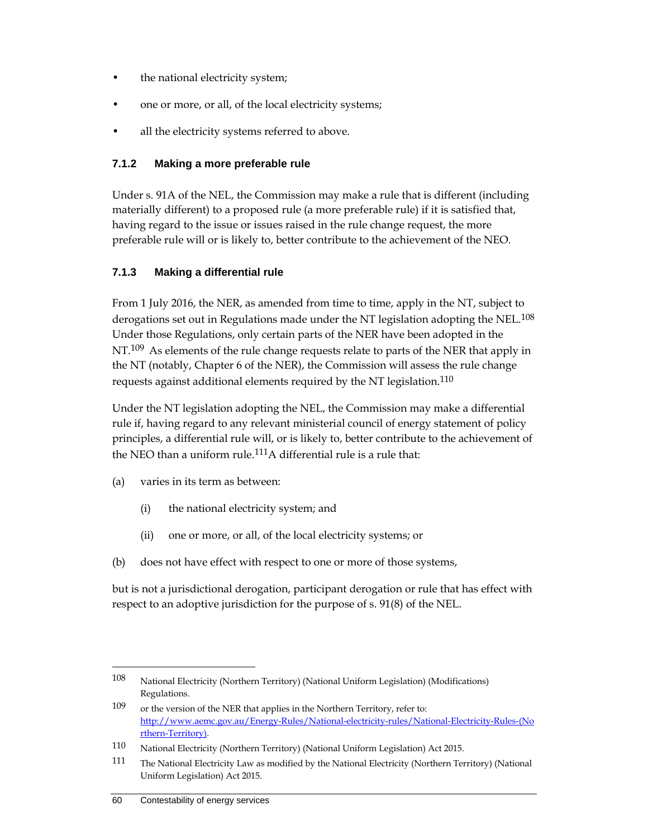- the national electricity system;
- one or more, or all, of the local electricity systems;
- all the electricity systems referred to above.

#### **7.1.2 Making a more preferable rule**

Under s. 91A of the NEL, the Commission may make a rule that is different (including materially different) to a proposed rule (a more preferable rule) if it is satisfied that, having regard to the issue or issues raised in the rule change request, the more preferable rule will or is likely to, better contribute to the achievement of the NEO.

#### **7.1.3 Making a differential rule**

From 1 July 2016, the NER, as amended from time to time, apply in the NT, subject to derogations set out in Regulations made under the NT legislation adopting the NEL.<sup>108</sup> Under those Regulations, only certain parts of the NER have been adopted in the NT.<sup>109</sup> As elements of the rule change requests relate to parts of the NER that apply in the NT (notably, Chapter 6 of the NER), the Commission will assess the rule change requests against additional elements required by the NT legislation.<sup>110</sup>

Under the NT legislation adopting the NEL, the Commission may make a differential rule if, having regard to any relevant ministerial council of energy statement of policy principles, a differential rule will, or is likely to, better contribute to the achievement of the NEO than a uniform rule.<sup>111</sup>A differential rule is a rule that:

- (a) varies in its term as between:
	- (i) the national electricity system; and
	- (ii) one or more, or all, of the local electricity systems; or
- (b) does not have effect with respect to one or more of those systems,

but is not a jurisdictional derogation, participant derogation or rule that has effect with respect to an adoptive jurisdiction for the purpose of s. 91(8) of the NEL.

<sup>108</sup> National Electricity (Northern Territory) (National Uniform Legislation) (Modifications) Regulations.

<sup>109</sup> or the version of the NER that applies in the Northern Territory, refer to: http://www.aemc.gov.au/Energy-Rules/National-electricity-rules/National-Electricity-Rules-(No rthern-Territory).

<sup>110</sup> National Electricity (Northern Territory) (National Uniform Legislation) Act 2015.

<sup>111</sup> The National Electricity Law as modified by the National Electricity (Northern Territory) (National Uniform Legislation) Act 2015.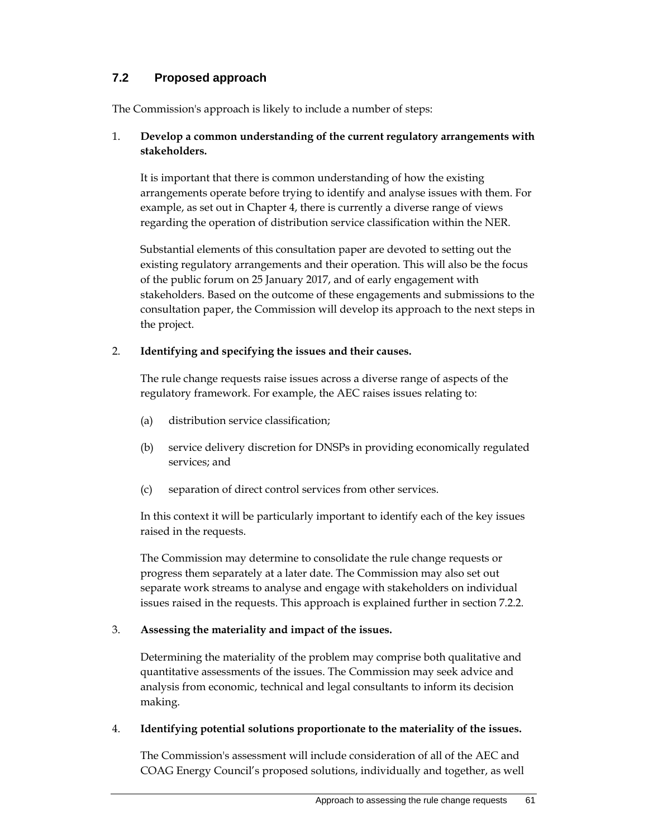## **7.2 Proposed approach**

The Commission's approach is likely to include a number of steps:

#### 1. **Develop a common understanding of the current regulatory arrangements with stakeholders.**

It is important that there is common understanding of how the existing arrangements operate before trying to identify and analyse issues with them. For example, as set out in Chapter 4, there is currently a diverse range of views regarding the operation of distribution service classification within the NER.

Substantial elements of this consultation paper are devoted to setting out the existing regulatory arrangements and their operation. This will also be the focus of the public forum on 25 January 2017, and of early engagement with stakeholders. Based on the outcome of these engagements and submissions to the consultation paper, the Commission will develop its approach to the next steps in the project.

#### 2. **Identifying and specifying the issues and their causes.**

The rule change requests raise issues across a diverse range of aspects of the regulatory framework. For example, the AEC raises issues relating to:

- (a) distribution service classification;
- (b) service delivery discretion for DNSPs in providing economically regulated services; and
- (c) separation of direct control services from other services.

In this context it will be particularly important to identify each of the key issues raised in the requests.

The Commission may determine to consolidate the rule change requests or progress them separately at a later date. The Commission may also set out separate work streams to analyse and engage with stakeholders on individual issues raised in the requests. This approach is explained further in section 7.2.2.

#### 3. **Assessing the materiality and impact of the issues.**

Determining the materiality of the problem may comprise both qualitative and quantitative assessments of the issues. The Commission may seek advice and analysis from economic, technical and legal consultants to inform its decision making.

#### 4. **Identifying potential solutions proportionate to the materiality of the issues.**

The Commission's assessment will include consideration of all of the AEC and COAG Energy Council's proposed solutions, individually and together, as well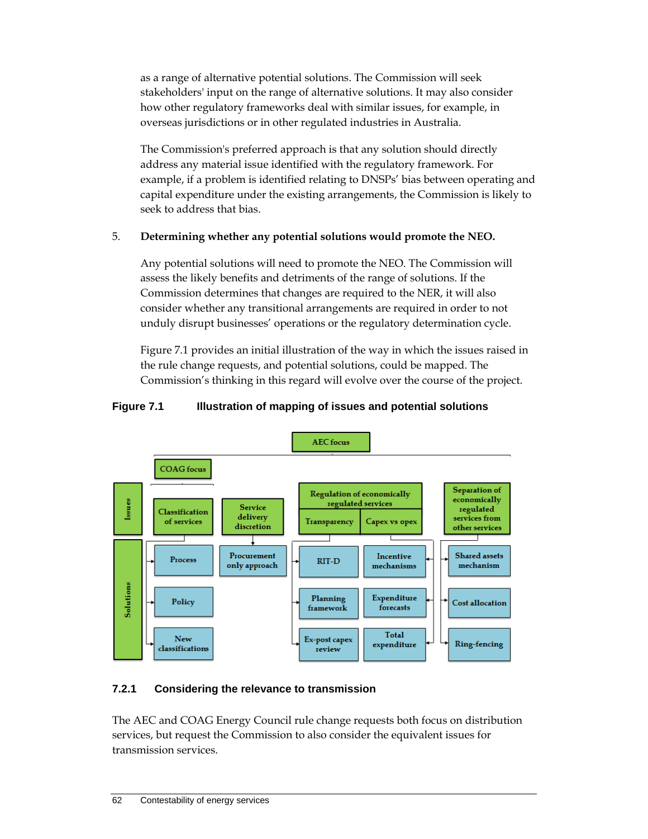as a range of alternative potential solutions. The Commission will seek stakeholders' input on the range of alternative solutions. It may also consider how other regulatory frameworks deal with similar issues, for example, in overseas jurisdictions or in other regulated industries in Australia.

The Commission's preferred approach is that any solution should directly address any material issue identified with the regulatory framework. For example, if a problem is identified relating to DNSPs' bias between operating and capital expenditure under the existing arrangements, the Commission is likely to seek to address that bias.

## 5. **Determining whether any potential solutions would promote the NEO.**

Any potential solutions will need to promote the NEO. The Commission will assess the likely benefits and detriments of the range of solutions. If the Commission determines that changes are required to the NER, it will also consider whether any transitional arrangements are required in order to not unduly disrupt businesses' operations or the regulatory determination cycle.

Figure 7.1 provides an initial illustration of the way in which the issues raised in the rule change requests, and potential solutions, could be mapped. The Commission's thinking in this regard will evolve over the course of the project.

## **Figure 7.1 Illustration of mapping of issues and potential solutions**



## **7.2.1 Considering the relevance to transmission**

The AEC and COAG Energy Council rule change requests both focus on distribution services, but request the Commission to also consider the equivalent issues for transmission services.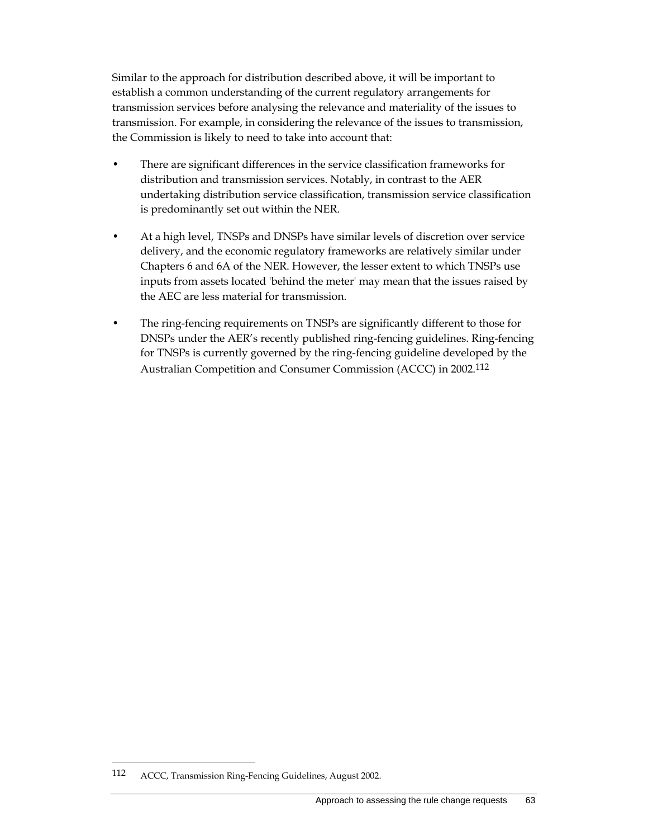Similar to the approach for distribution described above, it will be important to establish a common understanding of the current regulatory arrangements for transmission services before analysing the relevance and materiality of the issues to transmission. For example, in considering the relevance of the issues to transmission, the Commission is likely to need to take into account that:

- There are significant differences in the service classification frameworks for distribution and transmission services. Notably, in contrast to the AER undertaking distribution service classification, transmission service classification is predominantly set out within the NER.
- At a high level, TNSPs and DNSPs have similar levels of discretion over service delivery, and the economic regulatory frameworks are relatively similar under Chapters 6 and 6A of the NER. However, the lesser extent to which TNSPs use inputs from assets located 'behind the meter' may mean that the issues raised by the AEC are less material for transmission.
- The ring-fencing requirements on TNSPs are significantly different to those for DNSPs under the AER's recently published ring-fencing guidelines. Ring-fencing for TNSPs is currently governed by the ring-fencing guideline developed by the Australian Competition and Consumer Commission (ACCC) in 2002.112

<sup>112</sup> ACCC, Transmission Ring-Fencing Guidelines, August 2002.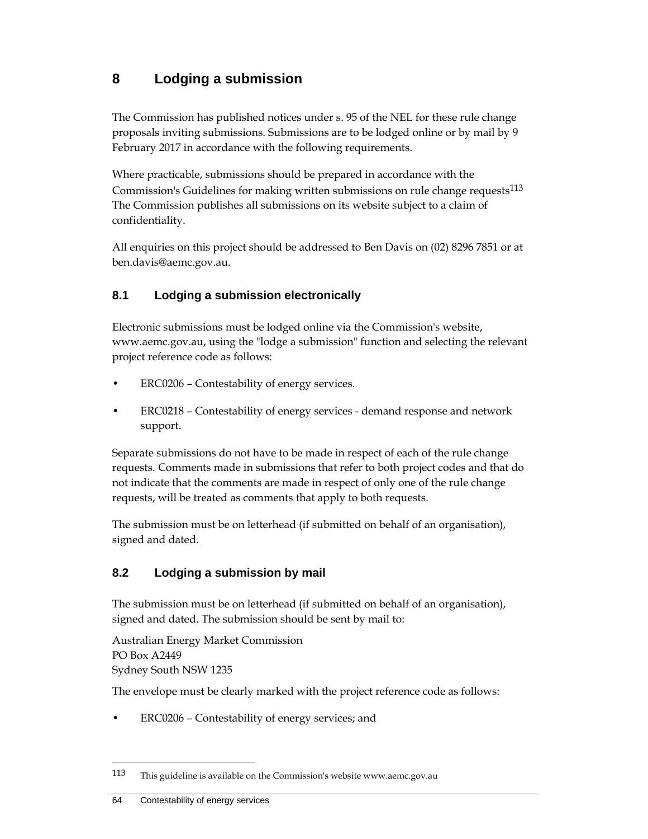# **8 Lodging a submission**

The Commission has published notices under s. 95 of the NEL for these rule change proposals inviting submissions. Submissions are to be lodged online or by mail by 9 February 2017 in accordance with the following requirements.

Where practicable, submissions should be prepared in accordance with the Commission's Guidelines for making written submissions on rule change requests<sup>113</sup> The Commission publishes all submissions on its website subject to a claim of confidentiality.

All enquiries on this project should be addressed to Ben Davis on (02) 8296 7851 or at ben.davis@aemc.gov.au.

## **8.1 Lodging a submission electronically**

Electronic submissions must be lodged online via the Commission's website, www.aemc.gov.au, using the "lodge a submission" function and selecting the relevant project reference code as follows:

- ERC0206 Contestability of energy services.
- ERC0218 Contestability of energy services demand response and network support.

Separate submissions do not have to be made in respect of each of the rule change requests. Comments made in submissions that refer to both project codes and that do not indicate that the comments are made in respect of only one of the rule change requests, will be treated as comments that apply to both requests.

The submission must be on letterhead (if submitted on behalf of an organisation), signed and dated.

## **8.2 Lodging a submission by mail**

The submission must be on letterhead (if submitted on behalf of an organisation), signed and dated. The submission should be sent by mail to:

Australian Energy Market Commission PO Box A2449 Sydney South NSW 1235

The envelope must be clearly marked with the project reference code as follows:

• ERC0206 – Contestability of energy services; and

<sup>113</sup> This guideline is available on the Commission's website www.aemc.gov.au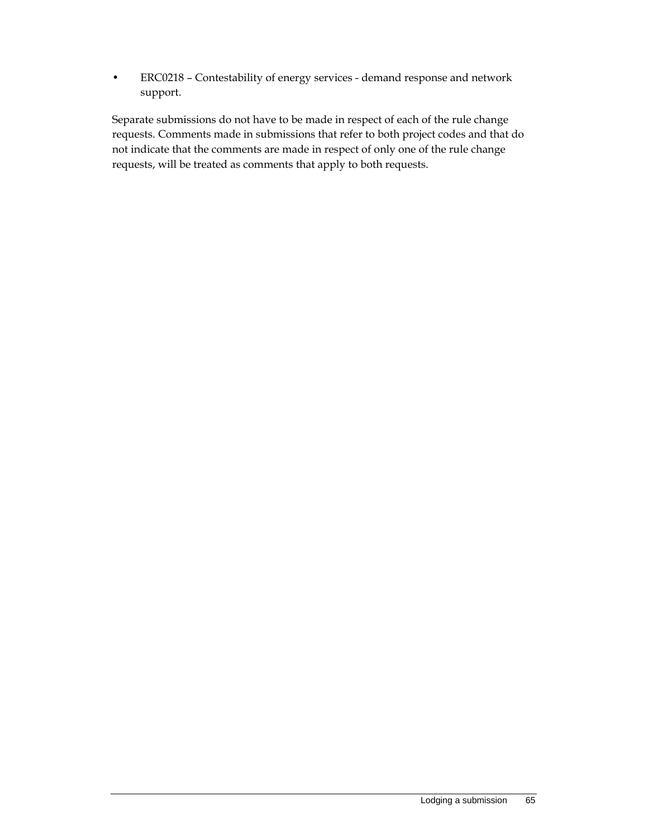• ERC0218 – Contestability of energy services - demand response and network support.

Separate submissions do not have to be made in respect of each of the rule change requests. Comments made in submissions that refer to both project codes and that do not indicate that the comments are made in respect of only one of the rule change requests, will be treated as comments that apply to both requests.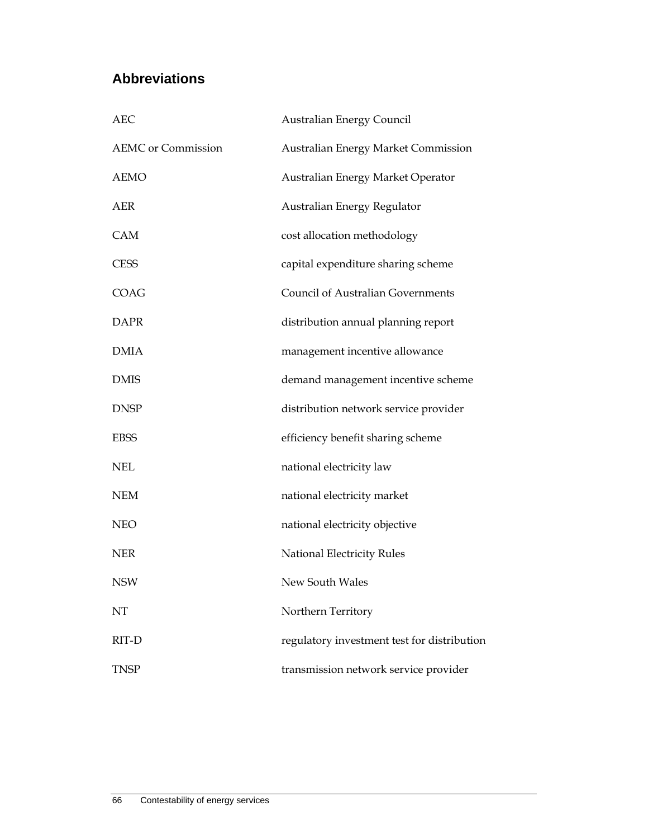# **Abbreviations**

| <b>AEC</b>                | <b>Australian Energy Council</b>            |  |  |  |
|---------------------------|---------------------------------------------|--|--|--|
| <b>AEMC</b> or Commission | Australian Energy Market Commission         |  |  |  |
| <b>AEMO</b>               | Australian Energy Market Operator           |  |  |  |
| AER                       | Australian Energy Regulator                 |  |  |  |
| <b>CAM</b>                | cost allocation methodology                 |  |  |  |
| <b>CESS</b>               | capital expenditure sharing scheme          |  |  |  |
| COAG                      | <b>Council of Australian Governments</b>    |  |  |  |
| <b>DAPR</b>               | distribution annual planning report         |  |  |  |
| <b>DMIA</b>               | management incentive allowance              |  |  |  |
| <b>DMIS</b>               | demand management incentive scheme          |  |  |  |
| <b>DNSP</b>               | distribution network service provider       |  |  |  |
| <b>EBSS</b>               | efficiency benefit sharing scheme           |  |  |  |
| <b>NEL</b>                | national electricity law                    |  |  |  |
| <b>NEM</b>                | national electricity market                 |  |  |  |
| <b>NEO</b>                | national electricity objective              |  |  |  |
| <b>NER</b>                | National Electricity Rules                  |  |  |  |
| NSW                       | New South Wales                             |  |  |  |
| NT                        | Northern Territory                          |  |  |  |
| RIT-D                     | regulatory investment test for distribution |  |  |  |
| <b>TNSP</b>               | transmission network service provider       |  |  |  |